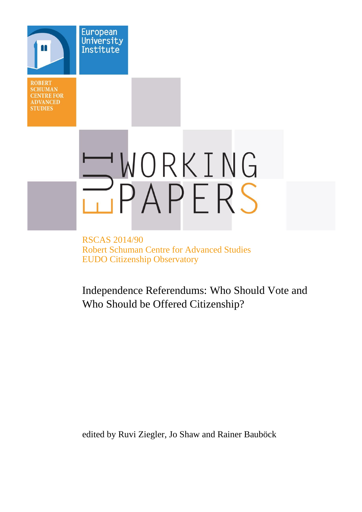**ROBERT SCHUMAN CENTRE FOR ADVANCED STUDIES** 

**European** University Institute

# WORKING PAPERS

RSCAS 2014/90 Robert Schuman Centre for Advanced Studies EUDO Citizenship Observatory

Independence Referendums: Who Should Vote and Who Should be Offered Citizenship?

edited by Ruvi Ziegler, Jo Shaw and Rainer Bauböck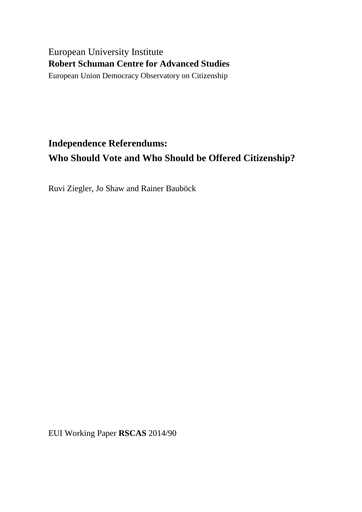# European University Institute **Robert Schuman Centre for Advanced Studies**

European Union Democracy Observatory on Citizenship

# **Independence Referendums: Who Should Vote and Who Should be Offered Citizenship?**

Ruvi Ziegler, Jo Shaw and Rainer Bauböck

EUI Working Paper **RSCAS** 2014/90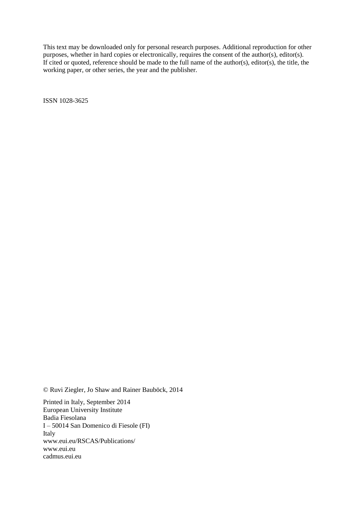This text may be downloaded only for personal research purposes. Additional reproduction for other purposes, whether in hard copies or electronically, requires the consent of the author(s), editor(s). If cited or quoted, reference should be made to the full name of the author(s), editor(s), the title, the working paper, or other series, the year and the publisher.

ISSN 1028-3625

© Ruvi Ziegler, Jo Shaw and Rainer Bauböck, 2014

Printed in Italy, September 2014 European University Institute Badia Fiesolana I – 50014 San Domenico di Fiesole (FI) Italy [www.eui.eu/RSCAS/Publications/](http://www.eui.eu/RSCAS/Publications/) [www.eui.eu](http://www.eui.eu/) [cadmus.eui.eu](http://cadmus.eui.eu/dspace/index.jsp)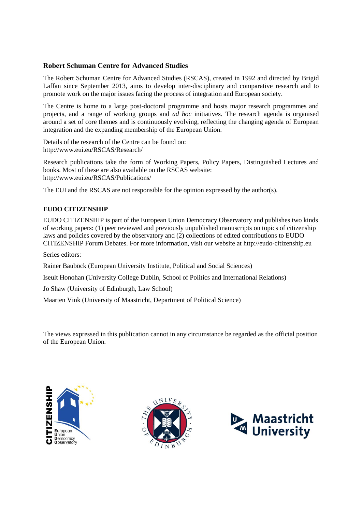# **Robert Schuman Centre for Advanced Studies**

The Robert Schuman Centre for Advanced Studies (RSCAS), created in 1992 and directed by Brigid Laffan since September 2013, aims to develop inter-disciplinary and comparative research and to promote work on the major issues facing the process of integration and European society.

The Centre is home to a large post-doctoral programme and hosts major research programmes and projects, and a range of working groups and *ad hoc* initiatives. The research agenda is organised around a set of core themes and is continuously evolving, reflecting the changing agenda of European integration and the expanding membership of the European Union.

Details of the research of the Centre can be found on: <http://www.eui.eu/RSCAS/Research/>

Research publications take the form of Working Papers, Policy Papers, Distinguished Lectures and books. Most of these are also available on the RSCAS website: <http://www.eui.eu/RSCAS/Publications/>

The EUI and the RSCAS are not responsible for the opinion expressed by the author(s).

# **EUDO CITIZENSHIP**

EUDO CITIZENSHIP is part of the European Union Democracy Observatory and publishes two kinds of working papers: (1) peer reviewed and previously unpublished manuscripts on topics of citizenship laws and policies covered by the observatory and (2) collections of edited contributions to EUDO CITIZENSHIP Forum Debates. For more information, visit our website at [http://eudo-citizenship.eu](http://eudo-citizenship.eu/)

Series editors:

Rainer Bauböck (European University Institute, Political and Social Sciences)

Iseult Honohan (University College Dublin, School of Politics and International Relations)

Jo Shaw (University of Edinburgh, Law School)

Maarten Vink (University of Maastricht, Department of Political Science)

The views expressed in this publication cannot in any circumstance be regarded as the official position of the European Union.





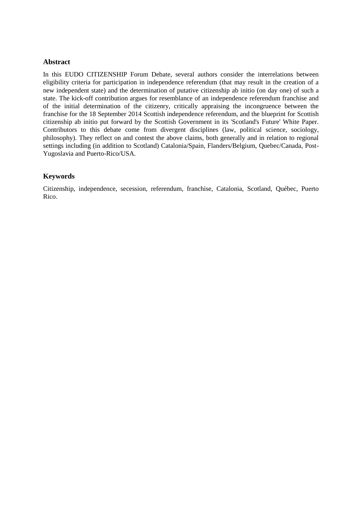# **Abstract**

In this EUDO CITIZENSHIP Forum Debate, several authors consider the interrelations between eligibility criteria for participation in independence referendum (that may result in the creation of a new independent state) and the determination of putative citizenship ab initio (on day one) of such a state. The kick-off contribution argues for resemblance of an independence referendum franchise and of the initial determination of the citizenry, critically appraising the incongruence between the franchise for the 18 September 2014 Scottish independence referendum, and the blueprint for Scottish citizenship ab initio put forward by the Scottish Government in its 'Scotland's Future' White Paper. Contributors to this debate come from divergent disciplines (law, political science, sociology, philosophy). They reflect on and contest the above claims, both generally and in relation to regional settings including (in addition to Scotland) Catalonia/Spain, Flanders/Belgium, Quebec/Canada, Post-Yugoslavia and Puerto-Rico/USA.

# **Keywords**

Citizenship, independence, secession, referendum, franchise, Catalonia, Scotland, Québec, Puerto Rico.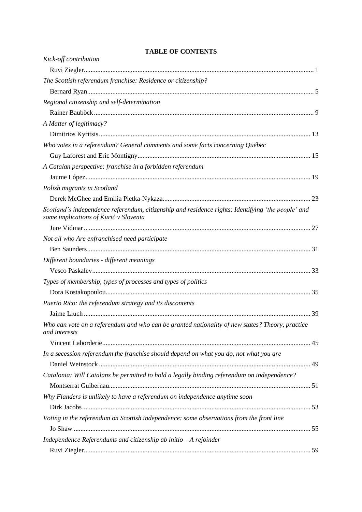| Kick-off contribution                                                                                                                       |  |
|---------------------------------------------------------------------------------------------------------------------------------------------|--|
|                                                                                                                                             |  |
| The Scottish referendum franchise: Residence or citizenship?                                                                                |  |
|                                                                                                                                             |  |
| Regional citizenship and self-determination                                                                                                 |  |
|                                                                                                                                             |  |
| A Matter of legitimacy?                                                                                                                     |  |
|                                                                                                                                             |  |
| Who votes in a referendum? General comments and some facts concerning Québec                                                                |  |
|                                                                                                                                             |  |
| A Catalan perspective: franchise in a forbidden referendum                                                                                  |  |
|                                                                                                                                             |  |
| Polish migrants in Scotland                                                                                                                 |  |
|                                                                                                                                             |  |
| Scotland's independence referendum, citizenship and residence rights: Identifying 'the people' and<br>some implications of Kurić v Slovenia |  |
|                                                                                                                                             |  |
| Not all who Are enfranchised need participate                                                                                               |  |
|                                                                                                                                             |  |
| Different boundaries - different meanings                                                                                                   |  |
|                                                                                                                                             |  |
| Types of membership, types of processes and types of politics                                                                               |  |
|                                                                                                                                             |  |
| Puerto Rico: the referendum strategy and its discontents                                                                                    |  |
|                                                                                                                                             |  |
| Who can vote on a referendum and who can be granted nationality of new states? Theory, practice<br>and interests                            |  |
|                                                                                                                                             |  |
| In a secession referendum the franchise should depend on what you do, not what you are                                                      |  |
| Catalonia: Will Catalans be permitted to hold a legally binding referendum on independence?                                                 |  |
| Why Flanders is unlikely to have a referendum on independence anytime soon                                                                  |  |
|                                                                                                                                             |  |
| Voting in the referendum on Scottish independence: some observations from the front line                                                    |  |
|                                                                                                                                             |  |
| Independence Referendums and citizenship ab initio $-A$ rejoinder                                                                           |  |
|                                                                                                                                             |  |
|                                                                                                                                             |  |

# **TABLE OF CONTENTS**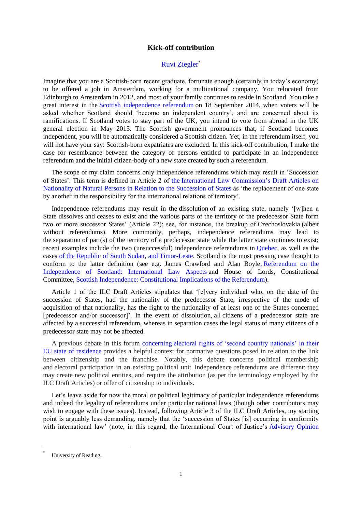# **Kick-off contribution**

# [Ruvi Ziegler](http://eudo-citizenship.eu/about/people/other-eudo-citizenship-collaborators/1158-reuven-ruvi-ziegler)\*

<span id="page-10-1"></span><span id="page-10-0"></span>Imagine that you are a Scottish-born recent graduate, fortunate enough (certainly in today's economy) to be offered a job in Amsterdam, working for a multinational company. You relocated from Edinburgh to Amsterdam in 2012, and most of your family continues to reside in Scotland. You take a great interest in the [Scottish independence referendum](http://www.scotreferendum.com/) on 18 September 2014, when voters will be asked whether Scotland should 'become an independent country', and are concerned about its ramifications. If Scotland votes to stay part of the UK, you intend to vote from abroad in the UK general election in May 2015. The Scottish government pronounces that, if Scotland becomes independent, you will be automatically considered a Scottish citizen. Yet, in the referendum itself, you will not have your say: Scottish-born expatriates are excluded. In this kick-off contribution, I make the case for resemblance between the category of persons entitled to participate in an independence referendum and the initial citizen-body of a new state created by such a referendum.

The scope of my claim concerns only independence referendums which may result in 'Succession of States'. This term is defined in Article 2 of the [International Law Commission's Draft Articles on](http://www.refworld.org/docid/4512b6dd4.html)  [Nationality of Natural Persons in Relation to the Succession of States](http://www.refworld.org/docid/4512b6dd4.html) as 'the replacement of one state by another in the responsibility for the international relations of territory'.

Independence referendums may result in the dissolution of an existing state, namely '[w]hen a State dissolves and ceases to exist and the various parts of the territory of the predecessor State form two or more successor States' (Article 22); see, for instance, the breakup of Czechoslovakia (albeit without referendums). More commonly, perhaps, independence referendums may lead to the separation of part(s) of the territory of a predecessor state while the latter state continues to exist; recent examples include the two (unsuccessful) independence referendums in [Quebec,](http://www.electionsquebec.qc.ca/francais/tableaux/referendum-1995-8481.php) as well as the cases of [the Republic of South Sudan,](http://southernsudan2011.com/) and [Timor-Leste.](http://www.un.org/en/peacekeeping/missions/past/etimor/etimor.htm) Scotland is the most pressing case thought to conform to the latter definition (see e.g. James Crawford and Alan Boyle, [Referendum on the](https://www.gov.uk/government/uploads/system/uploads/attachment_data/file/79408/Annex_A.pdf)  [Independence of Scotland: International Law Aspects](https://www.gov.uk/government/uploads/system/uploads/attachment_data/file/79408/Annex_A.pdf) and House of Lords, Constitutional Committee, [Scottish Independence: Constitutional Implications of the Referendum\)](http://www.publications.parliament.uk/pa/ld201314/ldselect/ldconst/188/18802.htm).

Article 1 of the ILC Draft Articles stipulates that '[e]very individual who, on the date of the succession of States, had the nationality of the predecessor State, irrespective of the mode of acquisition of that nationality, has the right to the nationality of at least one of the States concerned [predecessor and/or successor]'. In the event of dissolution, all citizens of a predecessor state are affected by a successful referendum, whereas in separation cases the legal status of many citizens of a predecessor state may not be affected.

A previous debate in this forum concerning [electoral rights of 'second country nationals' in their](http://eudo-citizenship.eu/commentaries/citizenship-forum/594-should-eu-citizens-living-in-other-members-states-vote-there-in-national-elections)  [EU state of residence](http://eudo-citizenship.eu/commentaries/citizenship-forum/594-should-eu-citizens-living-in-other-members-states-vote-there-in-national-elections) provides a helpful context for normative questions posed in relation to the link between citizenship and the franchise. Notably, this debate concerns political membership and electoral participation in an existing political unit. Independence referendums are different: they may create new political entities, and require the attribution (as per the terminology employed by the ILC Draft Articles) or offer of citizenship to individuals.

Let's leave aside for now the moral or political legitimacy of particular independence referendums and indeed the legality of referendums under particular national laws (though other contributors may wish to engage with these issues). Instead, following Article 3 of the ILC Draft Articles, my starting point is arguably less demanding, namely that the 'succession of States [is] occurring in conformity with international law' (note, in this regard, the International Court of Justice's Advisory Opinion

<sup>\*</sup> University of Reading.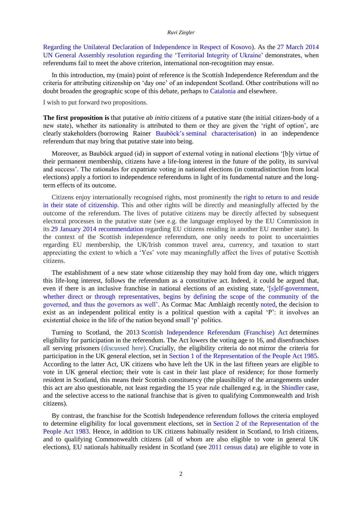#### *Ruvi Ziegler*

[Regarding the Unilateral Declaration of Independence in Respect of Kosovo\)](http://www.icj-cij.org/docket/files/141/15987.pdf). As the [27 March 2014](http://daccess-dds-ny.un.org/doc/UNDOC/GEN/N14/273/44/PDF/N1427344.pdf?OpenElement)  UN General Assembly resolution [regarding the 'Territorial Integrity of Ukraine'](http://daccess-dds-ny.un.org/doc/UNDOC/GEN/N14/273/44/PDF/N1427344.pdf?OpenElement) demonstrates, when referendums fail to meet the above criterion, international non-recognition may ensue.

In this introduction, my (main) point of reference is the Scottish Independence Referendum and the criteria for attributing citizenship on 'day one' of an independent Scotland. Other contributions will no doubt broaden the geographic scope of this debate, perhaps to [Catalonia](http://www.bbc.com/news/world-europe-26949794) and elsewhere.

I wish to put forward two propositions.

**The first proposition is** that putative *ab initio* citizens of a putative state (the initial citizen-body of a new state), whether its nationality is attributed to them or they are given the 'right of option', are clearly stakeholders (borrowing Rainer Bauböck's [seminal characterisation\)](http://ir.lawnet.fordham.edu/cgi/viewcontent.cgi?article=4257&context=flr) in an independence referendum that may bring that putative state into being.

Moreover, as Bauböck argued (id) in support of external voting in national elections '[b]y virtue of their permanent membership, citizens have a life-long interest in the future of the polity, its survival and success'. The rationales for expatriate voting in national elections (in contradistinction from local elections) apply a fortiori to independence referendums in light of its fundamental nature and the longterm effects of its outcome.

Citizens enjoy internationally recognised rights, most prominently the [right to return to and reside](http://www.ccprcentre.org/iccpr-and-hr-committee/international-covenant-on-civil-and-political-rights-iccpr/)  [in their state of citizenship.](http://www.ccprcentre.org/iccpr-and-hr-committee/international-covenant-on-civil-and-political-rights-iccpr/) This and other rights will be directly and meaningfully affected by the outcome of the referendum. The lives of putative citizens may be directly affected by subsequent electoral processes in the putative state (see e.g. the language employed by the EU Commission in its [29 January 2014 recommendation](http://ec.europa.eu/justice/citizen/files/c_2014_391_en.pdf) regarding EU citizens residing in another EU member state). In the context of the Scottish independence referendum, one only needs to point to uncertainties regarding EU membership, the UK/Irish common travel area, currency, and taxation to start appreciating the extent to which a 'Yes' vote may meaningfully affect the lives of putative Scottish citizens.

The establishment of a new state whose citizenship they may hold from day one, which triggers this life-long interest, follows the referendum as a constitutive act. Indeed, it could be argued that, even if there is an inclusive franchise in national elections of an existing state, '[s]elf-government, whether direct or through representatives, begins by defining the scope of the community of the [governed, and thus the governors as well'.](http://supreme.justia.com/cases/federal/us/454/432/case.html) As Cormac Mac Amhlaigh recently [noted,](http://www.scottishconstitutionalfutures.org/OpinionandAnalysis/ViewBlogPost/tabid/1767/articleType/ArticleView/articleId/3501/Cormac-Mac-Amhlaigh-Why-This-Foreign-Scottish-Resident-Will-Not-Be-Voting-on-September-18th.aspx) the decision to exist as an independent political entity is a political question with a capital 'P': it involves an existential choice in the life of the nation beyond small 'p' politics.

Turning to Scotland, the 2013 [Scottish Independence Referendum \(Franchise\) Act](http://www.legislation.gov.uk/asp/2013/13/section/3) determines eligibility for participation in the referendum. The Act lowers the voting age to 16, and disenfranchises all serving prisoners [\(discussed here\).](http://ohrh.law.ox.ac.uk/?p=4649) Crucially, the eligibility criteria do not mirror the criteria for participation in the UK general election, set in [Section 1 of the Representation of the People Act 1985.](http://www.legislation.gov.uk/ukpga/1985/50) According to the latter Act, UK citizens who have left the UK in the last fifteen years are eligible to vote in UK general election; their vote is cast in their last place of residence; for those formerly resident in Scotland, this means their Scottish constituency (the plausibility of the arrangements under this act are also questionable, not least regarding the 15 year rule challenged e.g. in the [Shindler](http://hudoc.echr.coe.int/sites/eng/pages/search.aspx?i=001-119229) case, and the selective access to the national franchise that is given to qualifying Commonwealth and Irish citizens).

By contrast, the franchise for the Scottish Independence referendum follows the criteria employed to determine eligibility for local government elections, set in [Section 2 of the Representation of the](http://www.legislation.gov.uk/ukpga/1983/2/section/2)  [People Act 1983.](http://www.legislation.gov.uk/ukpga/1983/2/section/2) Hence, in addition to UK citizens habitually resident in Scotland, to Irish citizens, and to qualifying Commonwealth citizens (all of whom are also eligible to vote in general UK elections), EU nationals habitually resident in Scotland (see [2011 census data\)](http://www.migrationobservatory.ox.ac.uk/briefings/scotland-census-profile) are eligible to vote in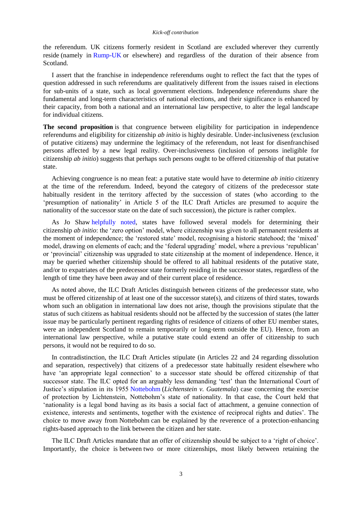the referendum. UK citizens formerly resident in Scotland are excluded wherever they currently reside (namely in [Rump-UK](http://www.bbc.co.uk/news/uk-scotland-scotland-politics-25420827) or elsewhere) and regardless of the duration of their absence from Scotland.

I assert that the franchise in independence referendums ought to reflect the fact that the types of question addressed in such referendums are qualitatively different from the issues raised in elections for sub-units of a state, such as local government elections. Independence referendums share the fundamental and long-term characteristics of national elections, and their significance is enhanced by their capacity, from both a national and an international law perspective, to alter the legal landscape for individual citizens.

**The second proposition** is that congruence between eligibility for participation in independence referendums and eligibility for citizenship *ab initio* is highly desirable. Under-inclusiveness (exclusion of putative citizens) may undermine the legitimacy of the referendum, not least for disenfranchised persons affected by a new legal reality. Over-inclusiveness (inclusion of persons ineligible for citizenship *ab initio*) suggests that perhaps such persons ought to be offered citizenship of that putative state.

Achieving congruence is no mean feat: a putative state would have to determine *ab initio* citizenry at the time of the referendum. Indeed, beyond the category of citizens of the predecessor state habitually resident in the territory affected by the succession of states (who according to the 'presumption of nationality' in Article 5 of the ILC Draft Articles are presumed to acquire the nationality of the successor state on the date of such succession), the picture is rather complex.

As Jo Shaw [helpfully noted,](http://www.citsee.ed.ac.uk/working_papers/files/CITSEE_WORKING_PAPER_2013-34.pdf#page=20) states have followed several models for determining their citizenship *ab initio*: the 'zero option' model, where citizenship was given to all permanent residents at the moment of independence; the 'restored state' model, recognising a historic statehood; the 'mixed' model, drawing on elements of each; and the 'federal upgrading' model, where a previous 'republican' or 'provincial' citizenship was upgraded to state citizenship at the moment of independence. Hence, it may be queried whether citizenship should be offered to all habitual residents of the putative state, and/or to expatriates of the predecessor state formerly residing in the successor states, regardless of the length of time they have been away and of their current place of residence.

As noted above, the ILC Draft Articles distinguish between citizens of the predecessor state, who must be offered citizenship of at least one of the successor state(s), and citizens of third states, towards whom such an obligation in international law does not arise, though the provisions stipulate that the status of such citizens as habitual residents should not be affected by the succession of states (the latter issue may be particularly pertinent regarding rights of residence of citizens of other EU member states, were an independent Scotland to remain temporarily or long-term outside the EU). Hence, from an international law perspective, while a putative state could extend an offer of citizenship to such persons, it would not be required to do so.

In contradistinction, the ILC Draft Articles stipulate (in Articles 22 and 24 regarding dissolution and separation, respectively) that citizens of a predecessor state habitually resident elsewhere who have 'an appropriate legal connection' to a successor state should be offered citizenship of that successor state. The ILC opted for an arguably less demanding 'test' than the International Court of Justice's stipulation in its 1955 [Nottebohm](http://www.icj-cij.org/docket/files/18/2674.pdf) (*Lichtenstein v. Guatemala*) case concerning the exercise of protection by Lichtenstein, Nottebohm's state of nationality. In that case, the Court held that 'nationality is a legal bond having as its basis a social fact of attachment, a genuine connection of existence, interests and sentiments, together with the existence of reciprocal rights and duties'. The choice to move away from Nottebohm can be explained by the reverence of a protection-enhancing rights-based approach to the link between the citizen and her state.

The ILC Draft Articles mandate that an offer of citizenship should be subject to a 'right of choice'. Importantly, the choice is between two or more citizenships, most likely between retaining the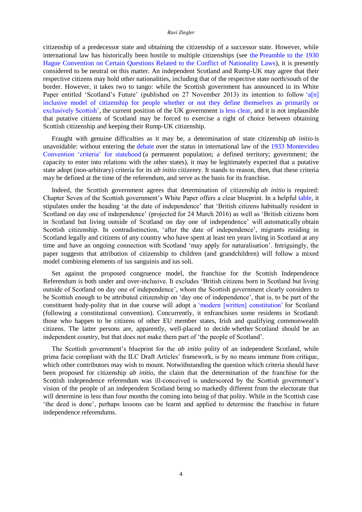citizenship of a predecessor state and obtaining the citizenship of a successor state. However, while international law has historically been hostile to multiple citizenships (see the [Preamble to the 1930](http://eudo-citizenship.eu/InternationalDB/docs/Convention%20on%20certain%20questions%20relating%20to%20the%20conflict%20of%20nationality%20laws%20FULL%20TEXT.pdf)  [Hague Convention on Certain Questions Related to the Conflict of Nationality Laws\)](http://eudo-citizenship.eu/InternationalDB/docs/Convention%20on%20certain%20questions%20relating%20to%20the%20conflict%20of%20nationality%20laws%20FULL%20TEXT.pdf), it is presently considered to be neutral on this matter. An independent Scotland and Rump-UK may agree that their respective citizens may hold other nationalities, including that of the respective state north/south of the border. However, it takes two to tango: while the Scottish government has announced in its White Paper entitled 'Scotland's Future' (published on 27 November 2013) its intention to follow 'a[n] [inclusive model of citizenship for people whether](http://www.scotland.gov.uk/Resource/0043/00439021.pdf#page=291) or not they define themselves as primarily or [exclusively Scottish',](http://www.scotland.gov.uk/Resource/0043/00439021.pdf#page=291) the current position of the UK government is [less clear,](http://www.scotsman.com/news/uk/scottish-independence-uk-passport-loss-indication-1-2961819) and it is not implausible that putative citizens of Scotland may be forced to exercise a right of choice between obtaining Scottish citizenship and keeping their Rump-UK citizenship.

Fraught with genuine difficulties as it may be, a determination of state citizenship *ab initio* is unavoidable: without entering the [debate](http://www.ejiltalk.org/discussion-of-jure-vidmars-democratic-statehood-in-international-law/) over the status in international law of the [1933 Montevideo](http://www.cfr.org/sovereignty/montevideo-convention-rights-duties-states/p15897)  [Convention 'criteria' for statehood](http://www.cfr.org/sovereignty/montevideo-convention-rights-duties-states/p15897) (a permanent population; a defined territory; government; the capacity to enter into relations with the other states), it may be legitimately expected that a putative state adopt (non-arbitrary) criteria for its *ab initio* citizenry. It stands to reason, then, that these criteria may be defined at the time of the referendum, and serve as the basis for its franchise.

Indeed, the Scottish government agrees that determination of citizenship *ab initio* is required: Chapter Seven of the Scottish government's White Paper offers a clear blueprint. In a helpful [table,](http://www.scotland.gov.uk/Resource/0043/00439021.pdf#page=293) it stipulates under the heading 'at the date of independence' that 'British citizens habitually resident in Scotland on day one of independence' (projected for 24 March 2016) as well as 'British citizens born in Scotland but living outside of Scotland on day one of independence' will automatically obtain Scottish citizenship. In contradistinction, 'after the date of independence', migrants residing in Scotland legally and citizens of any country who have spent at least ten years living in Scotland at any time and have an ongoing connection with Scotland 'may apply for naturalisation'. Intriguingly, the paper suggests that attribution of citizenship to children (and grandchildren) will follow a mixed model combining elements of ius sanguinis and ius soli.

Set against the proposed congruence model, the franchise for the Scottish Independence Referendum is both under and over-inclusive. It excludes 'British citizens born in Scotland but living outside of Scotland on day one of independence', whom the Scottish government clearly considers to be Scottish enough to be attributed citizenship on 'day one of independence', that is, to be part of the constituent body-polity that in due course will adopt a ['modern \[written\] constitution'](http://www.scotland.gov.uk/Resource/0043/00439021.pdf#page=20) for Scotland (following a constitutional convention). Concurrently, it enfranchises some residents in Scotland: those who happen to be citizens of other EU member states, Irish and qualifying commonwealth citizens. The latter persons are, apparently, well-placed to decide whether Scotland should be an independent country, but that does not make them part of 'the people of Scotland'.

The Scottish government's blueprint for the *ab initio* polity of an independent Scotland, while prima facie compliant with the ILC Draft Articles' framework, is by no means immune from critique, which other contributors may wish to mount. Notwithstanding the question which criteria should have been proposed for citizenship *ab initio*, the claim that the determination of the franchise for the Scottish independence referendum was ill-conceived is underscored by the Scottish government's vision of the people of an independent Scotland being so markedly different from the electorate that will determine in less than four months the coming into being of that polity. While in the Scottish case 'the deed is done', perhaps lessons can be learnt and applied to determine the franchise in future independence referendums.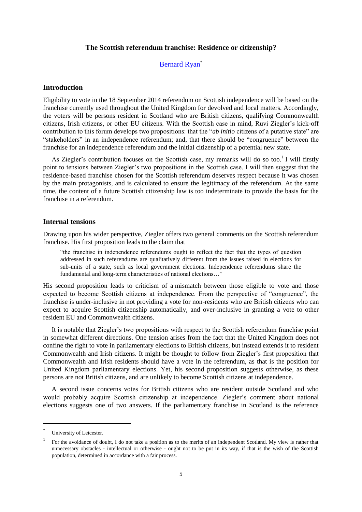# **The Scottish referendum franchise: Residence or citizenship?**

# Bernard Ryan\*

# <span id="page-14-1"></span><span id="page-14-0"></span>**Introduction**

Eligibility to vote in the 18 September 2014 referendum on Scottish independence will be based on the franchise currently used throughout the United Kingdom for devolved and local matters. Accordingly, the voters will be persons resident in Scotland who are British citizens, qualifying Commonwealth citizens, Irish citizens, or other EU citizens. With the Scottish case in mind, Ruvi Ziegler's kick-off contribution to this forum develops two propositions: that the "*ab initio* citizens of a putative state" are "stakeholders" in an independence referendum; and, that there should be "congruence" between the franchise for an independence referendum and the initial citizenship of a potential new state.

As Ziegler's contribution focuses on the Scottish case, my remarks will do so too.<sup>1</sup> I will firstly point to tensions between Ziegler's two propositions in the Scottish case. I will then suggest that the residence-based franchise chosen for the Scottish referendum deserves respect because it was chosen by the main protagonists, and is calculated to ensure the legitimacy of the referendum. At the same time, the content of a future Scottish citizenship law is too indeterminate to provide the basis for the franchise in a referendum.

## **Internal tensions**

Drawing upon his wider perspective, Ziegler offers two general comments on the Scottish referendum franchise. His first proposition leads to the claim that

"the franchise in independence referendums ought to reflect the fact that the types of question addressed in such referendums are qualitatively different from the issues raised in elections for sub-units of a state, such as local government elections. Independence referendums share the fundamental and long-term characteristics of national elections…"

His second proposition leads to criticism of a mismatch between those eligible to vote and those expected to become Scottish citizens at independence. From the perspective of "congruence", the franchise is under-inclusive in not providing a vote for non-residents who are British citizens who can expect to acquire Scottish citizenship automatically, and over-inclusive in granting a vote to other resident EU and Commonwealth citizens.

It is notable that Ziegler's two propositions with respect to the Scottish referendum franchise point in somewhat different directions. One tension arises from the fact that the United Kingdom does not confine the right to vote in parliamentary elections to British citizens, but instead extends it to resident Commonwealth and Irish citizens. It might be thought to follow from Ziegler's first proposition that Commonwealth and Irish residents should have a vote in the referendum, as that is the position for United Kingdom parliamentary elections. Yet, his second proposition suggests otherwise, as these persons are not British citizens, and are unlikely to become Scottish citizens at independence.

A second issue concerns votes for British citizens who are resident outside Scotland and who would probably acquire Scottish citizenship at independence. Ziegler's comment about national elections suggests one of two answers. If the parliamentary franchise in Scotland is the reference

l

<sup>\*</sup> University of Leicester.

<sup>1</sup> For the avoidance of doubt, I do not take a position as to the merits of an independent Scotland. My view is rather that unnecessary obstacles - intellectual or otherwise - ought not to be put in its way, if that is the wish of the Scottish population, determined in accordance with a fair process.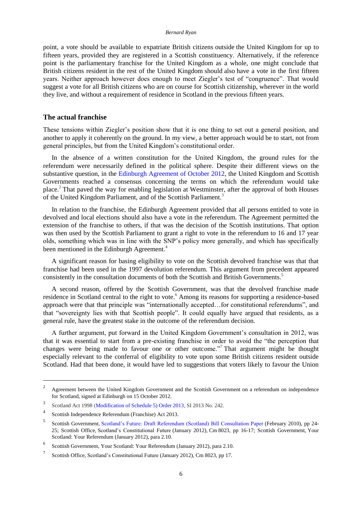#### *Bernard Ryan*

point, a vote should be available to expatriate British citizens outside the United Kingdom for up to fifteen years, provided they are registered in a Scottish constituency. Alternatively, if the reference point is the parliamentary franchise for the United Kingdom as a whole, one might conclude that British citizens resident in the rest of the United Kingdom should also have a vote in the first fifteen years. Neither approach however does enough to meet Ziegler's test of "congruence". That would suggest a vote for all British citizens who are on course for Scottish citizenship, wherever in the world they live, and without a requirement of residence in Scotland in the previous fifteen years.

#### **The actual franchise**

These tensions within Ziegler's position show that it is one thing to set out a general position, and another to apply it coherently on the ground. In my view, a better approach would be to start, not from general principles, but from the United Kingdom's constitutional order.

In the absence of a written constitution for the United Kingdom, the ground rules for the referendum were necessarily defined in the political sphere. Despite their different views on the substantive question, in the [Edinburgh Agreement of October 2012,](http://www.scotland.gov.uk/About/Government/concordats/Referendum-on-independence) the United Kingdom and Scottish Governments reached a consensus concerning the terms on which the referendum would take place.<sup>2</sup> That paved the way for enabling legislation at Westminster, after the approval of both Houses of the United Kingdom Parliament, and of the Scottish Parliament.<sup>3</sup>

In relation to the franchise, the Edinburgh Agreement provided that all persons entitled to vote in devolved and local elections should also have a vote in the referendum. The Agreement permitted the extension of the franchise to others, if that was the decision of the Scottish institutions. That option was then used by the Scottish Parliament to grant a right to vote in the referendum to 16 and 17 year olds, something which was in line with the SNP's policy more generally, and which has specifically been mentioned in the Edinburgh Agreement.<sup>4</sup>

A significant reason for basing eligibility to vote on the Scottish devolved franchise was that that franchise had been used in the 1997 devolution referendum. This argument from precedent appeared consistently in the consultation documents of both the Scottish and British Governments.<sup>5</sup>

A second reason, offered by the Scottish Government, was that the devolved franchise made residence in Scotland central to the right to vote.<sup>6</sup> Among its reasons for supporting a residence-based approach were that that principle was "internationally accepted…for constitutional referendums", and that "sovereignty lies with that Scottish people". It could equally have argued that residents, as a general rule, have the greatest stake in the outcome of the referendum decision.

A further argument, put forward in the United Kingdom Government's consultation in 2012, was that it was essential to start from a pre-existing franchise in order to avoid the "the perception that changes were being made to favour one or other outcome."<sup>7</sup> That argument might be thought especially relevant to the conferral of eligibility to vote upon some British citizens resident outside Scotland. Had that been done, it would have led to suggestions that voters likely to favour the Union

<sup>2</sup> Agreement between the United Kingdom Government and the Scottish Government on a referendum on independence for Scotland, signed at Edinburgh on 15 October 2012.

<sup>3</sup> Scotland Act 199[8 \(Modification of Schedule 5\) Order 2013,](http://www.legislation.gov.uk/uksi/2013/242/contents/made) SI 2013 No. 242.

<sup>4</sup> [Scottish Independence Referendum \(Franchise\) Act 2013.](http://www.legislation.gov.uk/asp/2013/13/contents)

<sup>5</sup> Scottish Government, [Scotland's Future: Draft Referendum \(Scotland\) Bill Consultation Paper](http://www.scotland.gov.uk/Resource/Doc/303348/0095138.pdf) (February 2010), pp 24- 25; Scottish Office, Scotland's Constitutional Future (January 2012), Cm 8023, pp 16-17; Scottish Government, Your Scotland: Your Referendum (January 2012), para 2.10.

<sup>6</sup> Scottish Government, [Your Scotland: Your Referendum](https://www.google.it/search?client=safari&rls=en&q=Your+Scotland:+Your+Referendum&ie=UTF-8&oe=UTF-8&gfe_rd=cr&ei=XwAHVMDDD8SD-waH5YHoDQ) (January 2012), para 2.10.

<sup>7</sup> Scottish Office, [Scotland's Constitutional Future](https://www.gov.uk/government/uploads/system/uploads/attachment_data/file/39248/Scotlands_Constitutional_Future.pdf) (January 2012), Cm 8023, pp 17.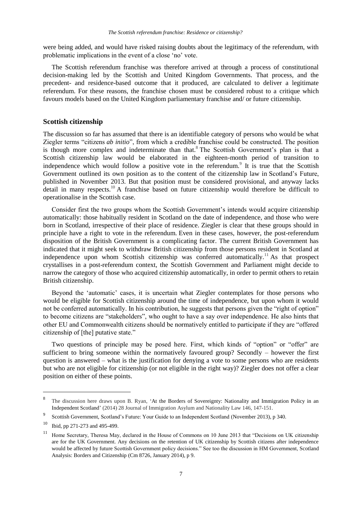were being added, and would have risked raising doubts about the legitimacy of the referendum, with problematic implications in the event of a close 'no' vote.

The Scottish referendum franchise was therefore arrived at through a process of constitutional decision-making led by the Scottish and United Kingdom Governments. That process, and the precedent- and residence-based outcome that it produced, are calculated to deliver a legitimate referendum. For these reasons, the franchise chosen must be considered robust to a critique which favours models based on the United Kingdom parliamentary franchise and/ or future citizenship.

# **Scottish citizenship**

The discussion so far has assumed that there is an identifiable category of persons who would be what Ziegler terms "citizens *ab initio*", from which a credible franchise could be constructed. The position is though more complex and indeterminate than that.<sup>8</sup> The Scottish Government's plan is that a Scottish citizenship law would be elaborated in the eighteen-month period of transition to independence which would follow a positive vote in the referendum. $9$  It is true that the Scottish Government outlined its own position as to the content of the citizenship law in Scotland's Future, published in November 2013. But that position must be considered provisional, and anyway lacks detail in many respects.<sup>10</sup> A franchise based on future citizenship would therefore be difficult to operationalise in the Scottish case.

Consider first the two groups whom the Scottish Government's intends would acquire citizenship automatically: those habitually resident in Scotland on the date of independence, and those who were born in Scotland, irrespective of their place of residence. Ziegler is clear that these groups should in principle have a right to vote in the referendum. Even in these cases, however, the post-referendum disposition of the British Government is a complicating factor. The current British Government has indicated that it might seek to withdraw British citizenship from those persons resident in Scotland at independence upon whom Scottish citizenship was conferred automatically.<sup>11</sup> As that prospect crystallises in a post-referendum context, the Scottish Government and Parliament might decide to narrow the category of those who acquired citizenship automatically, in order to permit others to retain British citizenship.

Beyond the 'automatic' cases, it is uncertain what Ziegler contemplates for those persons who would be eligible for Scottish citizenship around the time of independence, but upon whom it would not be conferred automatically. In his contribution, he suggests that persons given the "right of option" to become citizens are "stakeholders", who ought to have a say over independence. He also hints that other EU and Commonwealth citizens should be normatively entitled to participate if they are "offered citizenship of [the] putative state."

Two questions of principle may be posed here. First, which kinds of "option" or "offer" are sufficient to bring someone within the normatively favoured group? Secondly – however the first question is answered – what is the justification for denying a vote to some persons who are residents but who are not eligible for citizenship (or not eligible in the right way)? Ziegler does not offer a clear position on either of these points.

<sup>8</sup> The discussion here draws upon B. Ryan, ['At the Borders of Sovereignty: Nationality and Immigration Policy in an](http://papers.ssrn.com/sol3/papers.cfm?abstract_id=2450833)  [Independent Scotland'](http://papers.ssrn.com/sol3/papers.cfm?abstract_id=2450833) (2014) 28 Journal of Immigration Asylum and Nationality Law 146, 147-151.

<sup>9</sup> Scottish Government, [Scotland's Future: Your Guide to an Independent Scotland](http://scotreferendum.com/reports/scotlands-future-your-guide-to-an-independent-scotland/) (November 2013), p 340.

<sup>10</sup> [Ibid,](http://scotreferendum.com/reports/scotlands-future-your-guide-to-an-independent-scotland/) pp 271-273 and 495-499.

<sup>11</sup> Home Secretary, Theresa May, declared in the House of Commons on 10 June 2013 that "Decisions on UK citizenship are for the UK Government. Any decisions on the retention of UK citizenship by Scottish citizens after independence would be affected by future Scottish Government policy decisions." See too the discussion in HM Government, [Scotland](https://www.gov.uk/government/publications/scotland-analysis-borders-and-citizenship)  Analysis: Borders and [Citizenship](https://www.gov.uk/government/publications/scotland-analysis-borders-and-citizenship) (Cm 8726, January 2014), p 9.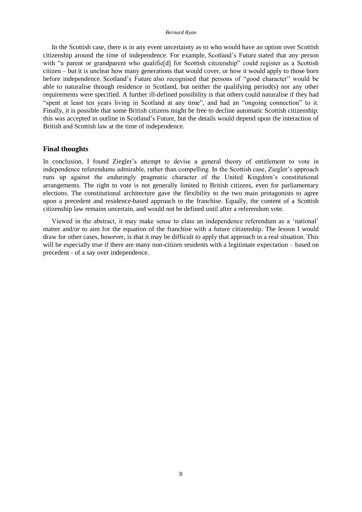#### *Bernard Ryan*

In the Scottish case, there is in any event uncertainty as to who would have an option over Scottish citizenship around the time of independence. For example, Scotland's Future stated that any person with "a parent or grandparent who qualifie<sup>[d]</sup> for Scottish citizenship" could register as a Scottish citizen – but it is unclear how many generations that would cover, or how it would apply to those born before independence. Scotland's Future also recognised that persons of "good character" would be able to naturalise through residence in Scotland, but neither the qualifying period(s) nor any other requirements were specified. A further ill-defined possibility is that others could naturalise if they had "spent at least ten years living in Scotland at any time", and had an "ongoing connection" to it. Finally, it is possible that some British citizens might be free to decline automatic Scottish citizenship: this was accepted in outline in Scotland's Future, but the details would depend upon the interaction of British and Scottish law at the time of independence.

# **Final thoughts**

In conclusion, I found Ziegler's attempt to devise a general theory of entitlement to vote in independence referendums admirable, rather than compelling. In the Scottish case, Ziegler's approach runs up against the enduringly pragmatic character of the United Kingdom's constitutional arrangements. The right to vote is not generally limited to British citizens, even for parliamentary elections. The constitutional architecture gave the flexibility to the two main protagonists to agree upon a precedent and residence-based approach to the franchise. Equally, the content of a Scottish citizenship law remains uncertain, and would not be defined until after a referendum vote.

Viewed in the abstract, it may make sense to class an independence referendum as a 'national' matter and/or to aim for the equation of the franchise with a future citizenship. The lesson I would draw for other cases, however, is that it may be difficult to apply that approach in a real situation. This will be especially true if there are many non-citizen residents with a legitimate expectation – based on precedent - of a say over independence.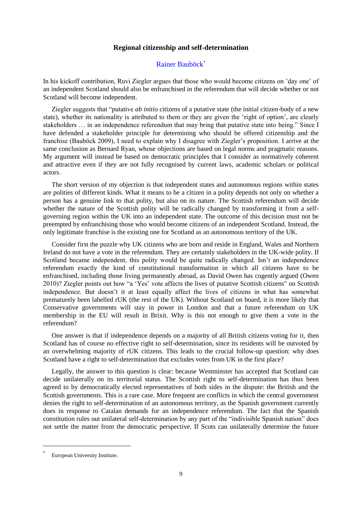## **Regional citizenship and self-determination**

# [Rainer Bauböck](http://eudo-citizenship.eu/about/people/consortium-members/93-bauboeck-rainer)\*

<span id="page-18-1"></span><span id="page-18-0"></span>In his kickoff contribution, Ruvi Ziegler argues that those who would become citizens on 'day one' of an independent Scotland should also be enfranchised in the referendum that will decide whether or not Scotland will become independent.

Ziegler suggests that "putative *ab initio* citizens of a putative state (the initial citizen-body of a new state), whether its nationality is attributed to them or they are given the 'right of option', are clearly stakeholders … in an independence referendum that may bring that putative state into being." Since I have defended a stakeholder principle for determining who should be offered citizenship and the franchise (Bauböck 2009), I need to explain why I disagree with Ziegler's proposition. I arrive at the same conclusion as Bernard Ryan, whose objections are based on legal norms and pragmatic reasons. My argument will instead be based on democratic principles that I consider as normatively coherent and attractive even if they are not fully recognised by current laws, academic scholars or political actors.

The short version of my objection is that independent states and autonomous regions within states are polities of different kinds. What it means to be a citizen in a polity depends not only on whether a person has a genuine link to that polity, but also on its nature. The Scottish referendum will decide whether the nature of the Scottish polity will be radically changed by transforming it from a selfgoverning region within the UK into an independent state. The outcome of this decision must not be preempted by enfranchising those who would become citizens of an independent Scotland. Instead, the only legitimate franchise is the existing one for Scotland as an autonomous territory of the UK.

Consider first the puzzle why UK citizens who are born and reside in England, Wales and Northern Ireland do not have a vote in the referendum. They are certainly stakeholders in the UK-wide polity. If Scotland became independent, this polity would be quite radically changed. Isn't an independence referendum exactly the kind of constitutional transformation in which all citizens have to be enfranchised, including those living permanently abroad, as David Owen has cogently argued (Owen 2010)? Ziegler points out how "a 'Yes' vote affects the lives of putative Scottish citizens" on Scottish independence. But doesn't it at least equally affect the lives of citizens in what has somewhat prematurely been labelled rUK (the rest of the UK). Without Scotland on board, it is more likely that Conservative governments will stay in power in London and that a future referendum on UK membership in the EU will result in Brixit. Why is this not enough to give them a vote in the referendum?

One answer is that if independence depends on a majority of all British citizens voting for it, then Scotland has of course no effective right to self-determination, since its residents will be outvoted by an overwhelming majority of rUK citizens. This leads to the crucial follow-up question: why does Scotland have a right to self-determination that excludes votes from UK in the first place?

Legally, the answer to this question is clear: because Westminster has accepted that Scotland can decide unilaterally on its territorial status. The Scottish right to self-determination has thus been agreed to by democratically elected representatives of both sides in the dispute: the British and the Scottish governments. This is a rare case. More frequent are conflicts in which the central government denies the right to self-determination of an autonomous territory, as the Spanish government currently does in response to Catalan demands for an independence referendum. The fact that the Spanish constitution rules out unilateral self-determination by any part of the "indivisible Spanish nation" does not settle the matter from the democratic perspective. If Scots can unilaterally determine the future

<sup>\*</sup> European University Institute.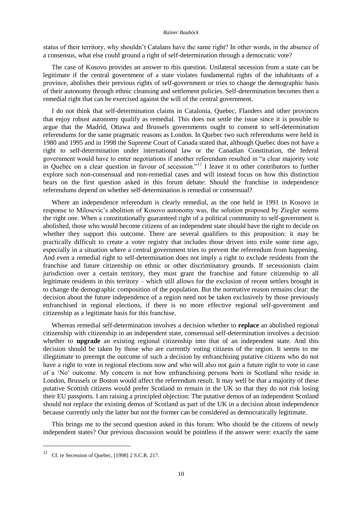#### *Rainer Bauböck*

status of their territory, why shouldn't Catalans have the same right? In other words, in the absence of a consensus, what else could ground a right of self-determination through a democratic vote?

The case of Kosovo provides an answer to this question. Unilateral secession from a state can be legitimate if the central government of a state violates fundamental rights of the inhabitants of a province, abolishes their previous rights of self-government or tries to change the demographic basis of their autonomy through ethnic cleansing and settlement policies. Self-determination becomes then a remedial right that can be exercised against the will of the central government.

I do not think that self-determination claims in Catalonia, Quebec, Flanders and other provinces that enjoy robust autonomy qualify as remedial. This does not settle the issue since it is possible to argue that the Madrid, Ottawa and Brussels governments ought to consent to self-determination referendums for the same pragmatic reasons as London. In Quebec two such referendums were held in 1980 and 1995 and in 1998 the Supreme Court of Canada stated that, although Quebec does not have a right to self-determination under international law or the Canadian Constitution, the federal government would have to enter negotiations if another referendum resulted in "a clear majority vote in Quebec on a clear question in favour of secession."<sup>12</sup> I leave it to other contributors to further explore such non-consensual and non-remedial cases and will instead focus on how this distinction bears on the first question asked in this forum debate: Should the franchise in independence referendums depend on whether self-determination is remedial or consensual?

Where an independence referendum is clearly remedial, as the one held in 1991 in Kosovo in response to Milosevic's abolition of Kosovo autonomy was, the solution proposed by Ziegler seems the right one. When a constitutionally guaranteed right of a political community to self-government is abolished, those who would become citizens of an independent state should have the right to decide on whether they support this outcome. There are several qualifiers to this proposition: it may be practically difficult to create a voter registry that includes those driven into exile some time ago, especially in a situation where a central government tries to prevent the referendum from happening. And even a remedial right to self-determination does not imply a right to exclude residents from the franchise and future citizenship on ethnic or other discriminatory grounds. If secessionists claim jurisdiction over a certain territory, they must grant the franchise and future citizenship to all legitimate residents in this territory – which still allows for the exclusion of recent settlers brought in to change the demographic composition of the population. But the normative reason remains clear: the decision about the future independence of a region need not be taken exclusively by those previously enfranchised in regional elections, if there is no more effective regional self-government and citizenship as a legitimate basis for this franchise.

Whereas remedial self-determination involves a decision whether to **replace** an abolished regional citizenship with citizenship in an independent state, consensual self-determination involves a decision whether to **upgrade** an existing regional citizenship into that of an independent state. And this decision should be taken by those who are currently voting citizens of the region. It seems to me illegitimate to preempt the outcome of such a decision by enfranchising putative citizens who do not have a right to vote in regional elections now and who will also not gain a future right to vote in case of a 'No' outcome. My concern is not how enfranchising persons born in Scotland who reside in London, Brussels or Boston would affect the referendum result. It may well be that a majority of these putative Scottish citizens would prefer Scotland to remain in the UK so that they do not risk losing their EU passports. I am raising a principled objection: The putative demos of an independent Scotland should not replace the existing demos of Scotland as part of the UK in a decision about independence because currently only the latter but not the former can be considered as democratically legitimate.

This brings me to the second question asked in this forum: Who should be the citizens of newly independent states? Our previous discussion would be pointless if the answer were: exactly the same

<sup>&</sup>lt;sup>12</sup> Cf[. re Secession of Quebec, \[1998\]](http://scc-csc.lexum.com/scc-csc/scc-csc/fr/item/1643/index.do) 2 S.C.R. 217.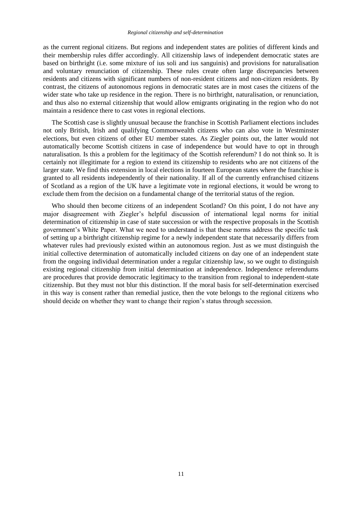as the current regional citizens. But regions and independent states are polities of different kinds and their membership rules differ accordingly. All citizenship laws of independent democratic states are based on birthright (i.e. some mixture of ius soli and ius sanguinis) and provisions for naturalisation and voluntary renunciation of citizenship. These rules create often large discrepancies between residents and citizens with significant numbers of non-resident citizens and non-citizen residents. By contrast, the citizens of autonomous regions in democratic states are in most cases the citizens of the wider state who take up residence in the region. There is no birthright, naturalisation, or renunciation, and thus also no external citizenship that would allow emigrants originating in the region who do not maintain a residence there to cast votes in regional elections.

The Scottish case is slightly unusual because the franchise in Scottish Parliament elections includes not only British, Irish and qualifying Commonwealth citizens who can also vote in Westminster elections, but even citizens of other EU member states. As Ziegler points out, the latter would not automatically become Scottish citizens in case of independence but would have to opt in through naturalisation. Is this a problem for the legitimacy of the Scottish referendum? I do not think so. It is certainly not illegitimate for a region to extend its citizenship to residents who are not citizens of the larger state. We find this extension in local elections in fourteen European states where the franchise is granted to all residents independently of their nationality. If all of the currently enfranchised citizens of Scotland as a region of the UK have a legitimate vote in regional elections, it would be wrong to exclude them from the decision on a fundamental change of the territorial status of the region.

Who should then become citizens of an independent Scotland? On this point, I do not have any major disagreement with Ziegler's helpful discussion of international legal norms for initial determination of citizenship in case of state succession or with the respective proposals in the Scottish government's White Paper. What we need to understand is that these norms address the specific task of setting up a birthright citizenship regime for a newly independent state that necessarily differs from whatever rules had previously existed within an autonomous region. Just as we must distinguish the initial collective determination of automatically included citizens on day one of an independent state from the ongoing individual determination under a regular citizenship law, so we ought to distinguish existing regional citizenship from initial determination at independence. Independence referendums are procedures that provide democratic legitimacy to the transition from regional to independent-state citizenship. But they must not blur this distinction. If the moral basis for self-determination exercised in this way is consent rather than remedial justice, then the vote belongs to the regional citizens who should decide on whether they want to change their region's status through secession.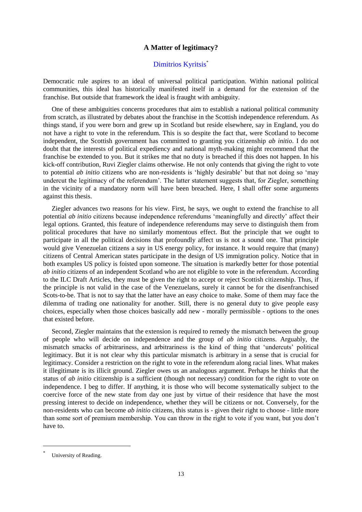# **A Matter of legitimacy?**

# [Dimitrios Kyritsis](http://eudo-citizenship.eu/about/people/other-eudo-citizenship-collaborators/1173-dimitrios-kyritsis)<sup>\*</sup>

<span id="page-22-1"></span><span id="page-22-0"></span>Democratic rule aspires to an ideal of universal political participation. Within national political communities, this ideal has historically manifested itself in a demand for the extension of the franchise. But outside that framework the ideal is fraught with ambiguity.

One of these ambiguities concerns procedures that aim to establish a national political community from scratch, as illustrated by debates about the franchise in the Scottish independence referendum. As things stand, if you were born and grew up in Scotland but reside elsewhere, say in England, you do not have a right to vote in the referendum. This is so despite the fact that, were Scotland to become independent, the Scottish government has committed to granting you citizenship *ab initio*. I do not doubt that the interests of political expediency and national myth-making might recommend that the franchise be extended to you. But it strikes me that no duty is breached if this does not happen. In his kick-off contribution, Ruvi Ziegler claims otherwise. He not only contends that giving the right to vote to potential *ab initio* citizens who are non-residents is 'highly desirable' but that not doing so 'may undercut the legitimacy of the referendum'. The latter statement suggests that, for Ziegler, something in the vicinity of a mandatory norm will have been breached. Here, I shall offer some arguments against this thesis.

Ziegler advances two reasons for his view. First, he says, we ought to extend the franchise to all potential *ab initio* citizens because independence referendums 'meaningfully and directly' affect their legal options. Granted, this feature of independence referendums may serve to distinguish them from political procedures that have no similarly momentous effect. But the principle that we ought to participate in all the political decisions that profoundly affect us is not a sound one. That principle would give Venezuelan citizens a say in US energy policy, for instance. It would require that (many) citizens of Central American states participate in the design of US immigration policy. Notice that in both examples US policy is foisted upon someone. The situation is markedly better for those potential *ab initio* citizens of an independent Scotland who are not eligible to vote in the referendum. According to the ILC Draft Articles, they must be given the right to accept or reject Scottish citizenship. Thus, if the principle is not valid in the case of the Venezuelans, surely it cannot be for the disenfranchised Scots-to-be. That is not to say that the latter have an easy choice to make. Some of them may face the dilemma of trading one nationality for another. Still, there is no general duty to give people easy choices, especially when those choices basically add new - morally permissible - options to the ones that existed before.

Second, Ziegler maintains that the extension is required to remedy the mismatch between the group of people who will decide on independence and the group of *ab initio* citizens. Arguably, the mismatch smacks of arbitrariness, and arbitrariness is the kind of thing that 'undercuts' political legitimacy. But it is not clear why this particular mismatch is arbitrary in a sense that is crucial for legitimacy. Consider a restriction on the right to vote in the referendum along racial lines. What makes it illegitimate is its illicit ground. Ziegler owes us an analogous argument. Perhaps he thinks that the status of *ab initio* citizenship is a sufficient (though not necessary) condition for the right to vote on independence. I beg to differ. If anything, it is those who will become systematically subject to the coercive force of the new state from day one just by virtue of their residence that have the most pressing interest to decide on independence, whether they will be citizens or not. Conversely, for the non-residents who can become *ab initio* citizens, this status is - given their right to choose - little more than some sort of premium membership. You can throw in the right to vote if you want, but you don't have to.

<sup>\*</sup> University of Reading.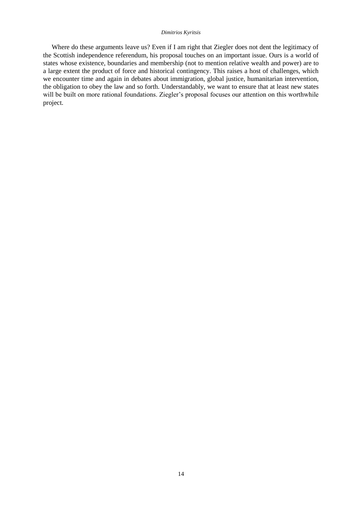#### *Dimitrios Kyritsis*

Where do these arguments leave us? Even if I am right that Ziegler does not dent the legitimacy of the Scottish independence referendum, his proposal touches on an important issue. Ours is a world of states whose existence, boundaries and membership (not to mention relative wealth and power) are to a large extent the product of force and historical contingency. This raises a host of challenges, which we encounter time and again in debates about immigration, global justice, humanitarian intervention, the obligation to obey the law and so forth. Understandably, we want to ensure that at least new states will be built on more rational foundations. Ziegler's proposal focuses our attention on this worthwhile project.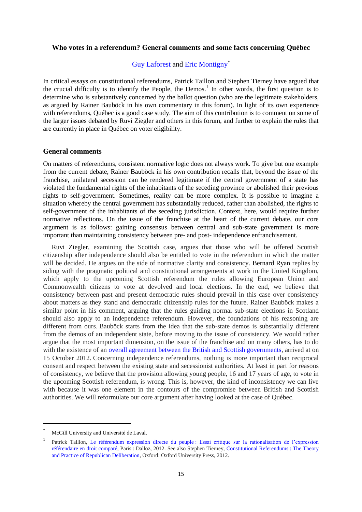# <span id="page-24-1"></span><span id="page-24-0"></span>**Who votes in a referendum? General comments and some facts concerning Québec**

# [Guy Laforest](http://eudo-citizenship.eu/about/people/other-eudo-citizenship-collaborators/1202-guy-laforest) and [Eric Montigny](http://eudo-citizenship.eu/about/people/other-eudo-citizenship-collaborators/1200-eric-montigny)\*

In critical essays on constitutional referendums, Patrick Taillon and Stephen Tierney have argued that the crucial difficulty is to identify the People, the Demos.<sup>1</sup> In other words, the first question is to determine who is substantively concerned by the ballot question (who are the legitimate stakeholders, as argued by [Rainer Bauböck](http://eudo-citizenship.eu/commentaries/citizenship-forum/citizenship-forum-cat/1157-independence-referendums-who-should-vote-and-who-should-be-offered-citizenship?showall=&start=2) in his own commentary in this forum). In light of its own experience with referendums, Québec is a good case study. The aim of this contribution is to comment on some of the larger issues debated by Ruvi Ziegler and others in this forum, and further to explain the rules that are currently in place in Québec on voter eligibility.

# **General comments**

On matters of referendums, consistent normative logic does not always work. To give but one example from the current debate, Rainer Bauböck in his own contribution recalls that, beyond the issue of the franchise, unilateral secession can be rendered legitimate if the central government of a state has violated the fundamental rights of the inhabitants of the seceding province or abolished their previous rights to self-government. Sometimes, reality can be more complex. It is possible to imagine a situation whereby the central government has substantially reduced, rather than abolished, the rights to self-government of the inhabitants of the seceding jurisdiction. Context, here, would require further normative reflections. On the issue of the franchise at the heart of the current debate, our core argument is as follows: gaining consensus between central and sub-state government is more important than maintaining consistency between pre- and post- independence enfranchisement.

[Ruvi Ziegler,](http://eudo-citizenship.eu/commentaries/citizenship-forum/citizenship-forum-cat/1157-independence-referendums-who-should-vote-and-who-should-be-offered-citizenship?showall=&limitstart=) examining the Scottish case, argues that those who will be offered Scottish citizenship after independence should also be entitled to vote in the referendum in which the matter will be decided. He argues on the side of normative clarity and consistency. [Bernard Ryan](http://eudo-citizenship.eu/commentaries/citizenship-forum/citizenship-forum-cat/1157-independence-referendums-who-should-vote-and-who-should-be-offered-citizenship?showall=&start=1) replies by siding with the pragmatic political and constitutional arrangements at work in the United Kingdom, which apply to the upcoming Scottish referendum the rules allowing European Union and Commonwealth citizens to vote at devolved and local elections. In the end, we believe that consistency between past and present democratic rules should prevail in this case over consistency about matters as they stand and democratic citizenship rules for the future. Rainer Bauböck makes a similar point in his comment, arguing that the rules guiding normal sub-state elections in Scotland should also apply to an independence referendum. However, the foundations of his reasoning are different from ours. Bauböck starts from the idea that the sub-state demos is substantially different from the demos of an independent state, before moving to the issue of consistency. We would rather argue that the most important dimension, on the issue of the franchise and on many others, has to do with the existence of an [overall agreement between the British and Scottish governments,](http://www.scotland.gov.uk/About/Government/concordats/Referendum-on-independence) arrived at on 15 October 2012. Concerning independence referendums, nothing is more important than reciprocal consent and respect between the existing state and secessionist authorities. At least in part for reasons of consistency, we believe that the provision allowing young people, 16 and 17 years of age, to vote in the upcoming Scottish referendum, is wrong. This is, however, the kind of inconsistency we can live with because it was one element in the contours of the compromise between British and Scottish authorities. We will reformulate our core argument after having looked at the case of Québec.

l

McGill University and Université de Laval.

<sup>1</sup> Patrick Taillon, Le référendum expression directe du peuple [: Essai critique sur la rationalisation de l'expression](http://www.worldcat.org/title/referendum-expression-directe-de-la-souverainete-du-peuple-essai-critique-sur-la-rationalisation-de-lexpression-referendaire-en-droit-compare/oclc/794214340?referer=di&ht=edition)  [référendaire en droit comparé,](http://www.worldcat.org/title/referendum-expression-directe-de-la-souverainete-du-peuple-essai-critique-sur-la-rationalisation-de-lexpression-referendaire-en-droit-compare/oclc/794214340?referer=di&ht=edition) Paris : Dalloz, 2012. See also Stephen Tierney, [Constitutional Referendums](http://books.google.it/books?hl=fr&lr=&id=nJj8C4v3NBYC&oi=fnd&pg=PP2&dq=constitutional+Referendums+:+The+Theory+and+Practice+of+Republican+Deliberation&ots=aBI18oZGBy&sig=2YbHErw7lru4MbCMusGytOBnKOk#v=onepage&q=constitutional%20Referendums%20%3A%20The%20Theory%20and%20Practice%20of%20Republican%20Deliberation&f=false) : The Theory [and Practice of Republican Deliberation,](http://books.google.it/books?hl=fr&lr=&id=nJj8C4v3NBYC&oi=fnd&pg=PP2&dq=constitutional+Referendums+:+The+Theory+and+Practice+of+Republican+Deliberation&ots=aBI18oZGBy&sig=2YbHErw7lru4MbCMusGytOBnKOk#v=onepage&q=constitutional%20Referendums%20%3A%20The%20Theory%20and%20Practice%20of%20Republican%20Deliberation&f=false) Oxford: Oxford University Press, 2012.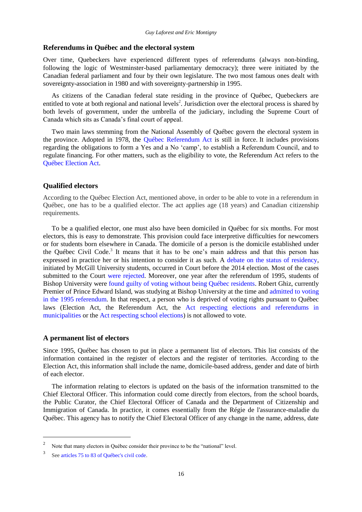#### **Referendums in Québec and the electoral system**

Over time, Quebeckers have experienced different types of referendums (always non-binding, following the logic of Westminster-based parliamentary democracy); three were initiated by the Canadian federal parliament and four by their own legislature. The two most famous ones dealt with sovereignty-association in 1980 and with sovereignty-partnership in 1995.

As citizens of the Canadian federal state residing in the province of Québec, Quebeckers are entitled to vote at both regional and national levels<sup>2</sup>. Jurisdiction over the electoral process is shared by both levels of government, under the umbrella of the judiciary, including the Supreme Court of Canada which sits as Canada's final court of appeal.

Two main laws stemming from the National Assembly of Québec govern the electoral system in the province. Adopted in 1978, the [Québec Referendum Act](http://www2.publicationsduquebec.gouv.qc.ca/dynamicSearch/telecharge.php?type=2&file=/C_64_1/C64_1_A.html) is still in force. It includes provisions regarding the obligations to form a Yes and a No 'camp', to establish a Referendum Council, and to regulate financing. For other matters, such as the eligibility to vote, the Referendum Act refers to the [Québec Election Act.](http://www2.publicationsduquebec.gouv.qc.ca/dynamicSearch/telecharge.php?type=2&file=/E_3_3/E3_3_A.html)

#### **Qualified electors**

According to the Québec Election Act, mentioned above, in order to be able to vote in a referendum in Québec, one has to be a qualified elector. The act applies age (18 years) and Canadian citizenship requirements.

To be a qualified elector, one must also have been domiciled in Québec for six months. For most electors, this is easy to demonstrate. This provision could face interpretive difficulties for newcomers or for students born elsewhere in Canada. The domicile of a person is the domicile established under the Québec Civil Code.<sup>3</sup> It means that it has to be one's main address and that this person has expressed in practice her or his intention to consider it as such. A [debate on the status of residency,](http://www.montrealgazette.com/life/More+students+complain+they+were+able+register+vote/9674736/story.html?__federated=1) initiated by McGill University students, occurred in Court before the 2014 election. Most of the cases submitted to the Court were [rejected.](http://www.montrealgazette.com/life/More+students+complain+they+were+able+register+vote/9674736/story.html?__federated=1) Moreover, one year after the referendum of 1995, students of Bishop University were [found guilty of voting without being Québec residents.](http://www.electionsquebec.qc.ca/english/news-detail.php?id=1727) Robert Ghiz, currently Premier of Prince Edward Island, was studying at Bishop University at the time and [admitted to voting](http://www.ledevoir.com/politique/quebec/145530/la-bande-a-robert)  [in the 1995 referendum.](http://www.ledevoir.com/politique/quebec/145530/la-bande-a-robert) In that respect, a person who is deprived of voting rights pursuant to Québec laws (Election Act, the Referendum Act, the [Act respecting elections and referendums in](http://www2.publicationsduquebec.gouv.qc.ca/dynamicSearch/telecharge.php?type=2&file=/E_2_2/E2_2_A.html)  [municipalities](http://www2.publicationsduquebec.gouv.qc.ca/dynamicSearch/telecharge.php?type=2&file=/E_2_2/E2_2_A.html) or the [Act respecting school elections\)](http://www2.publicationsduquebec.gouv.qc.ca/dynamicSearch/telecharge.php?type=2&file=/E_2_3/E2_3_A.html) is not allowed to vote.

## **A permanent list of electors**

Since 1995, Québec has chosen to put in place a permanent list of electors. This list consists of the information contained in the register of electors and the register of territories. According to the Election Act, this information shall include the name, domicile-based address, gender and date of birth of each elector.

The information relating to electors is updated on the basis of the information transmitted to the Chief Electoral Officer. This information could come directly from electors, from the school boards, the Public Curator, the Chief Electoral Officer of Canada and the Department of Citizenship and Immigration of Canada. In practice, it comes essentially from the Régie de l'assurance-maladie du Québec. This agency has to notify the Chief Electoral Officer of any change in the name, address, date

<sup>2</sup> Note that many electors in Québec consider their province to be the "national" level.

<sup>3</sup> Se[e articles 75 to 83 of Québec's civil code.](http://www2.publicationsduquebec.gouv.qc.ca/dynamicSearch/telecharge.php?type=2&file=/E_3_3/E3_3_A.html)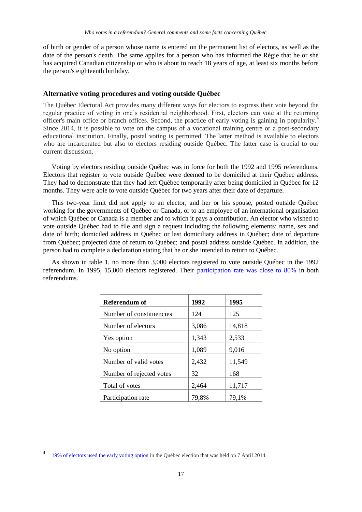of birth or gender of a person whose name is entered on the permanent list of electors, as well as the date of the person's death. The same applies for a person who has informed the Régie that he or she has acquired Canadian citizenship or who is about to reach 18 years of age, at least six months before the person's eighteenth birthday.

# **Alternative voting procedures and voting outside Québec**

The Québec Electoral Act provides many different ways for electors to express their vote beyond the regular practice of voting in one's residential neighborhood. First, electors can vote at the returning officer's main office or branch offices. Second, the practice of early voting is gaining in popularity.<sup>4</sup> Since 2014, it is possible to vote on the campus of a vocational training centre or a post-secondary educational institution. Finally, postal voting is permitted. The latter method is available to electors who are incarcerated but also to electors residing outside Québec. The latter case is crucial to our current discussion.

Voting by electors residing outside Québec was in force for both the 1992 and 1995 referendums. Electors that register to vote outside Québec were deemed to be domiciled at their Québec address. They had to demonstrate that they had left Québec temporarily after being domiciled in Québec for 12 months. They were able to vote outside Québec for two years after their date of departure.

This two-year limit did not apply to an elector, and her or his spouse, posted outside Québec working for the governments of Québec or Canada, or to an employee of an international organisation of which Québec or Canada is a member and to which it pays a contribution. An elector who wished to vote outside Québec had to file and sign a request including the following elements: name, sex and date of birth; domiciled address in Québec or last domiciliary address in Québec; date of departure from Québec; projected date of return to Québec; and postal address outside Québec. In addition, the person had to complete a declaration stating that he or she intended to return to Québec.

As shown in table 1, no more than 3,000 electors registered to vote outside Québec in the 1992 referendum. In 1995, 15,000 electors registered. Their [participation rate was close to 80%](http://www.electionsquebec.qc.ca/francais/tableaux/referendums-detenus-8485.php) in both referendums.

| Referendum of            | 1992  | 1995   |
|--------------------------|-------|--------|
| Number of constituencies | 124   | 125    |
| Number of electors       | 3,086 | 14,818 |
| Yes option               | 1,343 | 2,533  |
| No option                | 1,089 | 9,016  |
| Number of valid votes    | 2,432 | 11,549 |
| Number of rejected votes | 32    | 168    |
| Total of votes           | 2,464 | 11,717 |
| Participation rate       | 79,8% | 79,1%  |

<sup>4</sup> [19% of electors used the early voting option](http://ici.radio-canada.ca/sujet/elections-quebec-2014/2014/04/04/018-elections-quebec-taux-participation-vote-anticipation.shtml) in the Québec election that was held on 7 April 2014.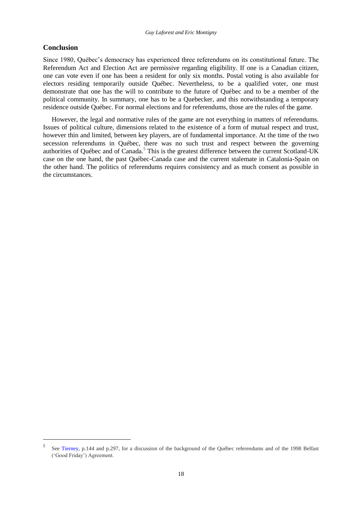# **Conclusion**

 $\overline{\phantom{a}}$ 

Since 1980, Québec's democracy has experienced three referendums on its constitutional future. The Referendum Act and Election Act are permissive regarding eligibility. If one is a Canadian citizen, one can vote even if one has been a resident for only six months. Postal voting is also available for electors residing temporarily outside Québec. Nevertheless, to be a qualified voter, one must demonstrate that one has the will to contribute to the future of Québec and to be a member of the political community. In summary, one has to be a Quebecker, and this notwithstanding a temporary residence outside Québec. For normal elections and for referendums, those are the rules of the game.

However, the legal and normative rules of the game are not everything in matters of referendums. Issues of political culture, dimensions related to the existence of a form of mutual respect and trust, however thin and limited, between key players, are of fundamental importance. At the time of the two secession referendums in Québec, there was no such trust and respect between the governing authorities of Québec and of Canada.<sup>5</sup> This is the greatest difference between the current Scotland-UK case on the one hand, the past Québec-Canada case and the current stalemate in Catalonia-Spain on the other hand. The politics of referendums requires consistency and as much consent as possible in the circumstances.

<sup>5</sup> See [Tierney,](http://books.google.it/books?hl=fr&lr=&id=nJj8C4v3NBYC&oi=fnd&pg=PP2&dq=constitutional+Referendums+:+The+Theory+and+Practice+of+Republican+Deliberation&ots=aBI18oZGBy&sig=2YbHErw7lru4MbCMusGytOBnKOk#v=onepage&q=constitutional%20Referendums%20%3A%20The%20Theory%20and%20Practice%20of%20Republican%20Deliberation&f=false) p.144 and p.297, for a discussion of the background of the Québec referendums and of the 1998 Belfast ('Good Friday') Agreement.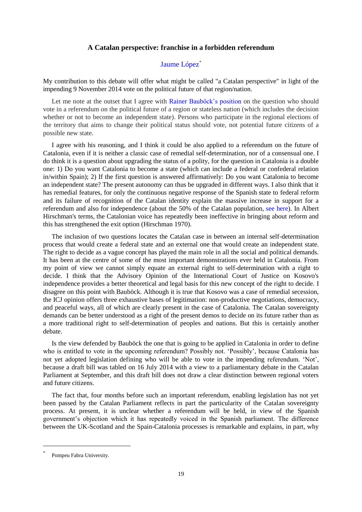# **A Catalan perspective: franchise in a forbidden referendum**

# [Jaume López](http://www.upf.edu/dcpis/en/pdi/professorat/jlh.html)<sup>\*</sup>

<span id="page-28-1"></span><span id="page-28-0"></span>My contribution to this debate will offer what might be called "a Catalan perspective" in light of the impending 9 November 2014 vote on the political future of that region/nation.

Let me note at the outset that I agree with Rainer [Bauböck's position](http://eudo-citizenship.eu/commentaries/citizenship-forum/citizenship-forum-cat/1157-independence-referendums-who-should-vote-and-who-should-be-offered-citizenship?showall=&start=2) on the question who should vote in a referendum on the political future of a region or stateless nation (which includes the decision whether or not to become an independent state). Persons who participate in the regional elections of the territory that aims to change their political status should vote, not potential future citizens of a possible new state.

I agree with his reasoning, and I think it could be also applied to a referendum on the future of Catalonia, even if it is neither a classic case of remedial self-determination, nor of a consensual one. I do think it is a question about upgrading the status of a polity, for the question in Catalonia is a double one: 1) Do you want Catalonia to become a state (which can include a federal or confederal relation in/within Spain); 2) If the first question is answered affirmatively: Do you want Catalonia to become an independent state? The present autonomy can thus be upgraded in different ways. I also think that it has remedial features, for only the continuous negative response of the Spanish state to federal reform and its failure of recognition of the Catalan identity explain the massive increase in support for a referendum and also for independence (about the 50% of the Catalan population, [see here\)](http://ceo.gencat.cat/ceop/AppJava/pages/estudis/categories/fitxaEstudi.html?colId=4888&lastTitle=Bar%F2metre+d%27Opini%F3+Pol%EDtica+%28BOP%29.+1a+onada+2014). In Albert Hirschman's terms, the Catalonian voice has repeatedly been ineffective in bringing about reform and this has strengthened the exit option (Hirschman 1970).

The inclusion of two questions locates the Catalan case in between an internal self-determination process that would create a federal state and an external one that would create an independent state. The right to decide as a vague concept has played the main role in all the social and political demands. It has been at the centre of some of the most important demonstrations ever held in Catalonia. From my point of view we cannot simply equate an external right to self-determination with a right to decide. I think that the Advisory Opinion of the International Court of Justice on Kosovo's independence provides a better theoretical and legal basis for this new concept of the right to decide. I disagree on this point with Bauböck. Although it is true that Kosovo was a case of remedial secession, the ICJ opinion offers three exhaustive bases of legitimation: non-productive negotiations, democracy, and peaceful ways, all of which are clearly present in the case of Catalonia. The Catalan sovereignty demands can be better understood as a right of the present demos to decide on its future rather than as a more traditional right to self-determination of peoples and nations. But this is certainly another debate.

Is the view defended by Bauböck the one that is going to be applied in Catalonia in order to define who is entitled to vote in the upcoming referendum? Possibly not. 'Possibly', because Catalonia has not yet adopted legislation defining who will be able to vote in the impending referendum. 'Not', because a draft bill was tabled on 16 July 2014 with a view to a parliamentary debate in the Catalan Parliament at September, and this draft bill does not draw a clear distinction between regional voters and future citizens.

The fact that, four months before such an important referendum, enabling legislation has not yet been passed by the Catalan Parliament reflects in part the particularity of the Catalan sovereignty process. At present, it is unclear whether a referendum will be held, in view of the Spanish government's objection which it has repeatedly voiced in the Spanish parliament. The difference between the UK-Scotland and the Spain-Catalonia processes is remarkable and explains, in part, why

<sup>\*</sup> Pompeu Fabra University.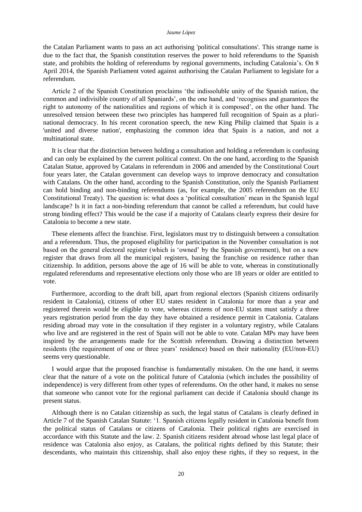#### *Jaume López*

the Catalan Parliament wants to pass an act authorising 'political consultations'. This strange name is due to the fact that, the Spanish constitution reserves the power to hold referendums to the Spanish state, and prohibits the holding of referendums by regional governments, including Catalonia's. On 8 April 2014, the Spanish Parliament voted against authorising the Catalan Parliament to legislate for a referendum.

Article 2 of the Spanish Constitution proclaims 'the indissoluble unity of the Spanish nation, the common and indivisible country of all Spaniards', on the one hand, and 'recognises and guarantees the right to autonomy of the nationalities and regions of which it is composed', on the other hand. The unresolved tension between these two principles has hampered full recognition of Spain as a plurinational democracy. In his recent coronation speech, the new King Philip claimed that Spain is a 'united and diverse nation', emphasizing the common idea that Spain is a nation, and not a multinational state.

It is clear that the distinction between holding a consultation and holding a referendum is confusing and can only be explained by the current political context. On the one hand, according to the Spanish Catalan Statue, approved by Catalans in referendum in 2006 and amended by the Constitutional Court four years later, the Catalan government can develop ways to improve democracy and consultation with Catalans. On the other hand, according to the Spanish Constitution, only the Spanish Parliament can hold binding and non-binding referendums (as, for example, the 2005 referendum on the EU Constitutional Treaty). The question is: what does a 'political consultation' mean in the Spanish legal landscape? Is it in fact a non-binding referendum that cannot be called a referendum, but could have strong binding effect? This would be the case if a majority of Catalans clearly express their desire for Catalonia to become a new state.

These elements affect the franchise. First, legislators must try to distinguish between a consultation and a referendum. Thus, the proposed eligibility for participation in the November consultation is not based on the general electoral register (which is 'owned' by the Spanish government), but on a new register that draws from all the municipal registers, basing the franchise on residence rather than citizenship. In addition, persons above the age of 16 will be able to vote, whereas in constitutionally regulated referendums and representative elections only those who are 18 years or older are entitled to vote.

Furthermore, according to the draft bill, apart from regional electors (Spanish citizens ordinarily resident in Catalonia), citizens of other EU states resident in Catalonia for more than a year and registered therein would be eligible to vote, whereas citizens of non-EU states must satisfy a three years registration period from the day they have obtained a residence permit in Catalonia. Catalans residing abroad may vote in the consultation if they register in a voluntary registry, while Catalans who live and are registered in the rest of Spain will not be able to vote. Catalan MPs may have been inspired by the arrangements made for the Scottish referendum. Drawing a distinction between residents (the requirement of one or three years' residence) based on their nationality (EU/non-EU) seems very questionable.

I would argue that the proposed franchise is fundamentally mistaken. On the one hand, it seems clear that the nature of a vote on the political future of Catalonia (which includes the possibility of independence) is very different from other types of referendums. On the other hand, it makes no sense that someone who cannot vote for the regional parliament can decide if Catalonia should change its present status.

Although there is no Catalan citizenship as such, the legal status of Catalans is clearly defined in [Article 7 of the Spanish Catalan Statute:](http://www.gencat.cat/generalitat/eng/estatut1979/titol_preliminar.htm) '1. Spanish citizens legally resident in Catalonia benefit from the political status of Catalans or citizens of Catalonia. Their political rights are exercised in accordance with this Statute and the law. 2. Spanish citizens resident abroad whose last legal place of residence was Catalonia also enjoy, as Catalans, the political rights defined by this Statute; their descendants, who maintain this citizenship, shall also enjoy these rights, if they so request, in the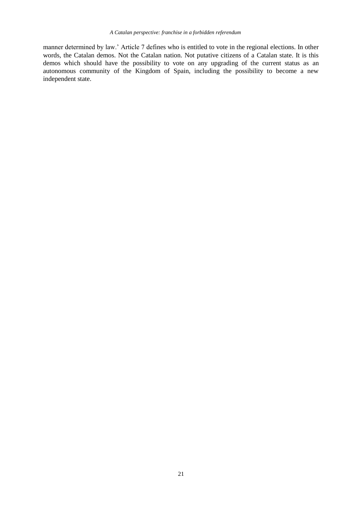manner determined by law.' Article 7 defines who is entitled to vote in the regional elections. In other words, the Catalan demos. Not the Catalan nation. Not putative citizens of a Catalan state. It is this demos which should have the possibility to vote on any upgrading of the current status as an autonomous community of the Kingdom of Spain, including the possibility to become a new independent state.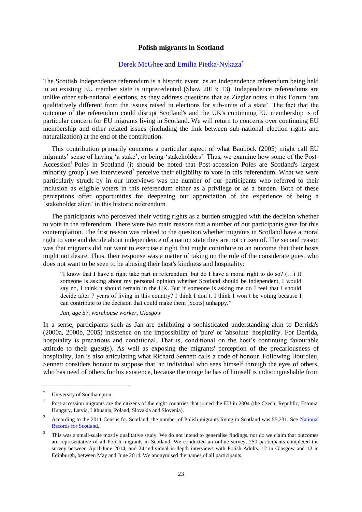## **Polish migrants in Scotland**

#### [Derek McGhee](http://eudo-citizenship.eu/about/people/other-eudo-citizenship-collaborators/1204-derek-mcghee) and [Emilia Pietka-Nykaza](http://eudo-citizenship.eu/about/people/other-eudo-citizenship-collaborators/1205-pietka-nykaza-emilia)\*

<span id="page-32-1"></span><span id="page-32-0"></span>The Scottish Independence referendum is a historic event, as an independence referendum being held in an existing EU member state is unprecedented (Shaw 2013: 13). Independence referendums are unlike other sub-national elections, as they address questions that as Ziegler notes in this Forum 'are qualitatively different from the issues raised in elections for sub-units of a state'. The fact that the outcome of the referendum could disrupt Scotland's and the UK's continuing EU membership is of particular concern for EU migrants living in Scotland. We will return to concerns over continuing EU membership and other related issues (including the link between sub-national election rights and naturalization) at the end of the contribution.

This contribution primarily concerns a particular aspect of what Bauböck (2005) might call EU migrants' sense of having 'a stake', or being 'stakeholders'. Thus, we examine how some of the Post-Accession<sup>1</sup> Poles in Scotland (it should be noted that Post-accession Poles are Scotland's largest minority group<sup>2</sup>) we interviewed<sup>3</sup> perceive their eligibility to vote in this referendum. What we were particularly struck by in our interviews was the number of our participants who referred to their inclusion as eligible voters in this referendum either as a privilege or as a burden. Both of these perceptions offer opportunities for deepening our appreciation of the experience of being a 'stakeholder alien' in this historic referendum.

The participants who perceived their voting rights as a burden struggled with the decision whether to vote in the referendum. There were two main reasons that a number of our participants gave for this contemplation. The first reason was related to the question whether migrants in Scotland have a moral right to vote and decide about independence of a nation state they are not citizen of. The second reason was that migrants did not want to exercise a right that might contribute to an outcome that their hosts might not desire. Thus, their response was a matter of taking on the role of the considerate guest who does not want to be seen to be abusing their host's kindness and hospitality:

"I know that I have a right take part in referendum, but do I have a moral right to do so? (…) If someone is asking about my personal opinion whether Scotland should be independent, I would say no, I think it should remain in the UK. But if someone is asking me do I feel that I should decide after 7 years of living in this country? I think I don't. I think I won't be voting because I can contribute to the decision that could make them [Scots] unhappy."

#### *Jan, age 57, warehouse worker, Glasgow*

In a sense, participants such as Jan are exhibiting a sophisticated understanding akin to Derrida's (2000a, 2000b, 2005) insistence on the impossibility of 'pure' or 'absolute' hospitality. For Derrida, hospitality is precarious and conditional. That is, conditional on the host's continuing favourable attitude to their guest(s). As well as exposing the migrants' perception of the precariousness of hospitality, Jan is also articulating what Richard Sennett calls a code of honour. Following Bourdieu, Sennett considers honour to suppose that 'an individual who sees himself through the eyes of others, who has need of others for his existence, because the image he has of himself is indistinguishable from

l

<sup>\*</sup> University of Southampton.

<sup>1</sup> Post-accession migrants are the citizens of the eight countries that joined the EU in 2004 (the Czech, Republic, Estonia, Hungary, Latvia, Lithuania, Poland, Slovakia and Slovenia).

<sup>2</sup> According to the 2011 Census for Scotland, the number of Polish migrants living in Scotland was 55,231. See [National](http://www.nrscotland.gov.uk/)  [Records for Scotland.](http://www.nrscotland.gov.uk/)

<sup>3</sup> This was a small-scale mostly qualitative study. We do not intend to generalise findings, nor do we claim that outcomes are representative of all Polish migrants in Scotland. We conducted an online survey, 250 participants completed the survey between April-June 2014, and 24 individual in-depth interviews with Polish Adults, 12 in Glasgow and 12 in Edinburgh, between May and June 2014. We anonymised the names of all participants.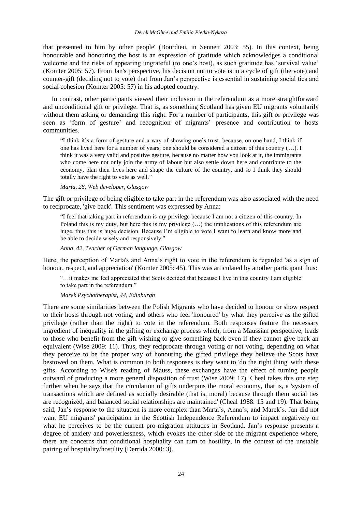that presented to him by other people' (Bourdieu, in Sennett 2003: 55). In this context, being honourable and honouring the host is an expression of gratitude which acknowledges a conditional welcome and the risks of appearing ungrateful (to one's host), as such gratitude has 'survival value' (Komter 2005: 57). From Jan's perspective, his decision not to vote is in a cycle of gift (the vote) and counter-gift (deciding not to vote) that from Jan's perspective is essential in sustaining social ties and social cohesion (Komter 2005: 57) in his adopted country.

In contrast, other participants viewed their inclusion in the referendum as a more straightforward and unconditional gift or privilege. That is, as something Scotland has given EU migrants voluntarily without them asking or demanding this right. For a number of participants, this gift or privilege was seen as 'form of gesture' and recognition of migrants' presence and contribution to hosts communities.

"I think it's a form of gesture and a way of showing one's trust, because, on one hand, I think if one has lived here for a number of years, one should be considered a citizen of this country (…). I think it was a very valid and positive gesture, because no matter how you look at it, the immigrants who come here not only join the army of labour but also settle down here and contribute to the economy, plan their lives here and shape the culture of the country, and so I think they should totally have the right to vote as well."

*Marta, 28, Web developer, Glasgow*

The gift or privilege of being eligible to take part in the referendum was also associated with the need to reciprocate, 'give back'. This sentiment was expressed by Anna:

"I feel that taking part in referendum is my privilege because I am not a citizen of this country. In Poland this is my duty, but here this is my privilege (…) the implications of this referendum are huge, thus this is huge decision. Because I'm eligible to vote I want to learn and know more and be able to decide wisely and responsively."

*Anna, 42, Teacher of German language, Glasgow*

Here, the perception of Marta's and Anna's right to vote in the referendum is regarded 'as a sign of honour, respect, and appreciation' (Komter 2005: 45). This was articulated by another participant thus:

"…it makes me feel appreciated that Scots decided that because I live in this country I am eligible to take part in the referendum."

#### *Marek Psychotherapist, 44, Edinburgh*

There are some similarities between the Polish Migrants who have decided to honour or show respect to their hosts through not voting, and others who feel 'honoured' by what they perceive as the gifted privilege (rather than the right) to vote in the referendum. Both responses feature the necessary ingredient of inequality in the gifting or exchange process which, from a Maussian perspective, leads to those who benefit from the gift wishing to give something back even if they cannot give back an equivalent (Wise 2009: 11). Thus, they reciprocate through voting or not voting, depending on what they perceive to be the proper way of honouring the gifted privilege they believe the Scots have bestowed on them. What is common to both responses is they want to 'do the right thing' with these gifts. According to Wise's reading of Mauss, these exchanges have the effect of turning people outward of producing a more general disposition of trust (Wise 2009: 17). Cheal takes this one step further when he says that the circulation of gifts underpins the moral economy, that is, a 'system of transactions which are defined as socially desirable (that is, moral) because through them social ties are recognized, and balanced social relationships are maintained' (Cheal 1988: 15 and 19). That being said, Jan's response to the situation is more complex than Marta's, Anna's, and Marek's. Jan did not want EU migrants' participation in the Scottish Independence Referendum to impact negatively on what he perceives to be the current pro-migration attitudes in Scotland. Jan's response presents a degree of anxiety and powerlessness, which evokes the other side of the migrant experience where, there are concerns that conditional hospitality can turn to hostility, in the context of the unstable pairing of hospitality/hostility (Derrida 2000: 3).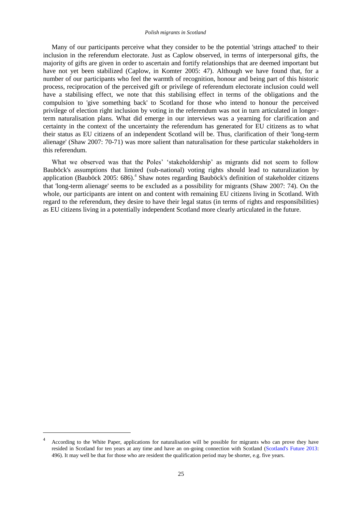#### *Polish migrants in Scotland*

Many of our participants perceive what they consider to be the potential 'strings attached' to their inclusion in the referendum electorate. Just as Caplow observed, in terms of interpersonal gifts, the majority of gifts are given in order to ascertain and fortify relationships that are deemed important but have not yet been stabilized (Caplow, in Komter 2005: 47). Although we have found that, for a number of our participants who feel the warmth of recognition, honour and being part of this historic process, reciprocation of the perceived gift or privilege of referendum electorate inclusion could well have a stabilising effect, we note that this stabilising effect in terms of the obligations and the compulsion to 'give something back' to Scotland for those who intend to honour the perceived privilege of election right inclusion by voting in the referendum was not in turn articulated in longerterm naturalisation plans. What did emerge in our interviews was a yearning for clarification and certainty in the context of the uncertainty the referendum has generated for EU citizens as to what their status as EU citizens of an independent Scotland will be. Thus, clarification of their 'long-term alienage' (Shaw 2007: 70-71) was more salient than naturalisation for these particular stakeholders in this referendum.

What we observed was that the Poles' 'stakeholdership' as migrants did not seem to follow Bauböck's assumptions that limited (sub-national) voting rights should lead to naturalization by application (Bauböck 2005: 686). 4 Shaw notes regarding Bauböck's definition of stakeholder citizens that 'long-term alienage' seems to be excluded as a possibility for migrants (Shaw 2007: 74). On the whole, our participants are intent on and content with remaining EU citizens living in Scotland. With regard to the referendum, they desire to have their legal status (in terms of rights and responsibilities) as EU citizens living in a potentially independent Scotland more clearly articulated in the future.

l

<sup>4</sup> According to the White Paper, applications for naturalisation will be possible for migrants who can prove they have resided in Scotland for ten years at any time and have an on-going connection with Scotland [\(Scotland's Future 2013:](http://www.scotland.gov.uk/Publications/2013/11/9348/0) 496). It may well be that for those who are resident the qualification period may be shorter, e.g. five years.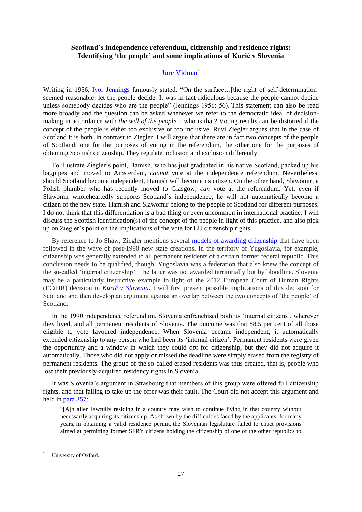# **Scotland's independence referendum, citizenship and residence rights: Identifying 'the people' and some implications of Kurić v Slovenia**

# [Jure Vidmar](http://eudo-citizenship.eu/about/people/other-eudo-citizenship-collaborators/1210-vidmar-jure)<sup>\*</sup>

Writing in 1956, [Ivor Jennings](http://www.cambridge.org/gb/academic/subjects/philosophy/legal-philosophy/approach-self-government) famously stated: "On the surface... [the right of self-determination] seemed reasonable: let the people decide. It was in fact ridiculous because the people cannot decide unless somebody decides who are the people" (Jennings 1956: 56). This statement can also be read more broadly and the question can be asked whenever we refer to the democratic ideal of decisionmaking in accordance with *the will of the people* – who is that? Voting results can be distorted if the concept of the people is either too exclusive or too inclusive. Ruvi Ziegler argues that in the case of Scotland it is both. In contrast to Ziegler, I will argue that there are in fact two concepts of the people of Scotland: one for the purposes of voting in the referendum, the other one for the purposes of obtaining Scottish citizenship. They regulate inclusion and exclusion differently.

To illustrate Ziegler's point, Hamish, who has just graduated in his native Scotland, packed up his bagpipes and moved to Amsterdam, *cannot* vote at the independence referendum. Nevertheless, should Scotland become independent, Hamish will become its citizen. On the other hand, Slawomir, a Polish plumber who has recently moved to Glasgow, *can* vote at the referendum. Yet, even if Slawomir wholeheartedly supports Scotland's independence, he will not automatically become a citizen of the new state. Hamish and Slawomir belong to the people of Scotland for different purposes. I do not think that this differentiation is a bad thing or even uncommon in international practice. I will discuss the Scottish identification(s) of the concept of the people in light of this practice, and also pick up on Ziegler's point on the implications of the vote for EU citizenship rights.

By reference to Jo Shaw, Ziegler mentions several [models of awarding citizenship](http://www.citsee.ed.ac.uk/working_papers/files/CITSEE_WORKING_PAPER_2013-34.pdf%22%20%5Cl%20%22page=20) that have been followed in the wave of post-1990 new state creations. In the territory of Yugoslavia, for example, citizenship was generally extended to all permanent residents of a certain former federal republic. This conclusion needs to be qualified, though. Yugoslavia was a federation that also knew the concept of the so-called 'internal citizenship'. The latter was not awarded territorially but by bloodline. Slovenia may be a particularly instructive example in light of the 2012 European Court of Human Rights (ECtHR) decision in *Kurić [v Slovenia](http://hudoc.echr.coe.int/sites/eng/pages/search.aspx?i=001-111634%22%20%5Cl%20%22%7B%5C%22itemid%5C%22:%5B%5C%22001-111634%5C%22%5D%7D)*. I will first present possible implications of this decision for Scotland and then develop an argument against an overlap between the two concepts of 'the people' of Scotland.

In the 1990 independence referendum, Slovenia enfranchised both its 'internal citizens', wherever they lived, and all permanent residents of Slovenia. The outcome was that 88.5 per cent of all those eligible to vote favoured independence. When Slovenia became independent, it automatically extended citizenship to any person who had been its 'internal citizen'. Permanent residents were given the opportunity and a window in which they could *opt* for citizenship, but they did not acquire it automatically. Those who did not apply or missed the deadline were simply erased from the registry of permanent residents. The group of the so-called erased residents was thus created, that is, people who lost their previously-acquired residency rights in Slovenia.

It was Slovenia's argument in Strasbourg that members of this group were offered full citizenship rights, and that failing to take up the offer was their fault. The Court did not accept this argument and held in [para 357:](http://hudoc.echr.coe.int/sites/eng/pages/search.aspx?i=001-111634%22%20%5Cl%20%22%7B%5C%22itemid%5C%22:%5B%5C%22001-111634%5C%22%5D%7D)

"[A]n alien lawfully residing in a country may wish to continue living in that country without necessarily acquiring its citizenship. As shown by the difficulties faced by the applicants, for many years, in obtaining a valid residence permit, the Slovenian legislature failed to enact provisions aimed at permitting former SFRY citizens holding the citizenship of one of the other republics to

<sup>\*</sup> University of Oxford.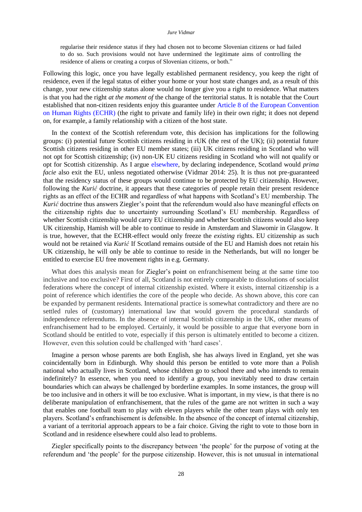#### *Jure Vidmar*

regularise their residence status if they had chosen not to become Slovenian citizens or had failed to do so. Such provisions would not have undermined the legitimate aims of controlling the residence of aliens or creating a corpus of Slovenian citizens, or both."

Following this logic, once you have legally established permanent residency, you keep the right of residence, even if the legal status of either your home or your host state changes and, as a result of this change, your new citizenship status alone would no longer give you a right to residence. What matters is that you had the right *at the moment of* the change of the territorial status. It is notable that the Court established that non-citizen residents enjoy this guarantee under [Article 8 of the European Convention](http://www.echr.coe.int/Documents/Convention_ENG.pdf)  [on Human Rights \(ECHR\)](http://www.echr.coe.int/Documents/Convention_ENG.pdf) (the right to private and family life) in their own right; it does not depend on, for example, a family relationship with a citizen of the host state.

In the context of the Scottish referendum vote, this decision has implications for the following groups: (i) potential future Scottish citizens residing in rUK (the rest of the UK); (ii) potential future Scottish citizens residing in other EU member states; (iii) UK citizens residing in Scotland who will not opt for Scottish citizenship; (iv) non-UK EU citizens residing in Scotland who will not qualify or opt for Scottish citizenship. As I argue [elsewhere,](http://papers.ssrn.com/sol3/papers.cfm?abstract_id=2410255) by declaring independence, Scotland would *prima facie* also exit the EU, unless negotiated otherwise (Vidmar 2014: 25). It is thus not pre-guaranteed that the residency status of these groups would continue to be protected by EU citizenship. However, following the *Kurić* doctrine, it appears that these categories of people retain their present residence rights as an effect of the ECHR and regardless of what happens with Scotland's EU membership. The *Kurić* doctrine thus answers Ziegler's point that the referendum would also have meaningful effects on the citizenship rights due to uncertainty surrounding Scotland's EU membership. Regardless of whether Scottish citizenship would carry EU citizenship and whether Scottish citizens would also keep UK citizenship, Hamish will be able to continue to reside in Amsterdam and Slawomir in Glasgow. It is true, however, that the ECHR-effect would only freeze the *existing* rights. EU citizenship as such would not be retained via *Kurić* If Scotland remains outside of the EU and Hamish does not retain his UK citizenship, he will only be able to continue to reside in the Netherlands, but will no longer be entitled to exercise EU free movement rights in e.g. Germany.

What does this analysis mean for [Ziegler's point](http://eudo-citizenship.eu/commentaries/citizenship-forum/citizenship-forum-cat/1157-independence-referendums-who-should-vote-and-who-should-be-offered-citizenship?showall=&limitstart=) on enfranchisement being at the same time too inclusive and too exclusive? First of all, Scotland is not entirely comparable to dissolutions of socialist federations where the concept of internal citizenship existed. Where it exists, internal citizenship is a point of reference which identifies the core of the people who decide. As shown above, this core can be expanded by permanent residents. International practice is somewhat contradictory and there are no settled rules of (customary) international law that would govern the procedural standards of independence referendums. In the absence of internal Scottish citizenship in the UK, other means of enfranchisement had to be employed. Certainly, it would be possible to argue that everyone born in Scotland should be entitled to vote, especially if this person is ultimately entitled to become a citizen. However, even this solution could be challenged with 'hard cases'.

Imagine a person whose parents are both English, she has always lived in England, yet she was coincidentally born in Edinburgh. Why should this person be entitled to vote more than a Polish national who actually lives in Scotland, whose children go to school there and who intends to remain indefinitely? In essence, when you need to identify a group, you inevitably need to draw certain boundaries which can always be challenged by borderline examples. In some instances, the group will be too inclusive and in others it will be too exclusive. What is important, in my view, is that there is no deliberate manipulation of enfranchisement, that the rules of the game are not written in such a way that enables one football team to play with eleven players while the other team plays with only ten players. Scotland's enfranchisement is defensible. In the absence of the concept of internal citizenship, a variant of a territorial approach appears to be a fair choice. Giving the right to vote to those born in Scotland and in residence elsewhere could also lead to problems.

Ziegler specifically points to the discrepancy between 'the people' for the purpose of voting at the referendum and 'the people' for the purpose citizenship. However, this is not unusual in international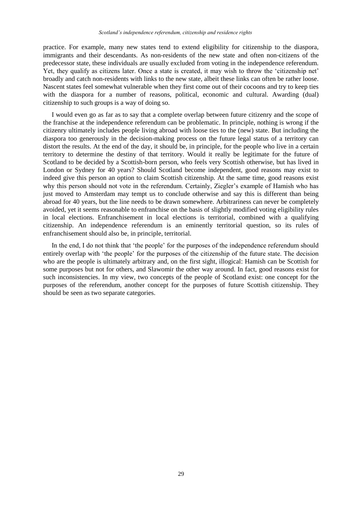practice. For example, many new states tend to extend eligibility for citizenship to the diaspora, immigrants and their descendants. As non-residents of the new state and often non-citizens of the predecessor state, these individuals are usually excluded from voting in the independence referendum. Yet, they qualify as citizens later. Once a state is created, it may wish to throw the 'citizenship net' broadly and catch non-residents with links to the new state, albeit these links can often be rather loose. Nascent states feel somewhat vulnerable when they first come out of their cocoons and try to keep ties with the diaspora for a number of reasons, political, economic and cultural. Awarding (dual) citizenship to such groups is a way of doing so.

I would even go as far as to say that a complete overlap between future citizenry and the scope of the franchise at the independence referendum can be problematic. In principle, nothing is wrong if the citizenry ultimately includes people living abroad with loose ties to the (new) state. But including the diaspora too generously in the decision-making process on the future legal status of a territory can distort the results. At the end of the day, it should be, in principle, for the people who live in a certain territory to determine the destiny of that territory. Would it really be legitimate for the future of Scotland to be decided by a Scottish-born person, who feels very Scottish otherwise, but has lived in London or Sydney for 40 years? Should Scotland become independent, good reasons may exist to indeed give this person an option to claim Scottish citizenship. At the same time, good reasons exist why this person should not vote in the referendum. Certainly, Ziegler's example of Hamish who has just moved to Amsterdam may tempt us to conclude otherwise and say this is different than being abroad for 40 years, but the line needs to be drawn somewhere. Arbitrariness can never be completely avoided, yet it seems reasonable to enfranchise on the basis of slightly modified voting eligibility rules in local elections. Enfranchisement in local elections is territorial, combined with a qualifying citizenship. An independence referendum is an eminently territorial question, so its rules of enfranchisement should also be, in principle, territorial.

In the end, I do not think that 'the people' for the purposes of the independence referendum should entirely overlap with 'the people' for the purposes of the citizenship of the future state. The decision who are the people is ultimately arbitrary and, on the first sight, illogical: Hamish can be Scottish for some purposes but not for others, and Slawomir the other way around. In fact, good reasons exist for such inconsistencies. In my view, two concepts of the people of Scotland exist: one concept for the purposes of the referendum, another concept for the purposes of future Scottish citizenship. They should be seen as two separate categories.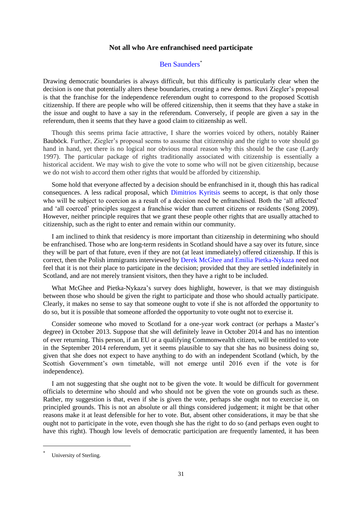## **Not all who Are enfranchised need participate**

## [Ben Saunders](http://eudo-citizenship.eu/about/people/other-eudo-citizenship-collaborators/1212-saunders-ben)\*

Drawing democratic boundaries is always difficult, but this difficulty is particularly clear when the decision is one that potentially alters these boundaries, creating a new demos. [Ruvi Ziegler's proposal](http://eudo-citizenship.eu/commentaries/citizenship-forum/citizenship-forum-cat/1157-independence-referendums-who-should-vote-and-who-should-be-offered-citizenship?showall=&limitstart=) is that the franchise for the independence referendum ought to correspond to the proposed Scottish citizenship. If there are people who will be offered citizenship, then it seems that they have a stake in the issue and ought to have a say in the referendum. Conversely, if people are given a say in the referendum, then it seems that they have a good claim to citizenship as well.

Though this seems prima facie attractive, I share the worries voiced by others, notably [Rainer](http://eudo-citizenship.eu/commentaries/citizenship-forum/citizenship-forum-cat/1157-independence-referendums-who-should-vote-and-who-should-be-offered-citizenship?showall=&start=2)  [Bauböck.](http://eudo-citizenship.eu/commentaries/citizenship-forum/citizenship-forum-cat/1157-independence-referendums-who-should-vote-and-who-should-be-offered-citizenship?showall=&start=2) Further, Ziegler's proposal seems to assume that citizenship and the right to vote should go hand in hand, yet there is no logical nor obvious moral reason why this should be the case (Lardy 1997). The particular package of rights traditionally associated with citizenship is essentially a historical accident. We may wish to give the vote to some who will not be given citizenship, because we do not wish to accord them other rights that would be afforded by citizenship.

Some hold that everyone affected by a decision should be enfranchised in it, though this has radical consequences. A less radical proposal, which [Dimitrios Kyritsis](http://eudo-citizenship.eu/commentaries/citizenship-forum/citizenship-forum-cat/1157-independence-referendums-who-should-vote-and-who-should-be-offered-citizenship?showall=&start=3) seems to accept, is that only those who will be subject to coercion as a result of a decision need be enfranchised. Both the 'all affected' and 'all coerced' principles suggest a franchise wider than current citizens or residents (Song 2009). However, neither principle requires that we grant these people other rights that are usually attached to citizenship, such as the right to enter and remain within our community.

I am inclined to think that residency is more important than citizenship in determining who should be enfranchised. Those who are long-term residents in Scotland should have a say over its future, since they will be part of that future, even if they are not (at least immediately) offered citizenship. If this is correct, then the Polish immigrants interviewed by [Derek McGhee and Emilia Pietka-Nykaza](http://eudo-citizenship.eu/commentaries/citizenship-forum/citizenship-forum-cat/1157-independence-referendums-who-should-vote-and-who-should-be-offered-citizenship?showall=&start=6) need not feel that it is not their place to participate in the decision; provided that they are settled indefinitely in Scotland, and are not merely transient visitors, then they have a right to be included.

What McGhee and Pietka-Nykaza's survey does highlight, however, is that we may distinguish between those who should be given the right to participate and those who should actually participate. Clearly, it makes no sense to say that someone ought to vote if she is not afforded the opportunity to do so, but it is possible that someone afforded the opportunity to vote ought not to exercise it.

Consider someone who moved to Scotland for a one-year work contract (or perhaps a Master's degree) in October 2013. Suppose that she will definitely leave in October 2014 and has no intention of ever returning. This person, if an EU or a qualifying Commonwealth citizen, will be entitled to vote in the September 2014 referendum, yet it seems plausible to say that she has no business doing so, given that she does not expect to have anything to do with an independent Scotland (which, by the Scottish Government's own timetable, will not emerge until 2016 even if the vote is for independence).

I am not suggesting that she ought not to be given the vote. It would be difficult for government officials to determine who should and who should not be given the vote on grounds such as these. Rather, my suggestion is that, even if she is given the vote, perhaps she ought not to exercise it, on principled grounds. This is not an absolute or all things considered judgement; it might be that other reasons make it at least defensible for her to vote. But, absent other considerations, it may be that she ought not to participate in the vote, even though she has the right to do so (and perhaps even ought to have this right). Though low levels of democratic participation are frequently lamented, it has been

<sup>\*</sup> University of Sterling.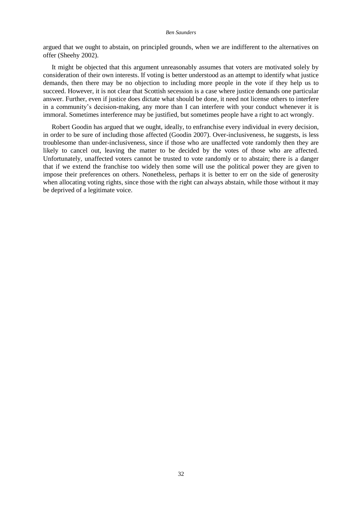#### *Ben Saunders*

argued that we ought to abstain, on principled grounds, when we are indifferent to the alternatives on offer (Sheehy 2002).

It might be objected that this argument unreasonably assumes that voters are motivated solely by consideration of their own interests. If voting is better understood as an attempt to identify what justice demands, then there may be no objection to including more people in the vote if they help us to succeed. However, it is not clear that Scottish secession is a case where justice demands one particular answer. Further, even if justice does dictate what should be done, it need not license others to interfere in a community's decision-making, any more than I can interfere with your conduct whenever it is immoral. Sometimes interference may be justified, but sometimes people have a right to act wrongly.

Robert Goodin has argued that we ought, ideally, to enfranchise every individual in every decision, in order to be sure of including those affected (Goodin 2007). Over-inclusiveness, he suggests, is less troublesome than under-inclusiveness, since if those who are unaffected vote randomly then they are likely to cancel out, leaving the matter to be decided by the votes of those who are affected. Unfortunately, unaffected voters cannot be trusted to vote randomly or to abstain; there is a danger that if we extend the franchise too widely then some will use the political power they are given to impose their preferences on others. Nonetheless, perhaps it is better to err on the side of generosity when allocating voting rights, since those with the right can always abstain, while those without it may be deprived of a legitimate voice.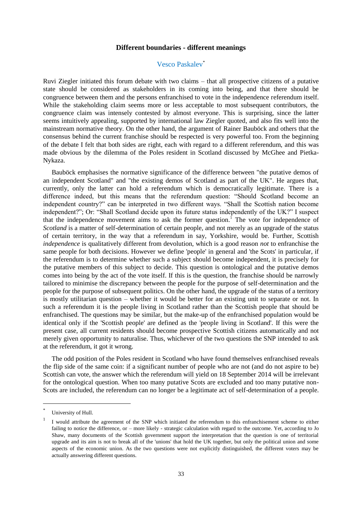### **Different boundaries - different meanings**

## [Vesco Paskalev](http://eudo-citizenship.eu/about/people/consortium-members/1005-paskalev-vesco)\*

Ruvi Ziegler initiated this forum debate with two claims – that all prospective citizens of a putative state should be considered as stakeholders in its coming into being, and that there should be congruence between them and the persons enfranchised to vote in the independence referendum itself. While the stakeholding claim seems more or less acceptable to most subsequent contributors, the congruence claim was intensely contested by almost everyone. This is surprising, since the latter seems intuitively appealing, supported by international law Ziegler quoted, and also fits well into the mainstream normative theory. On the other hand, the argument of [Rainer Bauböck](http://eudo-citizenship.eu/commentaries/citizenship-forum/citizenship-forum-cat/1157-independence-referendums-who-should-vote-and-who-should-be-offered-citizenship?showall=&start=2) and others that the consensus behind the current franchise should be respected is very powerful too. From the beginning of the debate I felt that both sides are right, each with regard to a different referendum, and this was made obvious by the dilemma of the Poles resident in Scotland discussed by [McGhee and Pietka-](http://eudo-citizenship.eu/commentaries/citizenship-forum/citizenship-forum-cat/1157-independence-referendums-who-should-vote-and-who-should-be-offered-citizenship?showall=&start=6)[Nykaza.](http://eudo-citizenship.eu/commentaries/citizenship-forum/citizenship-forum-cat/1157-independence-referendums-who-should-vote-and-who-should-be-offered-citizenship?showall=&start=6)

Bauböck emphasises the normative significance of the difference between "the putative demos of an independent Scotland" and "the existing demos of Scotland as part of the UK". He argues that, currently, only the latter can hold a referendum which is democratically legitimate. There is a difference indeed, but this means that the referendum question: "Should Scotland become an independent country?" can be interpreted in two different ways. "Shall the Scottish nation become independent?"; Or: "Shall Scotland decide upon its future status independently of the UK?" I suspect that the independence movement aims to ask the former question.<sup>1</sup> The vote for independence of *Scotland* is a matter of self-determination of certain people, and not merely as an upgrade of the status of certain territory, in the way that a referendum in say, Yorkshire, would be. Further, Scottish *independence* is qualitatively different from devolution, which is a good reason *not* to enfranchise the same people for both decisions. However we define 'people' in general and 'the Scots' in particular, if the referendum is to determine whether such a subject should become independent, it is precisely for the putative members of this subject to decide. This question is ontological and the putative demos comes into being by the act of the vote itself. If this is the question, the franchise should be narrowly tailored to minimise the discrepancy between the people for the purpose of self-determination and the people for the purpose of subsequent politics. On the other hand, the upgrade of the status of a territory is mostly utilitarian question – whether it would be better for an existing unit to separate or not. In such a referendum it is the people living in Scotland rather than the Scottish people that should be enfranchised. The questions may be similar, but the make-up of the enfranchised population would be identical only if the 'Scottish people' are defined as the 'people living in Scotland'. If this were the present case, all current residents should become prospective Scottish citizens automatically and not merely given opportunity to naturalise. Thus, whichever of the two questions the SNP intended to ask at the referendum, it got it wrong.

The odd position of the Poles resident in Scotland who have found themselves enfranchised reveals the flip side of the same coin: if a significant number of people who are not (and do not aspire to be) Scottish can vote, the answer which the referendum will yield on 18 September 2014 will be irrelevant for the ontological question. When too many putative Scots are excluded and too many putative non-Scots are included, the referendum can no longer be a legitimate act of self-determination of a people.

l

<sup>\*</sup> University of Hull.

<sup>1</sup> I would attribute the agreement of the SNP which initiated the referendum to this enfranchisement scheme to either failing to notice the difference, or – more likely - strategic calculation with regard to the outcome. Yet, according to Jo Shaw, many documents of the Scottish government support the interpretation that the question is one of territorial upgrade and its aim is not to break all of the 'unions' that hold the UK together, but only the political union and some aspects of the economic union. As the two questions were not explicitly distinguished, the different voters may be actually answering different questions.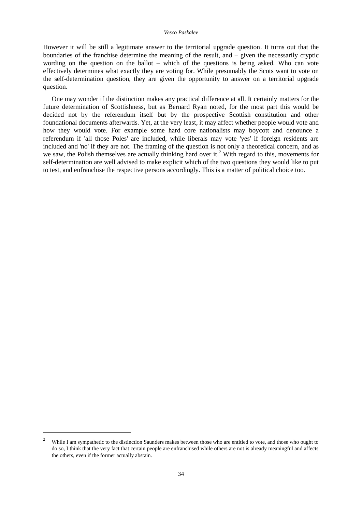However it will be still a legitimate answer to the territorial upgrade question. It turns out that the boundaries of the franchise determine the meaning of the result, and – given the necessarily cryptic wording on the question on the ballot – which of the questions is being asked. Who can vote effectively determines what exactly they are voting for. While presumably the Scots want to vote on the self-determination question, they are given the opportunity to answer on a territorial upgrade question.

One may wonder if the distinction makes any practical difference at all. It certainly matters for the future determination of Scottishness, but as [Bernard Ryan](http://eudo-citizenship.eu/commentaries/citizenship-forum/citizenship-forum-cat/1157-independence-referendums-who-should-vote-and-who-should-be-offered-citizenship?showall=&start=1) noted, for the most part this would be decided not by the referendum itself but by the prospective Scottish constitution and other foundational documents afterwards. Yet, at the very least, it may affect whether people would vote and how they would vote. For example some hard core nationalists may boycott and denounce a referendum if 'all those Poles' are included, while liberals may vote 'yes' if foreign residents are included and 'no' if they are not. The framing of the question is not only a theoretical concern, and as we saw, the Polish themselves are actually thinking hard over it.<sup>2</sup> With regard to this, movements for self-determination are well advised to make explicit which of the two questions they would like to put to test, and enfranchise the respective persons accordingly. This is a matter of political choice too.

l

<sup>&</sup>lt;sup>2</sup> While I am sympathetic to the distinction Saunders makes between those who are entitled to vote, and those who ought to do so, I think that the very fact that certain people are enfranchised while others are not is already meaningful and affects the others, even if the former actually abstain.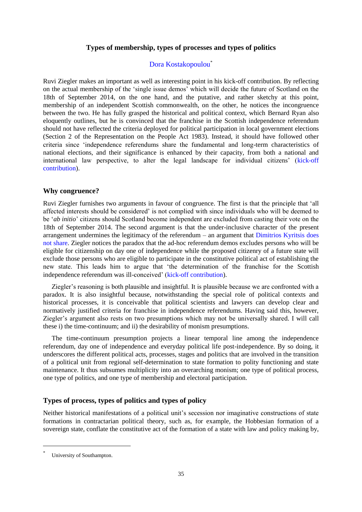## **Types of membership, types of processes and types of politics**

## [Dora Kostakopoulou](http://eudo-citizenship.eu/about/people/other-eudo-citizenship-collaborators/269-kostakopoulou-dora)\*

Ruvi Ziegler makes an important as well as interesting point in his kick-off contribution. By reflecting on the actual membership of the 'single issue demos' which will decide the future of Scotland on the 18th of September 2014, on the one hand, and the putative, and rather sketchy at this point, membership of an independent Scottish commonwealth, on the other, he notices the incongruence between the two. He has fully grasped the historical and political context, which [Bernard Ryan](http://eudo-citizenship.eu/commentaries/citizenship-forum/citizenship-forum-cat/1157-independence-referendums-who-should-vote-and-who-should-be-offered-citizenship?showall=&start=1) also eloquently outlines, but he is convinced that the franchise in the Scottish independence referendum should not have reflected the criteria deployed for political participation in local government elections [\(Section 2 of the Representation on the People Act 1983\)](http://www.legislation.gov.uk/ukpga/1983/2/section/2). Instead, it should have followed other criteria since 'independence referendums share the fundamental and long-term characteristics of national elections, and their significance is enhanced by their capacity, from both a national and international law perspective, to alter the legal landscape for individual citizens' [\(kick-off](http://eudo-citizenship.eu/commentaries/citizenship-forum/citizenship-forum-cat/1157-independence-referendums-who-should-vote-and-who-should-be-offered-citizenship?showall=&limitstart=)  [contribution\)](http://eudo-citizenship.eu/commentaries/citizenship-forum/citizenship-forum-cat/1157-independence-referendums-who-should-vote-and-who-should-be-offered-citizenship?showall=&limitstart=).

## **Why congruence?**

Ruvi Ziegler furnishes two arguments in favour of congruence. The first is that the principle that 'all affected interests should be considered' is not complied with since individuals who will be deemed to be '*ab initio*' citizens should Scotland become independent are excluded from casting their vote on the 18th of September 2014. The second argument is that the under-inclusive character of the present arrangement undermines the legitimacy of the referendum – an argument that [Dimitrios Kyritsis does](http://eudo-citizenship.eu/commentaries/citizenship-forum/citizenship-forum-cat/1157-independence-referendums-who-should-vote-and-who-should-be-offered-citizenship?showall=&start=3)  [not share.](http://eudo-citizenship.eu/commentaries/citizenship-forum/citizenship-forum-cat/1157-independence-referendums-who-should-vote-and-who-should-be-offered-citizenship?showall=&start=3) Ziegler notices the paradox that the ad-hoc referendum demos excludes persons who will be eligible for citizenship on day one of independence while the proposed citizenry of a future state will exclude those persons who are eligible to participate in the constitutive political act of establishing the new state. This leads him to argue that 'the determination of the franchise for the Scottish independence referendum was ill-conceived' [\(kick-off contribution\)](http://eudo-citizenship.eu/commentaries/citizenship-forum/citizenship-forum-cat/1157-independence-referendums-who-should-vote-and-who-should-be-offered-citizenship?showall=&limitstart=).

Ziegler's reasoning is both plausible and insightful. It is plausible because we are confronted with a paradox. It is also insightful because, notwithstanding the special role of political contexts and historical processes, it is conceivable that political scientists and lawyers can develop clear and normatively justified criteria for franchise in independence referendums. Having said this, however, Ziegler's argument also rests on two presumptions which may not be universally shared. I will call these i) the time-continuum; and ii) the desirability of monism presumptions.

The time-continuum presumption projects a linear temporal line among the independence referendum, day one of independence and everyday political life post-independence. By so doing, it underscores the different political acts, processes, stages and politics that are involved in the transition of a political unit from regional self-determination to state formation to polity functioning and state maintenance. It thus subsumes multiplicity into an overarching monism; one type of political process, one type of politics, and one type of membership and electoral participation.

## **Types of process, types of politics and types of policy**

Neither historical manifestations of a political unit's secession nor imaginative constructions of state formations in contractarian political theory, such as, for example, the Hobbesian formation of a sovereign state, conflate the constitutive act of the formation of a state with law and policy making by,

<sup>\*</sup> University of Southampton.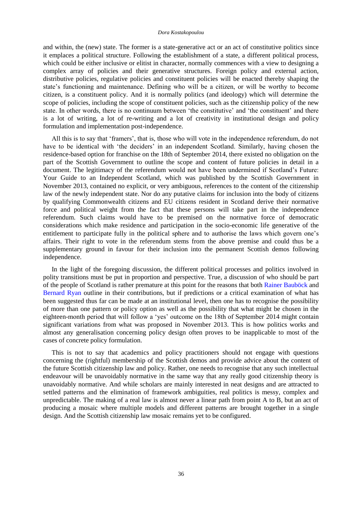#### *Dora Kostakopoulou*

and within, the (new) state. The former is a state-generative act or an act of constitutive politics since it emplaces a political structure. Following the establishment of a state, a different political process, which could be either inclusive or elitist in character, normally commences with a view to designing a complex array of policies and their generative structures. Foreign policy and external action, distributive policies, regulative policies and constituent policies will be enacted thereby shaping the state's functioning and maintenance. Defining who will be a citizen, or will be worthy to become citizen, is a constituent policy. And it is normally politics (and ideology) which will determine the scope of policies, including the scope of constituent policies, such as the citizenship policy of the new state. In other words, there is no continuum between 'the constitutive' and 'the constituent' and there is a lot of writing, a lot of re-writing and a lot of creativity in institutional design and policy formulation and implementation post-independence.

All this is to say that 'framers', that is, those who will vote in the independence referendum, do not have to be identical with 'the deciders' in an independent Scotland. Similarly, having chosen the residence-based option for franchise on the 18th of September 2014, there existed no obligation on the part of the Scottish Government to outline the scope and content of future policies in detail in a document. The legitimacy of the referendum would not have been undermined if Scotland's Future: Your Guide to an Independent Scotland, which was published by the Scottish Government in November 2013, contained no explicit, or very ambiguous, references to the content of the citizenship law of the newly independent state. Nor do any putative claims for inclusion into the body of citizens by qualifying Commonwealth citizens and EU citizens resident in Scotland derive their normative force and political weight from the fact that these persons will take part in the independence referendum. Such claims would have to be premised on the normative force of democratic considerations which make residence and participation in the socio-economic life generative of the entitlement to participate fully in the political sphere and to authorise the laws which govern one's affairs. Their right to vote in the referendum stems from the above premise and could thus be a supplementary ground in favour for their inclusion into the permanent Scottish demos following independence.

In the light of the foregoing discussion, the different political processes and politics involved in polity transitions must be put in proportion and perspective. True, a discussion of who should be part of the people of Scotland is rather premature at this point for the reasons that both [Rainer Bauböck](http://eudo-citizenship.eu/commentaries/citizenship-forum/citizenship-forum-cat/1157-independence-referendums-who-should-vote-and-who-should-be-offered-citizenship?showall=&start=2) and [Bernard Ryan](http://eudo-citizenship.eu/commentaries/citizenship-forum/citizenship-forum-cat/1157-independence-referendums-who-should-vote-and-who-should-be-offered-citizenship?showall=&start=1) outline in their contributions, but if predictions or a critical examination of what has been suggested thus far can be made at an institutional level, then one has to recognise the possibility of more than one pattern or policy option as well as the possibility that what might be chosen in the eighteen-month period that will follow a 'yes' outcome on the 18th of September 2014 might contain significant variations from what was proposed in November 2013. This is how politics works and almost any generalisation concerning policy design often proves to be inapplicable to most of the cases of concrete policy formulation.

This is not to say that academics and policy practitioners should not engage with questions concerning the (rightful) membership of the Scottish demos and provide advice about the content of the future Scottish citizenship law and policy. Rather, one needs to recognise that any such intellectual endeavour will be unavoidably normative in the same way that any really good citizenship theory is unavoidably normative. And while scholars are mainly interested in neat designs and are attracted to settled patterns and the elimination of framework ambiguities, real politics is messy, complex and unpredictable. The making of a real law is almost never a linear path from point A to B, but an act of producing a mosaic where multiple models and different patterns are brought together in a single design. And the Scottish citizenship law mosaic remains yet to be configured.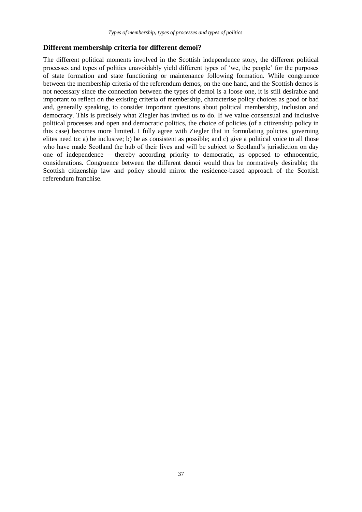# **Different membership criteria for different demoi?**

The different political moments involved in the Scottish independence story, the different political processes and types of politics unavoidably yield different types of 'we, the people' for the purposes of state formation and state functioning or maintenance following formation. While congruence between the membership criteria of the referendum demos, on the one hand, and the Scottish demos is not necessary since the connection between the types of demoi is a loose one, it is still desirable and important to reflect on the existing criteria of membership, characterise policy choices as good or bad and, generally speaking, to consider important questions about political membership, inclusion and democracy. This is precisely what Ziegler has invited us to do. If we value consensual and inclusive political processes and open and democratic politics, the choice of policies (of a citizenship policy in this case) becomes more limited. I fully agree with Ziegler that in formulating policies, governing elites need to: a) be inclusive; b) be as consistent as possible; and c) give a political voice to all those who have made Scotland the hub of their lives and will be subject to Scotland's jurisdiction on day one of independence – thereby according priority to democratic, as opposed to ethnocentric, considerations. Congruence between the different demoi would thus be normatively desirable; the Scottish citizenship law and policy should mirror the residence-based approach of the Scottish referendum franchise.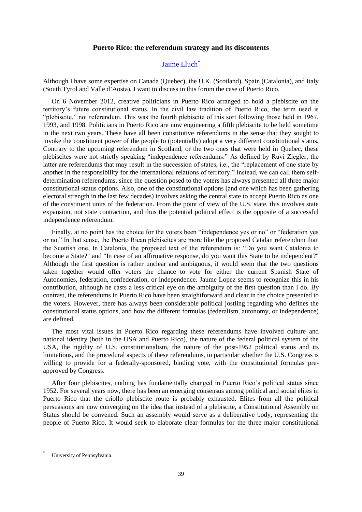## **Puerto Rico: the referendum strategy and its discontents**

## [Jaime Lluch](http://eudo-citizenship.eu/about/people/other-eudo-citizenship-collaborators/1227-lluch-jaime)\*

Although I have some expertise on Canada (Quebec), the U.K. (Scotland), Spain (Catalonia), and Italy (South Tyrol and Valle d'Aosta), I want to discuss in this forum the case of Puerto Rico.

On 6 November 2012, creative politicians in Puerto Rico arranged to hold a plebiscite on the territory's future constitutional status. In the civil law tradition of Puerto Rico, the term used is "plebiscite," not referendum. This was the fourth plebiscite of this sort following those held in 1967, 1993, and 1998. Politicians in Puerto Rico are now engineering a fifth plebiscite to be held sometime in the next two years. These have all been constitutive referendums in the sense that they sought to invoke the constituent power of the people to (potentially) adopt a very different constitutional status. Contrary to the upcoming referendum in Scotland, or the two ones that were held in Quebec, these plebiscites were not strictly speaking "independence referendums." As defined by Ruvi Ziegler, the latter are referendums that may result in the succession of states, i.e., the "replacement of one state by another in the responsibility for the international relations of territory." Instead, we can call them selfdetermination referendums, since the question posed to the voters has always presented all three major constitutional status options. Also, one of the constitutional options (and one which has been gathering electoral strength in the last few decades) involves asking the central state to accept Puerto Rico as one of the constituent units of the federation. From the point of view of the U.S. state, this involves state expansion, not state contraction, and thus the potential political effect is the opposite of a successful independence referendum.

Finally, at no point has the choice for the voters been "independence yes or no" or "federation yes or no." In that sense, the Puerto Rican plebiscites are more like the proposed Catalan referendum than the Scottish one. In Catalonia, the proposed text of the referendum is: "Do you want Catalonia to become a State?" and "In case of an affirmative response, do you want this State to be independent?" Although the first question is rather unclear and ambiguous, it would seem that the two questions taken together would offer voters the chance to vote for either the current Spanish State of Autonomies, federation, confederation, or independence. [Jaume Lopez](http://eudo-citizenship.eu/commentaries/citizenship-forum/citizenship-forum-cat/1157-independence-referendums-who-should-vote-and-who-should-be-offered-citizenship?showall=&start=5) seems to recognize this in his contribution, although he casts a less critical eye on the ambiguity of the first question than I do. By contrast, the referendums in Puerto Rico have been straightforward and clear in the choice presented to the voters. However, there has always been considerable political jostling regarding who defines the constitutional status options, and how the different formulas (federalism, autonomy, or independence) are defined.

The most vital issues in Puerto Rico regarding these referendums have involved culture and national identity (both in the USA and Puerto Rico), the nature of the federal political system of the USA, the rigidity of U.S. constitutionalism, the nature of the post-1952 political status and its limitations, and the procedural aspects of these referendums, in particular whether the U.S. Congress is willing to provide for a federally-sponsored, binding vote, with the constitutional formulas preapproved by Congress.

After four plebiscites, nothing has fundamentally changed in Puerto Rico's political status since 1952. For several years now, there has been an emerging consensus among political and social elites in Puerto Rico that the criollo plebiscite route is probably exhausted. Elites from all the political persuasions are now converging on the idea that instead of a plebiscite, a Constitutional Assembly on Status should be convened. Such an assembly would serve as a deliberative body, representing the people of Puerto Rico. It would seek to elaborate clear formulas for the three major constitutional

<sup>\*</sup> University of Pennsylvania.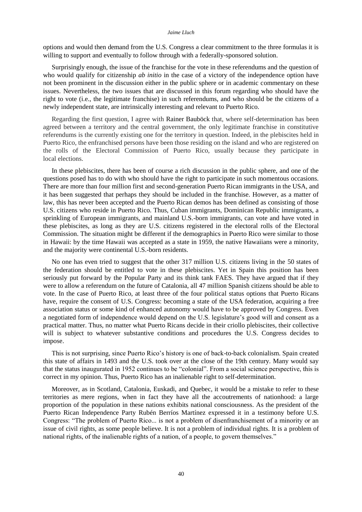#### *Jaime Lluch*

options and would then demand from the U.S. Congress a clear commitment to the three formulas it is willing to support and eventually to follow through with a federally-sponsored solution.

Surprisingly enough, the issue of the franchise for the vote in these referendums and the question of who would qualify for citizenship *ab initio* in the case of a victory of the independence option have not been prominent in the discussion either in the public sphere or in academic commentary on these issues. Nevertheless, the two issues that are discussed in this forum regarding who should have the right to vote (i.e., the legitimate franchise) in such referendums, and who should be the citizens of a newly independent state, are intrinsically interesting and relevant to Puerto Rico.

Regarding the first question, I agree with [Rainer Bauböck](http://eudo-citizenship.eu/commentaries/citizenship-forum/citizenship-forum-cat/1157-independence-referendums-who-should-vote-and-who-should-be-offered-citizenship?showall=&start=2) that, where self-determination has been agreed between a territory and the central government, the only legitimate franchise in constitutive referendums is the currently existing one for the territory in question. Indeed, in the plebiscites held in Puerto Rico, the enfranchised persons have been those residing on the island and who are registered on the rolls of the Electoral Commission of Puerto Rico, usually because they participate in local elections.

In these plebiscites, there has been of course a rich discussion in the public sphere, and one of the questions posed has to do with who should have the right to participate in such momentous occasions. There are more than four million first and second-generation Puerto Rican immigrants in the USA, and it has been suggested that perhaps they should be included in the franchise. However, as a matter of law, this has never been accepted and the Puerto Rican demos has been defined as consisting of those U.S. citizens who reside in Puerto Rico. Thus, Cuban immigrants, Dominican Republic immigrants, a sprinkling of European immigrants, and mainland U.S.-born immigrants, can vote and have voted in these plebiscites, as long as they are U.S. citizens registered in the electoral rolls of the Electoral Commission. The situation might be different if the demographics in Puerto Rico were similar to those in Hawaii: by the time Hawaii was accepted as a state in 1959, the native Hawaiians were a minority, and the majority were continental U.S.-born residents.

No one has even tried to suggest that the other 317 million U.S. citizens living in the 50 states of the federation should be entitled to vote in these plebiscites. Yet in Spain this position has been seriously put forward by the Popular Party and its think tank FAES. They have argued that if they were to allow a referendum on the future of Catalonia, all 47 million Spanish citizens should be able to vote. In the case of Puerto Rico, at least three of the four political status options that Puerto Ricans have, require the consent of U.S. Congress: becoming a state of the USA federation, acquiring a free association status or some kind of enhanced autonomy would have to be approved by Congress. Even a negotiated form of independence would depend on the U.S. legislature's good will and consent as a practical matter. Thus, no matter what Puerto Ricans decide in their criollo plebiscites, their collective will is subject to whatever substantive conditions and procedures the U.S. Congress decides to impose.

This is not surprising, since Puerto Rico's history is one of back-to-back colonialism. Spain created this state of affairs in 1493 and the U.S. took over at the close of the 19th century. Many would say that the status inaugurated in 1952 continues to be "colonial". From a social science perspective, this is correct in my opinion. Thus, Puerto Rico has an inalienable right to self-determination.

Moreover, as in Scotland, Catalonia, Euskadi, and Quebec, it would be a mistake to refer to these territories as mere regions, when in fact they have all the accoutrements of nationhood: a large proportion of the population in these nations exhibits national consciousness. As the president of the Puerto Rican Independence Party Rubén Berríos Martínez expressed it in a testimony before U.S. Congress: "The problem of Puerto Rico... is not a problem of disenfranchisement of a minority or an issue of civil rights, as some people believe. It is not a problem of individual rights. It is a problem of national rights, of the inalienable rights of a nation, of a people, to govern themselves."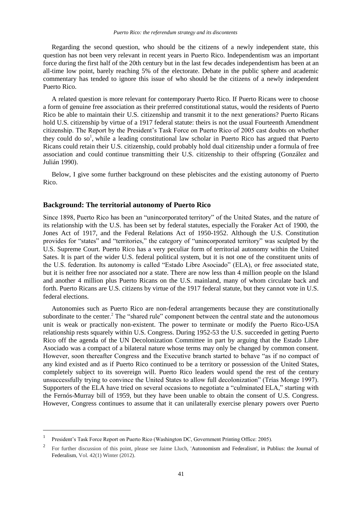Regarding the second question, who should be the citizens of a newly independent state, this question has not been very relevant in recent years in Puerto Rico. Independentism was an important force during the first half of the 20th century but in the last few decades independentism has been at an all-time low point, barely reaching 5% of the electorate. Debate in the public sphere and academic commentary has tended to ignore this issue of who should be the citizens of a newly independent Puerto Rico.

A related question is more relevant for contemporary Puerto Rico. If Puerto Ricans were to choose a form of genuine free association as their preferred constitutional status, would the residents of Puerto Rico be able to maintain their U.S. citizenship and transmit it to the next generations? Puerto Ricans hold U.S. citizenship by virtue of a 1917 federal statute: theirs is not the usual Fourteenth Amendment citizenship. The Report by the President's Task Force on Puerto Rico of 2005 cast doubts on whether they could do so<sup>1</sup>, while a leading constitutional law scholar in Puerto Rico has argued that Puerto Ricans could retain their U.S. citizenship, could probably hold dual citizenship under a formula of free association and could continue transmitting their U.S. citizenship to their offspring (González and Julián 1990).

Below, I give some further background on these plebiscites and the existing autonomy of Puerto Rico.

### **Background: The territorial autonomy of Puerto Rico**

Since 1898, Puerto Rico has been an "unincorporated territory" of the United States, and the nature of its relationship with the U.S. has been set by federal statutes, especially the Foraker Act of 1900, the Jones Act of 1917, and the Federal Relations Act of 1950-1952. Although the U.S. Constitution provides for "states" and "territories," the category of "unincorporated territory" was sculpted by the U.S. Supreme Court. Puerto Rico has a very peculiar form of territorial autonomy within the United Sates. It is part of the wider U.S. federal political system, but it is not one of the constituent units of the U.S. federation. Its autonomy is called "Estado Libre Asociado" (ELA), or free associated state, but it is neither free nor associated nor a state. There are now less than 4 million people on the Island and another 4 million plus Puerto Ricans on the U.S. mainland, many of whom circulate back and forth. Puerto Ricans are U.S. citizens by virtue of the 1917 federal statute, but they cannot vote in U.S. federal elections.

Autonomies such as Puerto Rico are non-federal arrangements because they are constitutionally subordinate to the center.<sup>2</sup> The "shared rule" component between the central state and the autonomous unit is weak or practically non-existent. The power to terminate or modify the Puerto Rico-USA relationship rests squarely within U.S. Congress. During 1952-53 the U.S. succeeded in getting Puerto Rico off the agenda of the UN Decolonization Committee in part by arguing that the Estado Libre Asociado was a compact of a bilateral nature whose terms may only be changed by common consent. However, soon thereafter Congress and the Executive branch started to behave "as if no compact of any kind existed and as if Puerto Rico continued to be a territory or possession of the United States, completely subject to its sovereign will. Puerto Rico leaders would spend the rest of the century unsuccessfully trying to convince the United States to allow full decolonization" (Trías Monge 1997). Supporters of the ELA have tried on several occasions to negotiate a "culminated ELA," starting with the Fernós-Murray bill of 1959, but they have been unable to obtain the consent of U.S. Congress. However, Congress continues to assume that it can unilaterally exercise plenary powers over Puerto

<sup>1</sup> President's Task Force Report on Puerto Rico (Washington DC, Government Printing Office: 2005).

<sup>2</sup> For further discussion of this point, please see Jaime Lluch, ['Autonomism and Federalism', in Publius: the Journal of](http://publius.oxfordjournals.org/content/42/1/134.full)  [Federalism,](http://publius.oxfordjournals.org/content/42/1/134.full) Vol. 42(1) Winter (2012).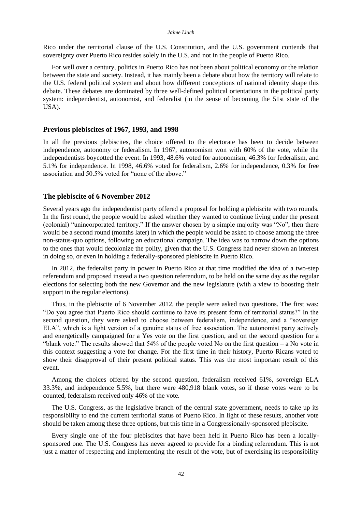#### *Jaime Lluch*

Rico under the territorial clause of the U.S. Constitution, and the U.S. government contends that sovereignty over Puerto Rico resides solely in the U.S. and not in the people of Puerto Rico.

For well over a century, politics in Puerto Rico has not been about political economy or the relation between the state and society. Instead, it has mainly been a debate about how the territory will relate to the U.S. federal political system and about how different conceptions of national identity shape this debate. These debates are dominated by three well-defined political orientations in the political party system: independentist, autonomist, and federalist (in the sense of becoming the 51st state of the USA).

### **Previous plebiscites of 1967, 1993, and 1998**

In all the previous plebiscites, the choice offered to the electorate has been to decide between independence, autonomy or federalism. In 1967, autonomism won with 60% of the vote, while the independentists boycotted the event. In 1993, 48.6% voted for autonomism, 46.3% for federalism, and 5.1% for independence. In 1998, 46.6% voted for federalism, 2.6% for independence, 0.3% for free association and 50.5% voted for "none of the above."

### **The plebiscite of 6 November 2012**

Several years ago the independentist party offered a proposal for holding a plebiscite with two rounds. In the first round, the people would be asked whether they wanted to continue living under the present (colonial) "unincorporated territory." If the answer chosen by a simple majority was "No", then there would be a second round (months later) in which the people would be asked to choose among the three non-status-quo options, following an educational campaign. The idea was to narrow down the options to the ones that would decolonize the polity, given that the U.S. Congress had never shown an interest in doing so, or even in holding a federally-sponsored plebiscite in Puerto Rico.

In 2012, the federalist party in power in Puerto Rico at that time modified the idea of a two-step referendum and proposed instead a two question referendum, to be held on the same day as the regular elections for selecting both the new Governor and the new legislature (with a view to boosting their support in the regular elections).

Thus, in the plebiscite of 6 November 2012, the people were asked two questions. The first was: "Do you agree that Puerto Rico should continue to have its present form of territorial status?" In the second question, they were asked to choose between federalism, independence, and a "sovereign ELA", which is a light version of a genuine status of free association. The autonomist party actively and energetically campaigned for a Yes vote on the first question, and on the second question for a "blank vote." The results showed that 54% of the people voted No on the first question – a No vote in this context suggesting a vote for change. For the first time in their history, Puerto Ricans voted to show their disapproval of their present political status. This was the most important result of this event.

Among the choices offered by the second question, federalism received 61%, sovereign ELA 33.3%, and independence 5.5%, but there were 480,918 blank votes, so if those votes were to be counted, federalism received only 46% of the vote.

The U.S. Congress, as the legislative branch of the central state government, needs to take up its responsibility to end the current territorial status of Puerto Rico. In light of these results, another vote should be taken among these three options, but this time in a Congressionally-sponsored plebiscite.

Every single one of the four plebiscites that have been held in Puerto Rico has been a locallysponsored one. The U.S. Congress has never agreed to provide for a binding referendum. This is not just a matter of respecting and implementing the result of the vote, but of exercising its responsibility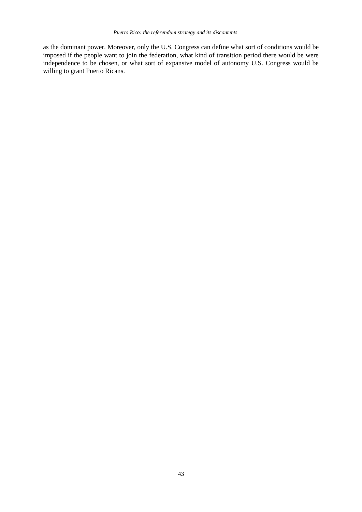as the dominant power. Moreover, only the U.S. Congress can define what sort of conditions would be imposed if the people want to join the federation, what kind of transition period there would be were independence to be chosen, or what sort of expansive model of autonomy U.S. Congress would be willing to grant Puerto Ricans.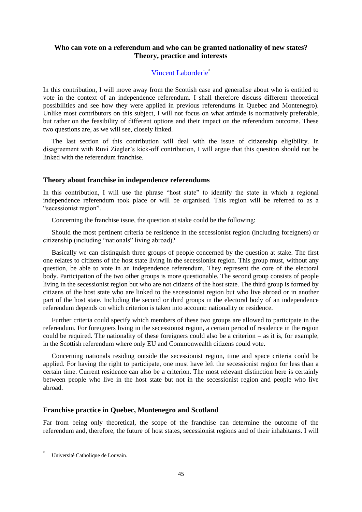# **Who can vote on a referendum and who can be granted nationality of new states? Theory, practice and interests**

# [Vincent Laborderie](http://eudo-citizenship.eu/about/people/other-eudo-citizenship-collaborators/1232-laborderie-vincent)\*

In this contribution, I will move away from the Scottish case and generalise about who is entitled to vote in the context of an independence referendum. I shall therefore discuss different theoretical possibilities and see how they were applied in previous referendums in Quebec and Montenegro). Unlike most contributors on this subject, I will not focus on what attitude is normatively preferable, but rather on the feasibility of different options and their impact on the referendum outcome. These two questions are, as we will see, closely linked.

The last section of this contribution will deal with the issue of citizenship eligibility. In disagreement with Ruvi Ziegler's kick-off contribution, I will argue that this question should not be linked with the referendum franchise.

## **Theory about franchise in independence referendums**

In this contribution, I will use the phrase "host state" to identify the state in which a regional independence referendum took place or will be organised. This region will be referred to as a "secessionist region".

Concerning the franchise issue, the question at stake could be the following:

Should the most pertinent criteria be residence in the secessionist region (including foreigners) or citizenship (including "nationals" living abroad)?

Basically we can distinguish three groups of people concerned by the question at stake. The first one relates to citizens of the host state living in the secessionist region. This group must, without any question, be able to vote in an independence referendum. They represent the core of the electoral body. Participation of the two other groups is more questionable. The second group consists of people living in the secessionist region but who are not citizens of the host state. The third group is formed by citizens of the host state who are linked to the secessionist region but who live abroad or in another part of the host state. Including the second or third groups in the electoral body of an independence referendum depends on which criterion is taken into account: nationality or residence.

Further criteria could specify which members of these two groups are allowed to participate in the referendum. For foreigners living in the secessionist region, a certain period of residence in the region could be required. The nationality of these foreigners could also be a criterion – as it is, for example, in the Scottish referendum where only EU and Commonwealth citizens could vote.

Concerning nationals residing outside the secessionist region, time and space criteria could be applied. For having the right to participate, one must have left the secessionist region for less than a certain time. Current residence can also be a criterion. The most relevant distinction here is certainly between people who live in the host state but not in the secessionist region and people who live abroad.

## **Franchise practice in Quebec, Montenegro and Scotland**

Far from being only theoretical, the scope of the franchise can determine the outcome of the referendum and, therefore, the future of host states, secessionist regions and of their inhabitants. I will

<sup>\*</sup> Université Catholique de Louvain.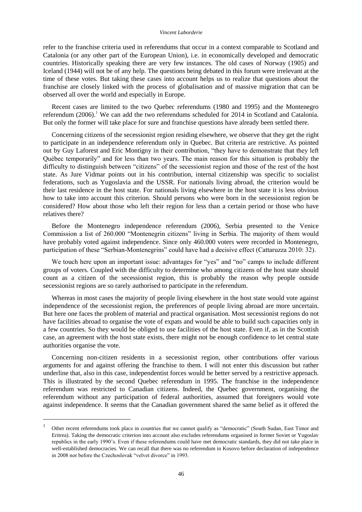refer to the franchise criteria used in referendums that occur in a context comparable to Scotland and Catalonia (or any other part of the European Union), i.e. in economically developed and democratic countries. Historically speaking there are very few instances. The old cases of Norway (1905) and Iceland (1944) will not be of any help. The questions being debated in this forum were irrelevant at the time of these votes. But taking these cases into account helps us to realize that questions about the franchise are closely linked with the process of globalisation and of massive migration that can be observed all over the world and especially in Europe.

Recent cases are limited to the two Quebec referendums (1980 and 1995) and the Montenegro referendum  $(2006)$ .<sup>1</sup> We can add the two referendums scheduled for 2014 in Scotland and Catalonia. But only the former will take place for sure and franchise questions have already been settled there.

Concerning citizens of the secessionist region residing elsewhere, we observe that they get the right to participate in an independence referendum only in Quebec. But criteria are restrictive. As pointed out by [Guy Laforest and Eric Montigny](http://eudo-citizenship.eu/commentaries/citizenship-forum/citizenship-forum-cat/1157-independence-referendums-who-should-vote-and-who-should-be-offered-citizenship?showall=&start=4) in their contribution, "they have to demonstrate that they left Québec temporarily" and for less than two years. The main reason for this situation is probably the difficulty to distinguish between "citizens" of the secessionist region and those of the rest of the host state. As [Jure Vidmar](http://eudo-citizenship.eu/commentaries/citizenship-forum/citizenship-forum-cat/1157-independence-referendums-who-should-vote-and-who-should-be-offered-citizenship?showall=&start=7) points out in his contribution, internal citizenship was specific to socialist federations, such as Yugoslavia and the USSR. For nationals living abroad, the criterion would be their last residence in the host state. For nationals living elsewhere in the host state it is less obvious how to take into account this criterion. Should persons who were born in the secessionist region be considered? How about those who left their region for less than a certain period or those who have relatives there?

Before the Montenegro independence referendum (2006), Serbia presented to the Venice Commission a list of 260.000 "Montenegrin citizens" living in Serbia. The majority of them would have probably voted against independence. Since only 460.000 voters were recorded in Montenegro, participation of these "Serbian-Montenegrins" could have had a decisive effect (Cattaruzza 2010: 32).

We touch here upon an important issue: advantages for "yes" and "no" camps to include different groups of voters. Coupled with the difficulty to determine who among citizens of the host state should count as a citizen of the secessionist region, this is probably the reason why people outside secessionist regions are so rarely authorised to participate in the referendum.

Whereas in most cases the majority of people living elsewhere in the host state would vote against independence of the secessionist region, the preferences of people living abroad are more uncertain. But here one faces the problem of material and practical organisation. Most secessionist regions do not have facilities abroad to organise the vote of expats and would be able to build such capacities only in a few countries. So they would be obliged to use facilities of the host state. Even if, as in the Scottish case, an agreement with the host state exists, there might not be enough confidence to let central state authorities organise the vote.

Concerning non-citizen residents in a secessionist region, other contributions offer various arguments for and against offering the franchise to them. I will not enter this discussion but rather underline that, also in this case, independentist forces would be better served by a restrictive approach. This is illustrated by the second Quebec referendum in 1995. The franchise in the independence referendum was restricted to Canadian citizens. Indeed, the Quebec government, organising the referendum without any participation of federal authorities, assumed that foreigners would vote against independence. It seems that the Canadian government shared the same belief as it offered the

<sup>1</sup> Other recent referendums took place in countries that we cannot qualify as "democratic" (South Sudan, East Timor and Eritrea). Taking the democratic criterion into account also excludes referendums organised in former Soviet or Yugoslav republics in the early 1990's. Even if these referendums could have met democratic standards, they did not take place in well-established democracies. We can recall that there was no referendum in Kosovo before declaration of independence in 2008 nor before the Czechoslovak "velvet divorce" in 1993.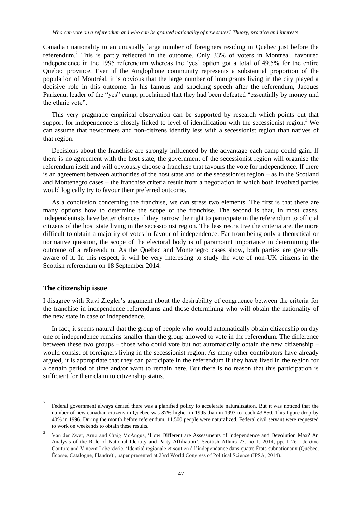Canadian nationality to an unusually large number of foreigners residing in Quebec just before the referendum.<sup>2</sup> This is partly reflected in the outcome. Only 33% of voters in Montréal, favoured independence in the 1995 referendum whereas the 'yes' option got a total of 49.5% for the entire Quebec province. Even if the Anglophone community represents a substantial proportion of the population of Montréal, it is obvious that the large number of immigrants living in the city played a decisive role in this outcome. In his famous and shocking speech after the referendum, Jacques Parizeau, leader of the "yes" camp, proclaimed that they had been defeated "essentially by money and the ethnic vote".

This very pragmatic empirical observation can be supported by research which points out that support for independence is closely linked to level of identification with the secessionist region.<sup>3</sup> We can assume that newcomers and non-citizens identify less with a secessionist region than natives of that region.

Decisions about the franchise are strongly influenced by the advantage each camp could gain. If there is no agreement with the host state, the government of the secessionist region will organise the referendum itself and will obviously choose a franchise that favours the vote for independence. If there is an agreement between authorities of the host state and of the secessionist region – as in the Scotland and Montenegro cases – the franchise criteria result from a negotiation in which both involved parties would logically try to favour their preferred outcome.

As a conclusion concerning the franchise, we can stress two elements. The first is that there are many options how to determine the scope of the franchise. The second is that, in most cases, independentists have better chances if they narrow the right to participate in the referendum to official citizens of the host state living in the secessionist region. The less restrictive the criteria are, the more difficult to obtain a majority of votes in favour of independence. Far from being only a theoretical or normative question, the scope of the electoral body is of paramount importance in determining the outcome of a referendum. As the Quebec and Montenegro cases show, both parties are generally aware of it. In this respect, it will be very interesting to study the vote of non-UK citizens in the Scottish referendum on 18 September 2014.

#### **The citizenship issue**

 $\overline{a}$ 

I disagree with Ruvi Ziegler's argument about the desirability of congruence between the criteria for the franchise in independence referendums and those determining who will obtain the nationality of the new state in case of independence.

In fact, it seems natural that the group of people who would automatically obtain citizenship on day one of independence remains smaller than the group allowed to vote in the referendum. The difference between these two groups – those who could vote but not automatically obtain the new citizenship – would consist of foreigners living in the secessionist region. As many other contributors have already argued, it is appropriate that they can participate in the referendum if they have lived in the region for a certain period of time and/or want to remain here. But there is no reason that this participation is sufficient for their claim to citizenship status.

<sup>2</sup> Federal government always denied there was a planified policy to accelerate naturalization. But it was noticed that the number of new canadian citizens in Quebec was 87% higher in 1995 than in 1993 to reach 43.850. This figure drop by 40% in 1996. During the month before referendum, 11.500 people were naturalized. Federal civil servant were requested to work on weekends to obtain these results.

<sup>3</sup> Van der Zwet, Arno and Craig McAngus, 'How [Different are Assessments of Independence and Devolution Max? An](http://www.euppublishing.com/doi/abs/10.3366/scot.2014.0003)  [Analysis of the Role of National Identity and Party Affiliation'](http://www.euppublishing.com/doi/abs/10.3366/scot.2014.0003), Scottish Affairs 23, no 1, 2014, pp. 1 26 ; Jérôme Couture and Vincent Laborderie, 'Identité régionale et soutien à l'indépendance dans quatre États subnationaux (Québec, Écosse, Catalogne, Flandre)', paper presented at 23rd World Congress of Political Science (IPSA, 2014).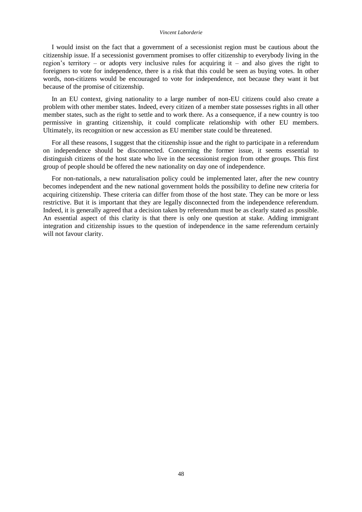#### *Vincent Laborderie*

I would insist on the fact that a government of a secessionist region must be cautious about the citizenship issue. If a secessionist government promises to offer citizenship to everybody living in the region's territory – or adopts very inclusive rules for acquiring it – and also gives the right to foreigners to vote for independence, there is a risk that this could be seen as buying votes. In other words, non-citizens would be encouraged to vote for independence, not because they want it but because of the promise of citizenship.

In an EU context, giving nationality to a large number of non-EU citizens could also create a problem with other member states. Indeed, every citizen of a member state possesses rights in all other member states, such as the right to settle and to work there. As a consequence, if a new country is too permissive in granting citizenship, it could complicate relationship with other EU members. Ultimately, its recognition or new accession as EU member state could be threatened.

For all these reasons, I suggest that the citizenship issue and the right to participate in a referendum on independence should be disconnected. Concerning the former issue, it seems essential to distinguish citizens of the host state who live in the secessionist region from other groups. This first group of people should be offered the new nationality on day one of independence.

For non-nationals, a new naturalisation policy could be implemented later, after the new country becomes independent and the new national government holds the possibility to define new criteria for acquiring citizenship. These criteria can differ from those of the host state. They can be more or less restrictive. But it is important that they are legally disconnected from the independence referendum. Indeed, it is generally agreed that a decision taken by referendum must be as clearly stated as possible. An essential aspect of this clarity is that there is only one question at stake. Adding immigrant integration and citizenship issues to the question of independence in the same referendum certainly will not favour clarity.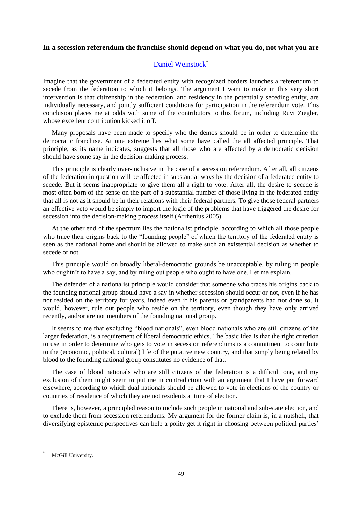## **In a secession referendum the franchise should depend on what you do, not what you are**

# [Daniel Weinstock](http://eudo-citizenship.eu/about/people/other-eudo-citizenship-collaborators/1230-weinstock-daniel)\*

Imagine that the government of a federated entity with recognized borders launches a referendum to secede from the federation to which it belongs. The argument I want to make in this very short intervention is that citizenship in the federation, and residency in the potentially seceding entity, are individually necessary, and jointly sufficient conditions for participation in the referendum vote. This conclusion places me at odds with some of the contributors to this forum, including Ruvi Ziegler, whose excellent contribution kicked it off.

Many proposals have been made to specify who the demos should be in order to determine the democratic franchise. At one extreme lies what some have called the all affected principle. That principle, as its name indicates, suggests that all those who are affected by a democratic decision should have some say in the decision-making process.

This principle is clearly over-inclusive in the case of a secession referendum. After all, all citizens of the federation in question will be affected in substantial ways by the decision of a federated entity to secede. But it seems inappropriate to give them all a right to vote. After all, the desire to secede is most often born of the sense on the part of a substantial number of those living in the federated entity that all is not as it should be in their relations with their federal partners. To give those federal partners an effective veto would be simply to import the logic of the problems that have triggered the desire for secession into the decision-making process itself (Arrhenius 2005).

At the other end of the spectrum lies the nationalist principle, according to which all those people who trace their origins back to the "founding people" of which the territory of the federated entity is seen as the national homeland should be allowed to make such an existential decision as whether to secede or not.

This principle would on broadly liberal-democratic grounds be unacceptable, by ruling in people who oughtn't to have a say, and by ruling out people who ought to have one. Let me explain.

The defender of a nationalist principle would consider that someone who traces his origins back to the founding national group should have a say in whether secession should occur or not, even if he has not resided on the territory for years, indeed even if his parents or grandparents had not done so. It would, however, rule out people who reside on the territory, even though they have only arrived recently, and/or are not members of the founding national group.

It seems to me that excluding "blood nationals", even blood nationals who are still citizens of the larger federation, is a requirement of liberal democratic ethics. The basic idea is that the right criterion to use in order to determine who gets to vote in secession referendums is a commitment to contribute to the (economic, political, cultural) life of the putative new country, and that simply being related by blood to the founding national group constitutes no evidence of that.

The case of blood nationals who are still citizens of the federation is a difficult one, and my exclusion of them might seem to put me in contradiction with an argument that I have put forward elsewhere, according to which dual nationals should be allowed to vote in elections of the country or countries of residence of which they are not residents at time of election.

There is, however, a principled reason to include such people in national and sub-state election, and to exclude them from secession referendums. My argument for the former claim is, in a nutshell, that diversifying epistemic perspectives can help a polity get it right in choosing between political parties'

McGill University.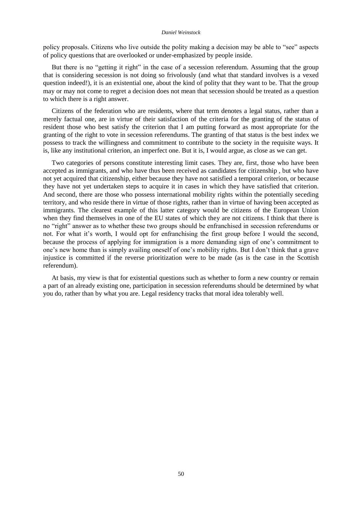#### *Daniel Weinstock*

policy proposals. Citizens who live outside the polity making a decision may be able to "see" aspects of policy questions that are overlooked or under-emphasized by people inside.

But there is no "getting it right" in the case of a secession referendum. Assuming that the group that is considering secession is not doing so frivolously (and what that standard involves is a vexed question indeed!), it is an existential one, about the kind of polity that they want to be. That the group may or may not come to regret a decision does not mean that secession should be treated as a question to which there is a right answer.

Citizens of the federation who are residents, where that term denotes a legal status, rather than a merely factual one, are in virtue of their satisfaction of the criteria for the granting of the status of resident those who best satisfy the criterion that I am putting forward as most appropriate for the granting of the right to vote in secession referendums. The granting of that status is the best index we possess to track the willingness and commitment to contribute to the society in the requisite ways. It is, like any institutional criterion, an imperfect one. But it is, I would argue, as close as we can get.

Two categories of persons constitute interesting limit cases. They are, first, those who have been accepted as immigrants, and who have thus been received as candidates for citizenship , but who have not yet acquired that citizenship, either because they have not satisfied a temporal criterion, or because they have not yet undertaken steps to acquire it in cases in which they have satisfied that criterion. And second, there are those who possess international mobility rights within the potentially seceding territory, and who reside there in virtue of those rights, rather than in virtue of having been accepted as immigrants. The clearest example of this latter category would be citizens of the European Union when they find themselves in one of the EU states of which they are not citizens. I think that there is no "right" answer as to whether these two groups should be enfranchised in secession referendums or not. For what it's worth, I would opt for enfranchising the first group before I would the second, because the process of applying for immigration is a more demanding sign of one's commitment to one's new home than is simply availing oneself of one's mobility rights. But I don't think that a grave injustice is committed if the reverse prioritization were to be made (as is the case in the Scottish referendum).

At basis, my view is that for existential questions such as whether to form a new country or remain a part of an already existing one, participation in secession referendums should be determined by what you do, rather than by what you are. Legal residency tracks that moral idea tolerably well.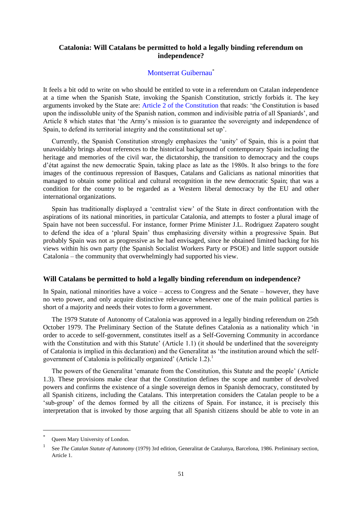# **Catalonia: Will Catalans be permitted to hold a legally binding referendum on independence?**

## [Montserrat Guibernau](http://eudo-citizenship.eu/about/people/other-eudo-citizenship-collaborators/1231-guibernau-montserrat)\*

It feels a bit odd to write on who should be entitled to vote in a referendum on Catalan independence at a time when the Spanish State, invoking the Spanish Constitution, strictly forbids it. The key arguments invoked by the State are: [Article 2 of the](http://www.congreso.es/portal/page/portal/Congreso/Congreso/Hist_Normas/Norm/const_espa_texto_ingles_0.pdf) Constitution that reads: 'the Constitution is based upon the indissoluble unity of the Spanish nation, common and indivisible patria of all Spaniards', and Article 8 which states that 'the Army's mission is to guarantee the sovereignty and independence of Spain, to defend its territorial integrity and the constitutional set up'.

Currently, the Spanish Constitution strongly emphasizes the 'unity' of Spain, this is a point that unavoidably brings about references to the historical background of contemporary Spain including the heritage and memories of the civil war, the dictatorship, the transition to democracy and the coups d'état against the new democratic Spain, taking place as late as the 1980s. It also brings to the fore images of the continuous repression of Basques, Catalans and Galicians as national minorities that managed to obtain some political and cultural recognition in the new democratic Spain; that was a condition for the country to be regarded as a Western liberal democracy by the EU and other international organizations.

Spain has traditionally displayed a 'centralist view' of the State in direct confrontation with the aspirations of its national minorities, in particular Catalonia, and attempts to foster a plural image of Spain have not been successful. For instance, former Prime Minister J.L. Rodriguez Zapatero sought to defend the idea of a 'plural Spain' thus emphasizing diversity within a progressive Spain. But probably Spain was not as progressive as he had envisaged, since he obtained limited backing for his views within his own party (the Spanish Socialist Workers Party or PSOE) and little support outside Catalonia – the community that overwhelmingly had supported his view.

## **Will Catalans be permitted to hold a legally binding referendum on independence?**

In Spain, national minorities have a voice – access to Congress and the Senate – however, they have no veto power, and only acquire distinctive relevance whenever one of the main political parties is short of a majority and needs their votes to form a government.

The 1979 Statute of Autonomy of Catalonia was approved in a legally binding referendum on 25th October 1979. [The Preliminary Section of the Statute](http://www.gencat.cat/generalitat/eng/estatut1979/) defines Catalonia as a nationality which 'in order to accede to self-government, constitutes itself as a Self-Governing Community in accordance with the Constitution and with this Statute' (Article 1.1) (it should be underlined that the sovereignty of Catalonia is implied in this declaration) and the Generalitat as 'the institution around which the selfgovernment of Catalonia is politically organized' (Article 1.2).<sup>1</sup>

The powers of the Generalitat 'emanate from the Constitution, this Statute and the people' (Article 1.3). These provisions make clear that the Constitution defines the scope and number of devolved powers and confirms the existence of a single sovereign demos in Spanish democracy, constituted by all Spanish citizens, including the Catalans. This interpretation considers the Catalan people to be a 'sub-group' of the demos formed by all the citizens of Spain. For instance, it is precisely this interpretation that is invoked by those arguing that all Spanish citizens should be able to vote in an

<sup>\*</sup> Queen Mary University of London.

<sup>1</sup> See *The Catalan Statute of Autonomy* (1979) 3rd edition, Generalitat de Catalunya, Barcelona, 1986. Preliminary section, Article 1.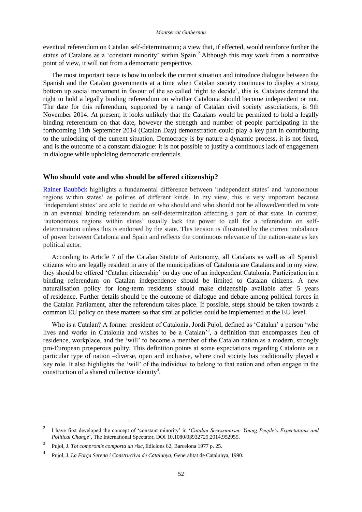eventual referendum on Catalan self-determination; a view that, if effected, would reinforce further the status of Catalans as a 'constant minority' within Spain.<sup>2</sup> Although this may work from a normative point of view, it will not from a democratic perspective.

The most important issue is how to unlock the current situation and introduce dialogue between the Spanish and the Catalan governments at a time when Catalan society continues to display a strong bottom up social movement in favour of the so called 'right to decide', this is, Catalans demand the right to hold a legally binding referendum on whether Catalonia should become independent or not. The date for this referendum, supported by a range of Catalan civil society associations, is 9th November 2014. At present, it looks unlikely that the Catalans would be permitted to hold a legally binding referendum on that date, however the strength and number of people participating in the forthcoming 11th September 2014 (Catalan Day) demonstration could play a key part in contributing to the unlocking of the current situation. Democracy is by nature a dynamic process, it is not fixed, and is the outcome of a constant dialogue: it is not possible to justify a continuous lack of engagement in dialogue while upholding democratic credentials.

## **Who should vote and who should be offered citizenship?**

[Rainer Bauböck](http://eudo-citizenship.eu/commentaries/citizenship-forum/citizenship-forum-cat/1157-independence-referendums-who-should-vote-and-who-should-be-offered-citizenship?showall=&start=2) highlights a fundamental difference between 'independent states' and 'autonomous regions within states' as polities of different kinds. In my view, this is very important because 'independent states' are able to decide on who should and who should not be allowed/entitled to vote in an eventual binding referendum on self-determination affecting a part of that state. In contrast, 'autonomous regions within states' usually lack the power to call for a referendum on selfdetermination unless this is endorsed by the state. This tension is illustrated by the current imbalance of power between Catalonia and Spain and reflects the continuous relevance of the nation-state as key political actor.

According [to Article 7 of the Catalan Statute of Autonomy,](http://www.gencat.cat/generalitat/eng/estatut1979/titol_preliminar.htm) all Catalans as well as all Spanish citizens who are legally resident in any of the municipalities of Catalonia are Catalans and in my view, they should be offered 'Catalan citizenship' on day one of an independent Catalonia. Participation in a binding referendum on Catalan independence should be limited to Catalan citizens. A new naturalisation policy for long-term residents should make citizenship available after 5 years of residence. Further details should be the outcome of dialogue and debate among political forces in the Catalan Parliament, after the referendum takes place. If possible, steps should be taken towards a common EU policy on these matters so that similar policies could be implemented at the EU level.

Who is a Catalan? A former president of Catalonia, Jordi Pujol, defined as 'Catalan' a person 'who lives and works in Catalonia and wishes to be a Catalan<sup>3</sup>, a definition that encompasses lieu of residence, workplace, and the 'will' to become a member of the Catalan nation as a modern, strongly pro-European prosperous polity. This definition points at some expectations regarding Catalonia as a particular type of nation –diverse, open and inclusive, where civil society has traditionally played a key role. It also highlights the 'will' of the individual to belong to that nation and often engage in the construction of a shared collective identity<sup>4</sup>.

<sup>2</sup> I have first developed the concept of 'constant minority' in '*Catalan Secessionism: Young People's Expectations and Political Change*', The International Spectator, DOI 10.1080/03932729.2014.952955.

<sup>3</sup> Pujol, J. *Tot compromis comporta un risc*, Edicions 62, Barcelona 1977 p. 25.

<sup>4</sup> Pujol, J. *La Força Serena i Constructiva de Catalunya*, Generalitat de Catalunya, 1990.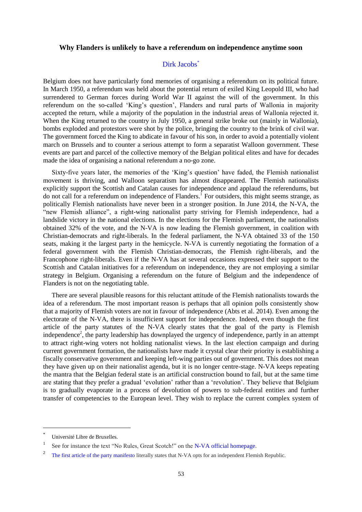## **Why Flanders is unlikely to have a referendum on independence anytime soon**

## [Dirk Jacobs](http://eudo-citizenship.eu/about/people/other-eudo-citizenship-collaborators/1233-jacobs-dirk)<sup>\*</sup>

Belgium does not have particularly fond memories of organising a referendum on its political future. In March 1950, a referendum was held about the potential return of exiled King Leopold III, who had surrendered to German forces during World War II against the will of the government. In this referendum on the so-called 'King's question', Flanders and rural parts of Wallonia in majority accepted the return, while a majority of the population in the industrial areas of Wallonia rejected it. When the King returned to the country in July 1950, a general strike broke out (mainly in Wallonia), bombs exploded and protestors were shot by the police, bringing the country to the brink of civil war. The government forced the King to abdicate in favour of his son, in order to avoid a potentially violent march on Brussels and to counter a serious attempt to form a separatist Walloon government. These events are part and parcel of the collective memory of the Belgian political elites and have for decades made the idea of organising a national referendum a no-go zone.

Sixty-five years later, the memories of the 'King's question' have faded, the Flemish nationalist movement is thriving, and Walloon separatism has almost disappeared. The Flemish nationalists explicitly support the Scottish and Catalan causes for independence and applaud the referendums, but do not call for a referendum on independence of Flanders.<sup>1</sup> For outsiders, this might seems strange, as politically Flemish nationalists have never been in a stronger position. In June 2014, the N-VA, the "new Flemish alliance", a right-wing nationalist party striving for Flemish independence, had a landslide victory in the national elections. In the elections for the Flemish parliament, the nationalists obtained 32% of the vote, and the N-VA is now leading the Flemish government, in coalition with Christian-democrats and right-liberals. In the federal parliament, the N-VA obtained 33 of the 150 seats, making it the largest party in the hemicycle. N-VA is currently negotiating the formation of a federal government with the Flemish Christian-democrats, the Flemish right-liberals, and the Francophone right-liberals. Even if the N-VA has at several occasions expressed their support to the Scottish and Catalan initiatives for a referendum on independence, they are not employing a similar strategy in Belgium. Organising a referendum on the future of Belgium and the independence of Flanders is not on the negotiating table.

There are several plausible reasons for this reluctant attitude of the Flemish nationalists towards the idea of a referendum. The most important reason is perhaps that all opinion polls consistently show that a majority of Flemish voters are not in favour of independence (Abts et al. 2014). Even among the electorate of the N-VA, there is insufficient support for independence. Indeed, even though the first article of the party statutes of the N-VA clearly states that the goal of the party is Flemish independence<sup>2</sup>, the party leadership has downplayed the urgency of independence, partly in an attempt to attract right-wing voters not holding nationalist views. In the last election campaign and during current government formation, the nationalists have made it crystal clear their priority is establishing a fiscally conservative government and keeping left-wing parties out of government. This does not mean they have given up on their nationalist agenda, but it is no longer centre-stage. N-VA keeps repeating the mantra that the Belgian federal state is an artificial construction bound to fail, but at the same time are stating that they prefer a gradual 'evolution' rather than a 'revolution'. They believe that Belgium is to gradually evaporate in a process of devolution of powers to sub-federal entities and further transfer of competencies to the European level. They wish to replace the current complex system of

 $\overline{\phantom{a}}$ 

<sup>\*</sup> Université Libre de Bruxelles.

<sup>1</sup> See for instance the text "No Rules, Great Scotch!" on the [N-VA official homepage.](http://english.n-va.be/files/nva_int/generated/dossier/2012-02-02%20On%20the%20Scottish%20Independence%20Vote.pdf)

<sup>2</sup> [The first article of the party manifesto](http://www.n-va.be/sites/default/files/generated/files/page-attachment/statuten20140405.pdf) literally states that N-VA opts for an independent Flemish Republic.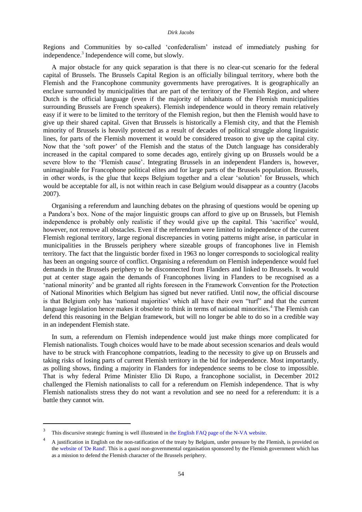Regions and Communities by so-called 'confederalism' instead of immediately pushing for independence.<sup>3</sup> Independence will come, but slowly.

A major obstacle for any quick separation is that there is no clear-cut scenario for the federal capital of Brussels. The Brussels Capital Region is an officially bilingual territory, where both the Flemish and the Francophone community governments have prerogatives. It is geographically an enclave surrounded by municipalities that are part of the territory of the Flemish Region, and where Dutch is the official language (even if the majority of inhabitants of the Flemish municipalities surrounding Brussels are French speakers). Flemish independence would in theory remain relatively easy if it were to be limited to the territory of the Flemish region, but then the Flemish would have to give up their shared capital. Given that Brussels is historically a Flemish city, and that the Flemish minority of Brussels is heavily protected as a result of decades of political struggle along linguistic lines, for parts of the Flemish movement it would be considered treason to give up the capital city. Now that the 'soft power' of the Flemish and the status of the Dutch language has considerably increased in the capital compared to some decades ago, entirely giving up on Brussels would be a severe blow to the 'Flemish cause'. Integrating Brussels in an independent Flanders is, however, unimaginable for Francophone political elites and for large parts of the Brussels population. Brussels, in other words, is the glue that keeps Belgium together and a clear 'solution' for Brussels, which would be acceptable for all, is not within reach in case Belgium would disappear as a country (Jacobs 2007).

Organising a referendum and launching debates on the phrasing of questions would be opening up a Pandora's box. None of the major linguistic groups can afford to give up on Brussels, but Flemish independence is probably only realistic if they would give up the capital. This 'sacrifice' would, however, not remove all obstacles. Even if the referendum were limited to independence of the current Flemish regional territory, large regional discrepancies in voting patterns might arise, in particular in municipalities in the Brussels periphery where sizeable groups of francophones live in Flemish territory. The fact that the linguistic border fixed in 1963 no longer corresponds to sociological reality has been an ongoing source of conflict. Organising a referendum on Flemish independence would fuel demands in the Brussels periphery to be disconnected from Flanders and linked to Brussels. It would put at center stage again the demands of Francophones living in Flanders to be recognised as a 'national minority' and be granted all rights foreseen in the Framework Convention for the Protection of National Minorities which Belgium has signed but never ratified. Until now, the official discourse is that Belgium only has 'national majorities' which all have their own "turf" and that the current language legislation hence makes it obsolete to think in terms of national minorities.<sup>4</sup> The Flemish can defend this reasoning in the Belgian framework, but will no longer be able to do so in a credible way in an independent Flemish state.

In sum, a referendum on Flemish independence would just make things more complicated for Flemish nationalists. Tough choices would have to be made about secession scenarios and deals would have to be struck with Francophone compatriots, leading to the necessity to give up on Brussels and taking risks of losing parts of current Flemish territory in the bid for independence. Most importantly, as polling shows, finding a majority in Flanders for independence seems to be close to impossible. That is why federal Prime Minister Elio Di Rupo, a francophone socialist, in December 2012 challenged the Flemish nationalists to call for a referendum on Flemish independence. That is why Flemish nationalists stress they do not want a revolution and see no need for a referendum: it is a battle they cannot win.

l

<sup>3</sup> This discursive strategic framing is well illustrated in th[e English FAQ page of the N-VA website.](http://english.n-va.be/en/about/faq)

<sup>4</sup> A justification in English on the non-ratification of the treaty by Belgium, under pressure by the Flemish, is provided on th[e website of 'De Rand'.](http://www2.derand.be/livingintranslation/en/Minorities_Convention.php) This is a *quasi* non-governmental organisation sponsored by the Flemish government which has as a mission to defend the Flemish character of the Brussels periphery.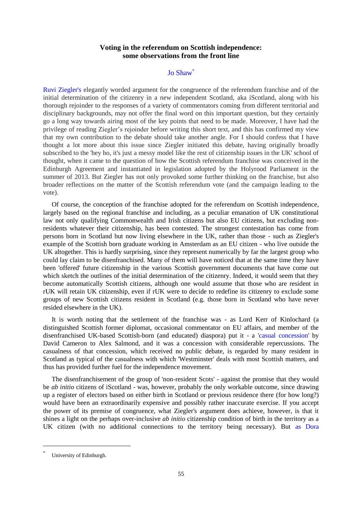# **Voting in the referendum on Scottish independence: some observations from the front line**

## [Jo Shaw](http://eudo-citizenship.eu/about/people/consortium-members/101-shaw-jo)<sup>\*</sup>

[Ruvi Ziegler's](http://eudo-citizenship.eu/commentaries/citizenship-forum/citizenship-forum-cat/1157-independence-referendums-who-should-vote-and-who-should-be-offered-citizenship?showall=&limitstart=) elegantly worded argument for the congruence of the referendum franchise and of the initial determination of the citizenry in a new independent Scotland, aka iScotland, along with his thorough rejoinder to the responses of a variety of commentators coming from different territorial and disciplinary backgrounds, may not offer the final word on this important question, but they certainly go a long way towards airing most of the key points that need to be made. Moreover, I have had the privilege of reading Ziegler's rejoinder before writing this short text, and this has confirmed my view that my own contribution to the debate should take another angle. For I should confess that I have thought a lot more about this issue since Ziegler initiated this debate, having originally broadly subscribed to the 'hey ho, it's just a messy model like the rest of citizenship issues in the UK' school of thought, when it came to the question of how the Scottish referendum franchise was conceived in the Edinburgh Agreement and instantiated in legislation adopted by the Holyrood Parliament in the summer of 2013. But Ziegler has not only provoked some further thinking on the franchise, but also broader reflections on the matter of the Scottish referendum vote (and the campaign leading to the vote).

Of course, the conception of the franchise adopted for the referendum on Scottish independence, largely based on the regional franchise and including, as a peculiar emanation of UK constitutional law not only qualifying Commonwealth and Irish citizens but also EU citizens, but excluding nonresidents whatever their citizenship, has been contested. The strongest contestation has come from persons born in Scotland but now living elsewhere in the UK, rather than those - such as Ziegler's example of the Scottish born graduate working in Amsterdam as an EU citizen - who live outside the UK altogether. This is hardly surprising, since they represent numerically by far the largest group who could lay claim to be disenfranchised. Many of them will have noticed that at the same time they have been 'offered' future citizenship in the various Scottish government documents that have come out which sketch the outlines of the initial determination of the citizenry. Indeed, it would seem that they become automatically Scottish citizens, although one would assume that those who are resident in rUK will retain UK citizenship, even if rUK were to decide to redefine its citizenry to exclude some groups of new Scottish citizens resident in Scotland (e.g. those born in Scotland who have never resided elsewhere in the UK).

It is worth noting that the settlement of the franchise was - as Lord Kerr of Kinlochard (a distinguished Scottish former diplomat, occasional commentator on EU affairs, and member of the disenfranchised UK-based Scottish-born (and educated) diaspora) put it - a ['casual concession'](http://www.cer.org.uk/insights/eu-and-independent-scotland) by David Cameron to Alex Salmond, and it was a concession with considerable repercussions. The casualness of that concession, which received no public debate, is regarded by many resident in Scotland as typical of the casualness with which 'Westminster' deals with most Scottish matters, and thus has provided further fuel for the independence movement.

The disenfranchisement of the group of 'non-resident Scots' - against the promise that they would be *ab initio* citizens of iScotland - was, however, probably the only workable outcome, since drawing up a register of electors based on either birth in Scotland or previous residence there (for how long?) would have been an extraordinarily expensive and possibly rather inaccurate exercise. If you accept the power of its premise of congruence, what Ziegler's argument does achieve, however, is that it shines a light on the perhaps over-inclusive *ab initio* citizenship condition of birth in the territory as a UK citizen (with no additional connections to the territory being necessary). But [as Dora](http://eudo-citizenship.eu/commentaries/citizenship-forum/citizenship-forum-cat/1157-independence-referendums-who-should-vote-and-who-should-be-offered-citizenship?showall=&start=10) 

 $\overline{\phantom{a}}$ 

<sup>\*</sup> University of Edinburgh.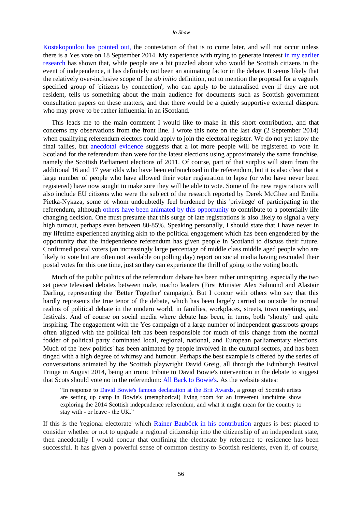[Kostakopoulou has pointed out,](http://eudo-citizenship.eu/commentaries/citizenship-forum/citizenship-forum-cat/1157-independence-referendums-who-should-vote-and-who-should-be-offered-citizenship?showall=&start=10) the contestation of that is to come later, and will not occur unless there is a Yes vote on 18 September 2014. My experience with trying to generate interest [in my earlier](http://www.citsee.ed.ac.uk/working_papers/files/CITSEE_WORKING_PAPER_2013-34.pdf)  [research](http://www.citsee.ed.ac.uk/working_papers/files/CITSEE_WORKING_PAPER_2013-34.pdf) has shown that, while people are a bit puzzled about who would be Scottish citizens in the event of independence, it has definitely not been an animating factor in the debate. It seems likely that the relatively over-inclusive scope of the *ab initio* definition, not to mention the proposal for a vaguely specified group of 'citizens by connection', who can apply to be naturalised even if they are not resident, tells us something about the main audience for documents such as Scottish government consultation papers on these matters, and that there would be a quietly supportive external diaspora who may prove to be rather influential in an iScotland.

This leads me to the main comment I would like to make in this short contribution, and that concerns my observations from the front line. I wrote this note on the last day (2 September 2014) when qualifying referendum electors could apply to join the electoral register. We do not yet know the final tallies, but [anecdotal evidence](http://www.bbc.com/news/uk-scotland-scotland-politics-29024311) suggests that a lot more people will be registered to vote in Scotland for the referendum than were for the latest elections using approximately the same franchise, namely the Scottish Parliament elections of 2011. Of course, part of that surplus will stem from the additional 16 and 17 year olds who have been enfranchised in the referendum, but it is also clear that a large number of people who have allowed their voter registration to lapse (or who have never been registered) have now sought to make sure they will be able to vote. Some of the new registrations will also include EU citizens who were the subject of the research reported by [Derek McGhee and Emilia](http://eudo-citizenship.eu/commentaries/citizenship-forum/citizenship-forum-cat/1157-independence-referendums-who-should-vote-and-who-should-be-offered-citizenship?showall=&start=6)  [Pietka-Nykaza,](http://eudo-citizenship.eu/commentaries/citizenship-forum/citizenship-forum-cat/1157-independence-referendums-who-should-vote-and-who-should-be-offered-citizenship?showall=&start=6) some of whom undoubtedly feel burdened by this 'privilege' of participating in the referendum, although [others have been animated by this opportunity](https://www.facebook.com/EuCitizensForAnIndependentScotland) to contribute to a potentially life changing decision. One must presume that this surge of late registrations is also likely to signal a very high turnout, perhaps even between 80-85%. Speaking personally, I should state that I have never in my lifetime experienced anything akin to the political engagement which has been engendered by the opportunity that the independence referendum has given people in Scotland to discuss their future. Confirmed postal voters (an increasingly large percentage of middle class middle aged people who are likely to vote but are often not available on polling day) report on social media having rescinded their postal votes for this one time, just so they can experience the thrill of going to the voting booth.

Much of the public politics of the referendum debate has been rather uninspiring, especially the two set piece televised debates between male, macho leaders (First Minister Alex Salmond and Alastair Darling, representing the 'Better Together' campaign). But I concur with others who say that this hardly represents the true tenor of the debate, which has been largely carried on outside the normal realms of political debate in the modern world, in families, workplaces, streets, town meetings, and festivals. And of course on social media where debate has been, in turns, both 'shouty' and quite inspiring. The engagement with the Yes campaign of a large number of independent grassroots groups often aligned with the political left has been responsible for much of this change from the normal fodder of political party dominated local, regional, national, and European parliamentary elections. Much of the 'new politics' has been animated by people involved in the cultural sectors, and has been tinged with a high degree of whimsy and humour. Perhaps the best example is offered by the series of conversations animated by the Scottish playwright David Greig, all through the Edinburgh Festival Fringe in August 2014, being an ironic tribute to David Bowie's intervention in the debate to suggest that Scots should vote no in the referendum: [All Back to Bowie's.](http://www.allbacktobowies.com/) As the website states:

"In response to [David Bowie's famous declaration at the Brit Awards,](https://www.youtube.com/watch?v=ezaV5zt8bKs) a group of Scottish artists are setting up camp in Bowie's (metaphorical) living room for an irreverent lunchtime show exploring the 2014 Scottish independence referendum, and what it might mean for the country to stay with - or leave - the UK."

If this is the 'regional electorate' which [Rainer Bauböck in his contribution](http://eudo-citizenship.eu/commentaries/citizenship-forum/citizenship-forum-cat/1157-independence-referendums-who-should-vote-and-who-should-be-offered-citizenship?showall=&start=2) argues is best placed to consider whether or not to upgrade a regional citizenship into the citizenship of an independent state, then anecdotally I would concur that confining the electorate by reference to residence has been successful. It has given a powerful sense of common destiny to Scottish residents, even if, of course,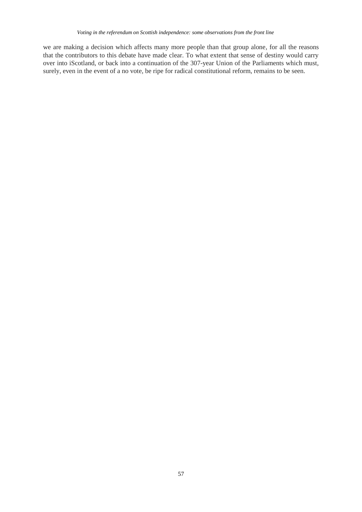we are making a decision which affects many more people than that group alone, for all the reasons that the contributors to this debate have made clear. To what extent that sense of destiny would carry over into iScotland, or back into a continuation of the 307-year Union of the Parliaments which must, surely, even in the event of a no vote, be ripe for radical constitutional reform, remains to be seen.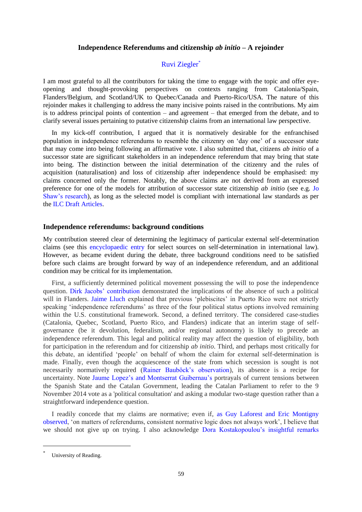## **Independence Referendums and citizenship** *ab initio* **– A rejoinder**

# Ruvi Ziegler\*

I am most grateful to all the contributors for taking the time to engage with the topic and offer eyeopening and thought-provoking perspectives on contexts ranging from Catalonia/Spain, Flanders/Belgium, and Scotland/UK to Quebec/Canada and Puerto-Rico/USA. The nature of this rejoinder makes it challenging to address the many incisive points raised in the contributions. My aim is to address principal points of contention – and agreement – that emerged from the debate, and to clarify several issues pertaining to putative citizenship claims from an international law perspective.

In my kick-off contribution, I argued that it is normatively desirable for the enfranchised population in independence referendums to resemble the citizenry on 'day one' of a successor state that may come into being following an affirmative vote. I also submitted that, citizens *ab initio* of a successor state are significant stakeholders in an independence referendum that may bring that state into being. The distinction between the initial determination of the citizenry and the rules of acquisition (naturalisation) and loss of citizenship after independence should be emphasised: my claims concerned only the former. Notably, the above claims are not derived from an expressed preference for one of the models for attribution of successor state citizenship *ab initio* (see e.g. [Jo](http://www.citsee.ed.ac.uk/working_papers/files/CITSEE_WORKING_PAPER_2013-34.pdf)  [Shaw's research\)](http://www.citsee.ed.ac.uk/working_papers/files/CITSEE_WORKING_PAPER_2013-34.pdf), as long as the selected model is compliant with international law standards as per the [ILC Draft Articles.](http://legal.un.org/ilc/texts/instruments/english/draft%20articles/3_4_1999.pdf)

## **Independence referendums: background conditions**

My contribution steered clear of determining the legitimacy of particular external self-determination claims (see this [encyclopaedic entry](http://opil.ouplaw.com/view/10.1093/law:epil/9780199231690/law-9780199231690-e873) for select sources on self-determination in international law). However, as became evident during the debate, three background conditions need to be satisfied before such claims are brought forward by way of an independence referendum, and an additional condition may be critical for its implementation.

First, a sufficiently determined political movement possessing the will to pose the independence question. [Dirk Jacobs' contribution](http://eudo-citizenship.eu/commentaries/citizenship-forum/citizenship-forum-cat/1157-independence-referendums-who-should-vote-and-who-should-be-offered-citizenship?showall=&start=15) demonstrated the implications of the absence of such a political will in Flanders. [Jaime Lluch](http://eudo-citizenship.eu/commentaries/citizenship-forum/citizenship-forum-cat/1157-independence-referendums-who-should-vote-and-who-should-be-offered-citizenship?showall=&start=15) explained that previous 'plebiscites' in Puerto Rico were not strictly speaking 'independence referendums' as three of the four political status options involved remaining within the U.S. constitutional framework. Second, a defined territory. The considered case-studies (Catalonia, Quebec, Scotland, Puerto Rico, and Flanders) indicate that an interim stage of selfgovernance (be it devolution, federalism, and/or regional autonomy) is likely to precede an independence referendum. This legal and political reality may affect the question of eligibility, both for participation in the referendum and for citizenship *ab initio*. Third, and perhaps most critically for this debate, an identified 'people' on behalf of whom the claim for external self-determination is made. Finally, even though the acquiescence of the state from which secession is sought is not necessarily normatively required [\(Rainer Bauböck's observation\)](http://eudo-citizenship.eu/commentaries/citizenship-forum/citizenship-forum-cat/1157-independence-referendums-who-should-vote-and-who-should-be-offered-citizenship?showall=&start=2), its absence is a recipe for uncertainty. Note [Jaume Lopez's](http://eudo-citizenship.eu/commentaries/citizenship-forum/citizenship-forum-cat/1157-independence-referendums-who-should-vote-and-who-should-be-offered-citizenship?showall=&start=5) and [Montserrat Guibernau's](http://eudo-citizenship.eu/commentaries/citizenship-forum/citizenship-forum-cat/1157-independence-referendums-who-should-vote-and-who-should-be-offered-citizenship?showall=&start=14) portrayals of current tensions between the Spanish State and the Catalan Government, leading the Catalan Parliament to refer to the 9 November 2014 vote as a 'political consultation' and asking a modular two-stage question rather than a straightforward independence question.

I readily concede that my claims are normative; even if, [as Guy Laforest and Eric Montigny](http://eudo-citizenship.eu/commentaries/citizenship-forum/citizenship-forum-cat/1157-independence-referendums-who-should-vote-and-who-should-be-offered-citizenship?showall=&start=4)  [observed,](http://eudo-citizenship.eu/commentaries/citizenship-forum/citizenship-forum-cat/1157-independence-referendums-who-should-vote-and-who-should-be-offered-citizenship?showall=&start=4) 'on matters of referendums, consistent normative logic does not always work', I believe that we should not give up on trying. I also acknowledge [Dora Kostakopoulou's insightful remarks](http://eudo-citizenship.eu/commentaries/citizenship-forum/citizenship-forum-cat/1157-independence-referendums-who-should-vote-and-who-should-be-offered-citizenship?showall=&start=10)

 $\overline{\phantom{a}}$ 

<sup>\*</sup> University of Reading.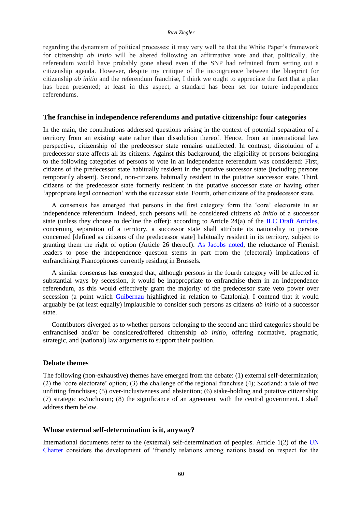regarding the dynamism of political processes: it may very well be that the White Paper's framework for citizenship *ab initio* will be altered following an affirmative vote and that, politically, the referendum would have probably gone ahead even if the SNP had refrained from setting out a citizenship agenda. However, despite my critique of the incongruence between the blueprint for citizenship *ab initio* and the referendum franchise, I think we ought to appreciate the fact that a plan has been presented; at least in this aspect, a standard has been set for future independence referendums.

### **The franchise in independence referendums and putative citizenship: four categories**

In the main, the contributions addressed questions arising in the context of potential separation of a territory from an existing state rather than dissolution thereof. Hence, from an international law perspective, citizenship of the predecessor state remains unaffected. In contrast, dissolution of a predecessor state affects all its citizens. Against this background, the eligibility of persons belonging to the following categories of persons to vote in an independence referendum was considered: First, citizens of the predecessor state habitually resident in the putative successor state (including persons temporarily absent). Second, non-citizens habitually resident in the putative successor state. Third, citizens of the predecessor state formerly resident in the putative successor state or having other 'appropriate legal connection' with the successor state. Fourth, other citizens of the predecessor state.

A consensus has emerged that persons in the first category form the 'core' electorate in an independence referendum. Indeed, such persons will be considered citizens *ab initio* of a successor state (unless they choose to decline the offer): according to Article 24(a) of the [ILC Draft Articles,](http://legal.un.org/ilc/texts/instruments/english/draft%20articles/3_4_1999.pdf) concerning separation of a territory, a successor state shall attribute its nationality to persons concerned [defined as citizens of the predecessor state] habitually resident in its territory, subject to granting them the right of option (Article 26 thereof). [As Jacobs noted,](http://eudo-citizenship.eu/commentaries/citizenship-forum/citizenship-forum-cat/1157-independence-referendums-who-should-vote-and-who-should-be-offered-citizenship?showall=&start=15) the reluctance of Flemish leaders to pose the independence question stems in part from the (electoral) implications of enfranchising Francophones currently residing in Brussels.

A similar consensus has emerged that, although persons in the fourth category will be affected in substantial ways by secession, it would be inappropriate to enfranchise them in an independence referendum, as this would effectively grant the majority of the predecessor state veto power over secession (a point which [Guibernau](http://eudo-citizenship.eu/commentaries/citizenship-forum/citizenship-forum-cat/1157-independence-referendums-who-should-vote-and-who-should-be-offered-citizenship?showall=&start=14) highlighted in relation to Catalonia). I contend that it would arguably be (at least equally) implausible to consider such persons as citizens *ab initio* of a successor state.

Contributors diverged as to whether persons belonging to the second and third categories should be enfranchised and/or be considered/offered citizenship *ab initio*, offering normative, pragmatic, strategic, and (national) law arguments to support their position.

## **Debate themes**

The following (non-exhaustive) themes have emerged from the debate: (1) external self-determination; (2) the 'core electorate' option; (3) the challenge of the regional franchise (4); Scotland: a tale of two unfitting franchises; (5) over-inclusiveness and abstention; (6) stake-holding and putative citizenship; (7) strategic ex/inclusion; (8) the significance of an agreement with the central government. I shall address them below.

### **Whose external self-determination is it, anyway?**

International documents refer to the (external) self-determination of peoples. Article 1(2) of the UN [Charter](http://www.un.org/en/documents/charter/chapter1.shtml) considers the development of 'friendly relations among nations based on respect for the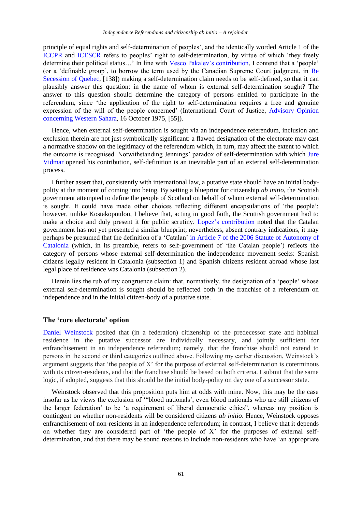principle of equal rights and self-determination of peoples', and the identically worded Article 1 of the [ICCPR](http://www.ohchr.org/en/professionalinterest/pages/ccpr.aspx) and [ICESCR](http://www.ohchr.org/EN/ProfessionalInterest/Pages/cescr.aspx) refers to peoples' right to self-determination, by virtue of which 'they freely determine their political status…' In line with [Vesco Pakalev's contribution,](http://eudo-citizenship.eu/commentaries/citizenship-forum/citizenship-forum-cat/1157-independence-referendums-who-should-vote-and-who-should-be-offered-citizenship?showall=&start=9) I contend that a 'people' (or a 'definable group', to borrow the term used by the Canadian Supreme Court judgment, in [Re](http://scc-csc.lexum.com/scc-csc/scc-csc/en/item/1643/index.do)  [Secession of Quebec,](http://scc-csc.lexum.com/scc-csc/scc-csc/en/item/1643/index.do) [138]) making a self-determination claim needs to be self-defined, so that it can plausibly answer this question: in the name of whom is external self-determination sought? The answer to this question should determine the category of persons entitled to participate in the referendum, since 'the application of the right to self-determination requires a free and genuine expression of the will of the people concerned' (International Court of Justice, [Advisory Opinion](http://www.icj-cij.org/docket/files/61/6197.pdf)  [concerning Western Sahara,](http://www.icj-cij.org/docket/files/61/6197.pdf) 16 October 1975, [55]).

Hence, when external self-determination is sought via an independence referendum, inclusion and exclusion therein are not just symbolically significant: a flawed designation of the electorate may cast a normative shadow on the legitimacy of the referendum which, in turn, may affect the extent to which the outcome is recognised. Notwithstanding Jennings' paradox of self-determination with which Jure [Vidmar](http://eudo-citizenship.eu/commentaries/citizenship-forum/citizenship-forum-cat/1157-independence-referendums-who-should-vote-and-who-should-be-offered-citizenship?showall=&start=7) opened his contribution, self-definition is an inevitable part of an external self-determination process.

I further assert that, consistently with international law, a putative state should have an initial bodypolity at the moment of coming into being. By setting a blueprint for citizenship *ab initio*, the Scottish government attempted to define the people of Scotland on behalf of whom external self-determination is sought. It could have made other choices reflecting different encapsulations of 'the people'; however, unlike Kostakopoulou, I believe that, acting in good faith, the Scottish government had to make a choice and duly present it for public scrutiny. [Lopez's contribution](http://eudo-citizenship.eu/commentaries/citizenship-forum/citizenship-forum-cat/1157-independence-referendums-who-should-vote-and-who-should-be-offered-citizenship?showall=&start=5) noted that the Catalan government has not yet presented a similar blueprint; nevertheless, absent contrary indications, it may perhaps be presumed that the definition of a 'Catalan' in [Article 7 of the 2006 Statute of Autonomy of](http://www.gencat.cat/generalitat/eng/estatut/titol_preliminar.htm#a7)  [Catalonia](http://www.gencat.cat/generalitat/eng/estatut/titol_preliminar.htm#a7) (which, in its preamble, refers to self-government of 'the Catalan people') reflects the category of persons whose external self-determination the independence movement seeks: Spanish citizens legally resident in Catalonia (subsection 1) and Spanish citizens resident abroad whose last legal place of residence was Catalonia (subsection 2).

Herein lies the rub of my congruence claim: that, normatively, the designation of a 'people' whose external self-determination is sought should be reflected both in the franchise of a referendum on independence and in the initial citizen-body of a putative state.

### **The 'core electorate' option**

[Daniel Weinstock](http://eudo-citizenship.eu/commentaries/citizenship-forum/citizenship-forum-cat/1157-independence-referendums-who-should-vote-and-who-should-be-offered-citizenship?showall=&start=13) posited that (in a federation) citizenship of the predecessor state and habitual residence in the putative successor are individually necessary, and jointly sufficient for enfranchisement in an independence referendum; namely, that the franchise should not extend to persons in the second or third categories outlined above. Following my earlier discussion, Weinstock's argument suggests that 'the people of X' for the purpose of external self-determination is coterminous with its citizen-residents, and that the franchise should be based on both criteria. I submit that the same logic, if adopted, suggests that this should be the initial body-polity on day one of a successor state.

Weinstock observed that this proposition puts him at odds with mine. Now, this may be the case insofar as he views the exclusion of '"blood nationals', even blood nationals who are still citizens of the larger federation' to be 'a requirement of liberal democratic ethics", whereas my position is contingent on whether non-residents will be considered citizens *ab initio*. Hence, Weinstock opposes enfranchisement of non-residents in an independence referendum; in contrast, I believe that it depends on whether they are considered part of 'the people of X' for the purposes of external selfdetermination, and that there may be sound reasons to include non-residents who have 'an appropriate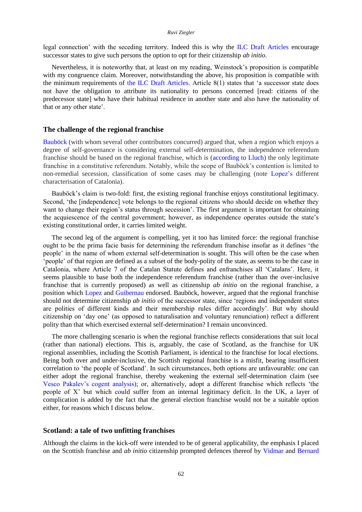#### *Ruvi Ziegler*

legal connection' with the seceding territory. Indeed this is why the [ILC Draft Articles](http://legal.un.org/ilc/texts/instruments/english/draft%20articles/3_4_1999.pdf) encourage successor states to give such persons the option to opt for their citizenship *ab initio*.

Nevertheless, it is noteworthy that, at least on my reading, Weinstock's proposition is compatible with my congruence claim. Moreover, notwithstanding the above, his proposition is compatible with the minimum requirements of the [ILC Draft Articles.](http://legal.un.org/ilc/texts/instruments/english/draft%20articles/3_4_1999.pdf) Article 8(1) states that 'a successor state does not have the obligation to attribute its nationality to persons concerned [read: citizens of the predecessor state] who have their habitual residence in another state and also have the nationality of that or any other state'.

### **The challenge of the regional franchise**

[Bauböck](http://eudo-citizenship.eu/commentaries/citizenship-forum/citizenship-forum-cat/1157-independence-referendums-who-should-vote-and-who-should-be-offered-citizenship?showall=&start=2) (with whom several other contributors concurred) argued that, when a region which enjoys a degree of self-governance is considering external self-determination, the independence referendum franchise should be based on the regional franchise, which is [\(according to Lluch\)](http://eudo-citizenship.eu/commentaries/citizenship-forum/citizenship-forum-cat/1157-independence-referendums-who-should-vote-and-who-should-be-offered-citizenship?showall=&start=11) the only legitimate franchise in a constitutive referendum. Notably, while the scope of Bauböck's contention is limited to non-remedial secession, classification of some cases may be challenging (note [Lopez's](http://eudo-citizenship.eu/commentaries/citizenship-forum/citizenship-forum-cat/1157-independence-referendums-who-should-vote-and-who-should-be-offered-citizenship?showall=&start=5) different characterisation of Catalonia).

Bauböck's claim is two-fold: first, the existing regional franchise enjoys constitutional legitimacy. Second, 'the [independence] vote belongs to the regional citizens who should decide on whether they want to change their region's status through secession'. The first argument is important for obtaining the acquiescence of the central government; however, as independence operates outside the state's existing constitutional order, it carries limited weight.

The second leg of the argument is compelling, yet it too has limited force: the regional franchise ought to be the prima facie basis for determining the referendum franchise insofar as it defines 'the people' in the name of whom external self-determination is sought. This will often be the case when 'people' of that region are defined as a subset of the body-polity of the state, as seems to be the case in Catalonia, where Article 7 of the Catalan Statute defines and enfranchises all 'Catalans'. Here, it seems plausible to base both the independence referendum franchise (rather than the over-inclusive franchise that is currently proposed) as well as citizenship *ab initio* on the regional franchise, a position which [Lopez a](http://eudo-citizenship.eu/commentaries/citizenship-forum/citizenship-forum-cat/1157-independence-referendums-who-should-vote-and-who-should-be-offered-citizenship?showall=&start=5)nd [Guibernau](http://eudo-citizenship.eu/commentaries/citizenship-forum/citizenship-forum-cat/1157-independence-referendums-who-should-vote-and-who-should-be-offered-citizenship?showall=&start=14) endorsed. Bauböck, however, argued that the regional franchise should not determine citizenship *ab initio* of the successor state, since 'regions and independent states are polities of different kinds and their membership rules differ accordingly'. But why should citizenship on 'day one' (as opposed to naturalisation and voluntary renunciation) reflect a different polity than that which exercised external self-determination? I remain unconvinced.

The more challenging scenario is when the regional franchise reflects considerations that suit local (rather than national) elections. This is, arguably, the case of Scotland, as the franchise for UK regional assemblies, including the Scottish Parliament, is identical to the franchise for local elections. Being both over and under-inclusive, the Scottish regional franchise is a misfit, bearing insufficient correlation to 'the people of Scotland'. In such circumstances, both options are unfavourable: one can either adopt the regional franchise, thereby weakening the external self-determination claim (see [Vesco Pakalev's cogent analysis\)](http://eudo-citizenship.eu/commentaries/citizenship-forum/citizenship-forum-cat/1157-independence-referendums-who-should-vote-and-who-should-be-offered-citizenship?showall=&start=9); or, alternatively, adopt a different franchise which reflects 'the people of X' but which could suffer from an internal legitimacy deficit. In the UK, a layer of complication is added by the fact that the general election franchise would not be a suitable option either, for reasons which I discuss below.

### **Scotland: a tale of two unfitting franchises**

Although the claims in the kick-off were intended to be of general applicability, the emphasis I placed on the Scottish franchise and *ab initio* citizenship prompted defences thereof by [Vidmar](http://eudo-citizenship.eu/commentaries/citizenship-forum/citizenship-forum-cat/1157-independence-referendums-who-should-vote-and-who-should-be-offered-citizenship?showall=&start=7) and [Bernard](http://eudo-citizenship.eu/commentaries/citizenship-forum/citizenship-forum-cat/1157-independence-referendums-who-should-vote-and-who-should-be-offered-citizenship?showall=&start=1)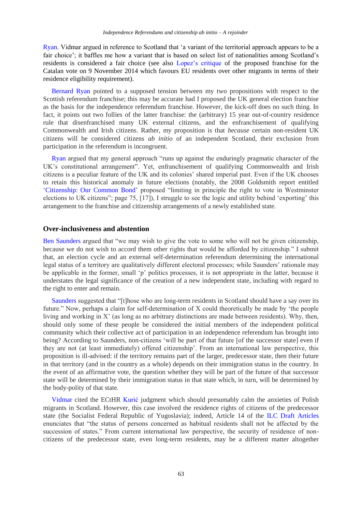[Ryan.](http://eudo-citizenship.eu/commentaries/citizenship-forum/citizenship-forum-cat/1157-independence-referendums-who-should-vote-and-who-should-be-offered-citizenship?showall=&start=1) Vidmar argued in reference to Scotland that 'a variant of the territorial approach appears to be a fair choice'; it baffles me how a variant that is based on select list of nationalities among Scotland's residents is considered a fair choice (see also [Lopez's critique](http://eudo-citizenship.eu/commentaries/citizenship-forum/citizenship-forum-cat/1157-independence-referendums-who-should-vote-and-who-should-be-offered-citizenship?showall=&start=5) of the proposed franchise for the Catalan vote on 9 November 2014 which favours EU residents over other migrants in terms of their residence eligibility requirement).

Bernard [Ryan](http://eudo-citizenship.eu/commentaries/citizenship-forum/citizenship-forum-cat/1157-independence-referendums-who-should-vote-and-who-should-be-offered-citizenship?showall=&start=1) pointed to a supposed tension between my two propositions with respect to the Scottish referendum franchise; this may be accurate had I proposed the UK general election franchise as the basis for the independence referendum franchise. However, the kick-off does no such thing. In fact, it points out two follies of the latter franchise: the (arbitrary) 15 year out-of-country residence rule that disenfranchised many UK external citizens, and the enfranchisement of qualifying Commonwealth and Irish citizens. Rather, my proposition is that *because* certain non-resident UK citizens will be considered citizens *ab initio* of an independent Scotland, their exclusion from participation in the referendum is incongruent.

[Ryan](http://eudo-citizenship.eu/commentaries/citizenship-forum/citizenship-forum-cat/1157-independence-referendums-who-should-vote-and-who-should-be-offered-citizenship?showall=&start=1) argued that my general approach "runs up against the enduringly pragmatic character of the UK's constitutional arrangement". Yet, enfranchisement of qualifying Commonwealth and Irish citizens is a peculiar feature of the UK and its colonies' shared imperial past. Even if the UK chooses to retain this historical anomaly in future elections (notably, the 2008 Goldsmith report entitled ['Citizenship: Our Common Bond'](http://image.guardian.co.uk/sys-files/Politics/documents/2008/03/11/citizenship-report-full.pdf) proposed "limiting in principle the right to vote in Westminster elections to UK citizens"; page 75, [17]), I struggle to see the logic and utility behind 'exporting' this arrangement to the franchise and citizenship arrangements of a newly established state.

## **Over-inclusiveness and abstention**

[Ben Saunders](http://eudo-citizenship.eu/commentaries/citizenship-forum/citizenship-forum-cat/1157-independence-referendums-who-should-vote-and-who-should-be-offered-citizenship?showall=&start=8) argued that "we may wish to give the vote to some who will not be given citizenship, because we do not wish to accord them other rights that would be afforded by citizenship." I submit that, an election cycle and an external self-determination referendum determining the international legal status of a territory are qualitatively different electoral processes; while Saunders' rationale may be applicable in the former, small 'p' politics processes, it is not appropriate in the latter, because it understates the legal significance of the creation of a new independent state, including with regard to the right to enter and remain.

[Saunders](http://eudo-citizenship.eu/commentaries/citizenship-forum/citizenship-forum-cat/1157-independence-referendums-who-should-vote-and-who-should-be-offered-citizenship?showall=&start=8) suggested that "[t]hose who are long-term residents in Scotland should have a say over its future." Now, perhaps a claim for self-determination of X could theoretically be made by 'the people living and working in X' (as long as no arbitrary distinctions are made between residents). Why, then, should only some of these people be considered the initial members of the independent political community which their collective act of participation in an independence referendum has brought into being? According to Saunders, non-citizens 'will be part of that future [of the successor state] even if they are not (at least immediately) offered citizenship'. From an international law perspective, this proposition is ill-advised: if the territory remains part of the larger, predecessor state, then their future in that territory (and in the country as a whole) depends on their immigration status in the country. In the event of an affirmative vote, the question whether they will be part of the future of that successor state will be determined by their immigration status in that state which, in turn, will be determined by the body-polity of that state.

[Vidmar](http://eudo-citizenship.eu/commentaries/citizenship-forum/citizenship-forum-cat/1157-independence-referendums-who-should-vote-and-who-should-be-offered-citizenship?showall=&start=7) cited the ECtHR [Kurić](http://hudoc.echr.coe.int/sites/eng/pages/search.aspx?i=001-111634) judgment which should presumably calm the anxieties of Polish migrants in Scotland. However, this case involved the residence rights of citizens of the predecessor state (the Socialist Federal Republic of Yugoslavia); indeed, Article 14 of the [ILC Draft Articles](http://legal.un.org/ilc/texts/instruments/english/draft%20articles/3_4_1999.pdf)  enunciates that "the status of persons concerned as habitual residents shall not be affected by the succession of states." From current international law perspective, the security of residence of noncitizens of the predecessor state, even long-term residents, may be a different matter altogether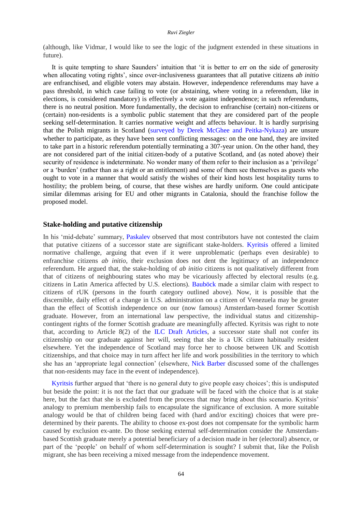#### *Ruvi Ziegler*

(although, like Vidmar, I would like to see the logic of the judgment extended in these situations in future).

It is quite tempting to share Saunders' intuition that 'it is better to err on the side of generosity when allocating voting rights', since over-inclusiveness guarantees that all putative citizens *ab initio* are enfranchised, and eligible voters may abstain. However, independence referendums may have a pass threshold, in which case failing to vote (or abstaining, where voting in a referendum, like in elections, is considered mandatory) is effectively a vote against independence; in such referendums, there is no neutral position. More fundamentally, the decision to enfranchise (certain) non-citizens or (certain) non-residents is a symbolic public statement that they are considered part of the people seeking self-determination. It carries normative weight and affects behaviour. It is hardly surprising that the Polish migrants in Scotland [\(surveyed by Derek McGhee and Peitka-Nykaza\)](http://eudo-citizenship.eu/commentaries/citizenship-forum/citizenship-forum-cat/1157-independence-referendums-who-should-vote-and-who-should-be-offered-citizenship?showall=&start=6) are unsure whether to participate, as they have been sent conflicting messages: on the one hand, they are invited to take part in a historic referendum potentially terminating a 307-year union. On the other hand, they are not considered part of the initial citizen-body of a putative Scotland, and (as noted above) their security of residence is indeterminate. No wonder many of them refer to their inclusion as a 'privilege' or a 'burden' (rather than as a right or an entitlement) and some of them see themselves as guests who ought to vote in a manner that would satisfy the wishes of their kind hosts lest hospitality turns to hostility; the problem being, of course, that these wishes are hardly uniform. One could anticipate similar dilemmas arising for EU and other migrants in Catalonia, should the franchise follow the proposed model.

## **Stake-holding and putative citizenship**

In his 'mid-debate' summary, [Paskalev](http://eudo-citizenship.eu/commentaries/citizenship-forum/citizenship-forum-cat/1157-independence-referendums-who-should-vote-and-who-should-be-offered-citizenship?showall=&start=9) observed that most contributors have not contested the claim that putative citizens of a successor state are significant stake-holders. [Kyritsis](http://eudo-citizenship.eu/commentaries/citizenship-forum/citizenship-forum-cat/1157-independence-referendums-who-should-vote-and-who-should-be-offered-citizenship?showall=&start=3) offered a limited normative challenge, arguing that even if it were unproblematic (perhaps even desirable) to enfranchise citizens *ab initio*, their exclusion does not dent the legitimacy of an independence referendum. He argued that, the stake-holding of *ab initio* citizens is not qualitatively different from that of citizens of neighbouring states who may be vicariously affected by electoral results (e.g. citizens in Latin America affected by U.S. elections). [Bauböck](http://eudo-citizenship.eu/commentaries/citizenship-forum/citizenship-forum-cat/1157-independence-referendums-who-should-vote-and-who-should-be-offered-citizenship?showall=&start=2) made a similar claim with respect to citizens of rUK (persons in the fourth category outlined above). Now, it is possible that the discernible, daily effect of a change in U.S. administration on a citizen of Venezuela may be greater than the effect of Scottish independence on our (now famous) Amsterdam-based former Scottish graduate. However, from an international law perspective, the individual status and citizenshipcontingent rights of the former Scottish graduate are meaningfully affected. Kyritsis was right to note that, according to Article 8(2) of the [ILC Draft Articles,](http://legal.un.org/ilc/texts/instruments/english/draft%20articles/3_4_1999.pdf) a successor state shall not confer its citizenship on our graduate against her will, seeing that she is a UK citizen habitually resident elsewhere. Yet the independence of Scotland may force her to choose between UK and Scottish citizenships, and that choice may in turn affect her life and work possibilities in the territory to which she has an 'appropriate legal connection' (elsewhere, [Nick Barber](http://ukconstitutionallaw.org/2014/08/04/nick-barber-after-the-vote-the-citizenship-question/) discussed some of the challenges that non-residents may face in the event of independence).

[Kyritsis](http://eudo-citizenship.eu/commentaries/citizenship-forum/citizenship-forum-cat/1157-independence-referendums-who-should-vote-and-who-should-be-offered-citizenship?showall=&start=3) further argued that 'there is no general duty to give people easy choices'; this is undisputed but beside the point: it is not the fact that our graduate will be faced with the choice that is at stake here, but the fact that she is excluded from the process that may bring about this scenario. Kyritsis' analogy to premium membership fails to encapsulate the significance of exclusion. A more suitable analogy would be that of children being faced with (hard and/or exciting) choices that were predetermined by their parents. The ability to choose ex-post does not compensate for the symbolic harm caused by exclusion ex-ante. Do those seeking external self-determination consider the Amsterdambased Scottish graduate merely a potential beneficiary of a decision made in her (electoral) absence, or part of the 'people' on behalf of whom self-determination is sought? I submit that, like the Polish migrant, she has been receiving a mixed message from the independence movement.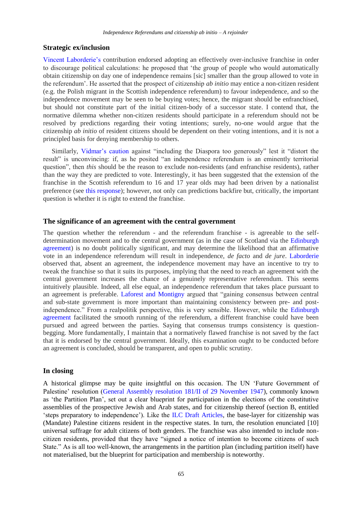## **Strategic ex/inclusion**

[Vincent Laborderie's](http://eudo-citizenship.eu/commentaries/citizenship-forum/citizenship-forum-cat/1157-independence-referendums-who-should-vote-and-who-should-be-offered-citizenship?showall=&start=12) contribution endorsed adopting an effectively over-inclusive franchise in order to discourage political calculations: he proposed that 'the group of people who would automatically obtain citizenship on day one of independence remains [sic] smaller than the group allowed to vote in the referendum'. He asserted that the prospect of citizenship *ab initio* may entice a non-citizen resident (e.g. the Polish migrant in the Scottish independence referendum) to favour independence, and so the independence movement may be seen to be buying votes; hence, the migrant should be enfranchised, but should not constitute part of the initial citizen-body of a successor state. I contend that, the normative dilemma whether non-citizen residents should participate in a referendum should not be resolved by predictions regarding their voting intentions; surely, no-one would argue that the citizenship *ab initio* of resident citizens should be dependent on their voting intentions, and it is not a principled basis for denying membership to others.

Similarly, [Vidmar's caution a](http://eudo-citizenship.eu/commentaries/citizenship-forum/citizenship-forum-cat/1157-independence-referendums-who-should-vote-and-who-should-be-offered-citizenship?showall=&start=7)gainst "including the Diaspora too generously" lest it "distort the result" is unconvincing: if, as he posited "an independence referendum is an eminently territorial question", then *this* should be the reason to exclude non-residents (and enfranchise residents), rather than the way they are predicted to vote. Interestingly, it has been suggested that the extension of the franchise in the Scottish referendum to 16 and 17 year olds may had been driven by a nationalist preference (see [this response\)](http://news.stv.tv/north/26432-msp-mark-mcdonald-the-voting-age-should-be-lowered/); however, not only can predictions backfire but, critically, the important question is whether it is right to extend the franchise.

## **The significance of an agreement with the central government**

The question whether the referendum - and the referendum franchise - is agreeable to the selfdetermination movement and to the central government (as in the case of Scotland via the [Edinburgh](http://www.scotland.gov.uk/About/Government/concordats/Referendum-on-independence)  [agreement\)](http://www.scotland.gov.uk/About/Government/concordats/Referendum-on-independence) is no doubt politically significant, and may determine the likelihood that an affirmative vote in an independence referendum will result in independence, *de facto* and *de jure*. [Laborderie](http://eudo-citizenship.eu/commentaries/citizenship-forum/citizenship-forum-cat/1157-independence-referendums-who-should-vote-and-who-should-be-offered-citizenship?showall=&start=12)  observed that, absent an agreement, the independence movement may have an incentive to try to tweak the franchise so that it suits its purposes, implying that the need to reach an agreement with the central government increases the chance of a genuinely representative referendum. This seems intuitively plausible. Indeed, all else equal, an independence referendum that takes place pursuant to an agreement is preferable. [Laforest and Montigny](http://eudo-citizenship.eu/commentaries/citizenship-forum/citizenship-forum-cat/1157-independence-referendums-who-should-vote-and-who-should-be-offered-citizenship?showall=&start=4) argued that "gaining consensus between central and sub-state government is more important than maintaining consistency between pre- and postindependence." From a realpolitik perspective, this is very sensible. However, while the [Edinburgh](http://www.scotland.gov.uk/About/Government/concordats/Referendum-on-independence)  [agreement](http://www.scotland.gov.uk/About/Government/concordats/Referendum-on-independence) facilitated the smooth running of the referendum, a different franchise could have been pursued and agreed between the parties. Saying that consensus trumps consistency is questionbegging. More fundamentally, I maintain that a normatively flawed franchise is not saved by the fact that it is endorsed by the central government. Ideally, this examination ought to be conducted before an agreement is concluded, should be transparent, and open to public scrutiny.

## **In closing**

A historical glimpse may be quite insightful on this occasion. The UN 'Future Government of Palestine' resolution [\(General Assembly resolution 181/II of 29 November 1947\)](http://domino.un.org/unispal.nsf/0/7f0af2bd897689b785256c330061d253), commonly known as 'the Partition Plan', set out a clear blueprint for participation in the elections of the constitutive assemblies of the prospective Jewish and Arab states, and for citizenship thereof (section B, entitled 'steps preparatory to independence'). Like the [ILC Draft Articles,](http://legal.un.org/ilc/texts/instruments/english/draft%20articles/3_4_1999.pdf) the base-layer for citizenship was (Mandate) Palestine citizens resident in the respective states. In turn, the resolution enunciated [10] universal suffrage for adult citizens of both genders. The franchise was also intended to include noncitizen residents, provided that they have "signed a notice of intention to become citizens of such State." As is all too well-known, the arrangements in the partition plan (including partition itself) have not materialised, but the blueprint for participation and membership is noteworthy.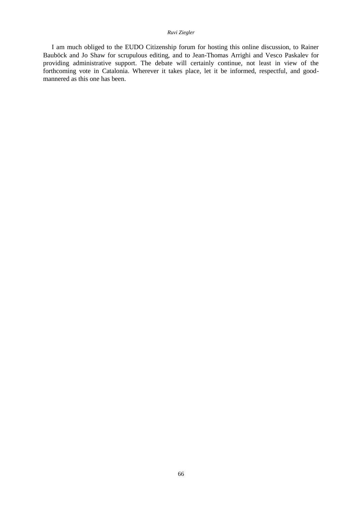### *Ruvi Ziegler*

I am much obliged to the EUDO Citizenship forum for hosting this online discussion, to Rainer Bauböck and Jo Shaw for scrupulous editing, and to Jean-Thomas Arrighi and Vesco Paskalev for providing administrative support. The debate will certainly continue, not least in view of the forthcoming vote in Catalonia. Wherever it takes place, let it be informed, respectful, and goodmannered as this one has been.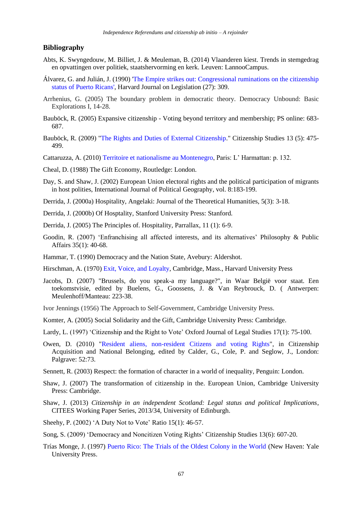### **Bibliography**

- Abts, K. Swyngedouw, M. Billiet, J. & Meuleman, B. (2014) Vlaanderen kiest. Trends in stemgedrag en opvattingen over politiek, staatshervorming en kerk. Leuven: LannooCampus.
- Álvarez, G. and Julián, J. (1990) ['The Empire strikes out: Congressional ruminations on the citizenship](http://heinonline.org/HOL/Page?handle=hein.journals/hjl27&div=13&g_sent=1&collection=journals#315)  [status of Puerto Ricans'](http://heinonline.org/HOL/Page?handle=hein.journals/hjl27&div=13&g_sent=1&collection=journals#315), Harvard Journal on Legislation (27): 309.
- Arrhenius, G. (2005) The boundary problem in democratic theory. Democracy Unbound: Basic Explorations I, 14-28.
- Bauböck, R. (2005) Expansive citizenship Voting beyond territory and membership; PS online: 683- 687.
- Bauböck, R. (2009) ["The Rights and Duties of External Citizenship.](http://www.tandfonline.com/doi/abs/10.1080/13621020903174647)" Citizenship Studies 13 (5): 475- 499.
- Cattaruzza, A. (2010) [Territoire et nationalisme au Montenegro,](http://www.editions-harmattan.fr/index.asp?navig=catalogue&obj=livre&no=32720) Paris: L' Harmattan: p. 132.
- Cheal, D. (1988) The Gift Economy, Routledge: London.
- Day, S. and Shaw, J. (2002) European Union electoral rights and the political participation of migrants in host polities, International Journal of Political Geography, vol. 8:183-199.
- Derrida, J. (2000a) Hospitality, Angelaki: Journal of the Theoretical Humanities, 5(3): 3-18.
- Derrida, J. (2000b) Of Hosptality, Stanford University Press: Stanford.
- Derrida, J. (2005) The Principles of. Hospitality, Parrallax, 11 (1): 6-9.
- Goodin, R. (2007) 'Enfranchising all affected interests, and its alternatives' Philosophy & Public Affairs 35(1): 40-68.
- Hammar, T. (1990) Democracy and the Nation State, Avebury: Aldershot.
- Hirschman, A. (1970) [Exit, Voice, and Loyalty,](http://www.hup.harvard.edu/catalog.php?isbn=9780674276604) Cambridge, Mass., Harvard University Press
- Jacobs, D. (2007) "Brussels, do you speak-a my language?", in Waar België voor staat. Een toekomstvisie, edited by Buelens, G., Goossens, J. & Van Reybrouck, D. ( Antwerpen: Meulenhoff/Manteau: 223-38.
- Ivor Jennings (1956) The Approach to Self-Government, Cambridge University Press.
- Komter, A. (2005) Social Solidarity and the Gift, Cambridge University Press: Cambridge.
- Lardy, L. (1997) 'Citizenship and the Right to Vote' Oxford Journal of Legal Studies 17(1): 75-100.
- Owen, D. (2010) ["Resident aliens, non-resident Citizens and voting Rights"](http://www.academia.edu/163969/Resident_Aliens_Non-resident_Citizens_and_Voting_Rights), in Citizenship Acquisition and National Belonging, edited by Calder, G., Cole, P. and Seglow, J., London: Palgrave: 52:73.
- Sennett, R. (2003) Respect: the formation of character in a world of inequality, Penguin: London.
- Shaw, J. (2007) The transformation of citizenship in the. European Union, Cambridge University Press: Cambridge.
- Shaw, J. (2013) *[Citizenship in an independent Scotland: Legal status and political Implications](http://www.citsee.ed.ac.uk/working_papers/files/CITSEE_WORKING_PAPER_2013-34.pdf)*, CITEES Working Paper Series, 2013/34, University of Edinburgh.
- Sheehy, P. (2002) 'A Duty Not to Vote' Ratio 15(1): 46-57.
- Song, S. (2009) 'Democracy and Noncitizen Voting Rights' Citizenship Studies 13(6): 607-20.
- Trías Monge, J. (1997) [Puerto Rico: The Trials of the Oldest Colony in the World](http://books.google.it/books/about/Puerto_Rico.html?id=IjaRKo2XUsEC&redir_esc=y) (New Haven: Yale University Press.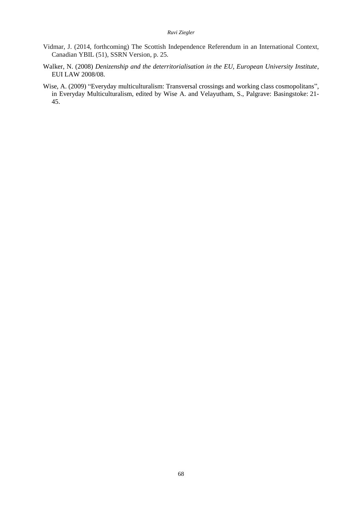#### *Ruvi Ziegler*

- Vidmar, J. (2014, forthcoming) The Scottish Independence Referendum in an International Context, Canadian YBIL (51), SSRN Version, p. 25.
- Walker, N. (2008) *[Denizenship and the deterritorialisation in the EU, European University Institute](http://cadmus.eui.eu/handle/1814/8082)*, EUI LAW 2008/08.
- Wise, A. (2009) "Everyday multiculturalism: Transversal crossings and working class cosmopolitans", in Everyday Multiculturalism, edited by Wise A. and Velayutham, S., Palgrave: Basingstoke: 21- 45.